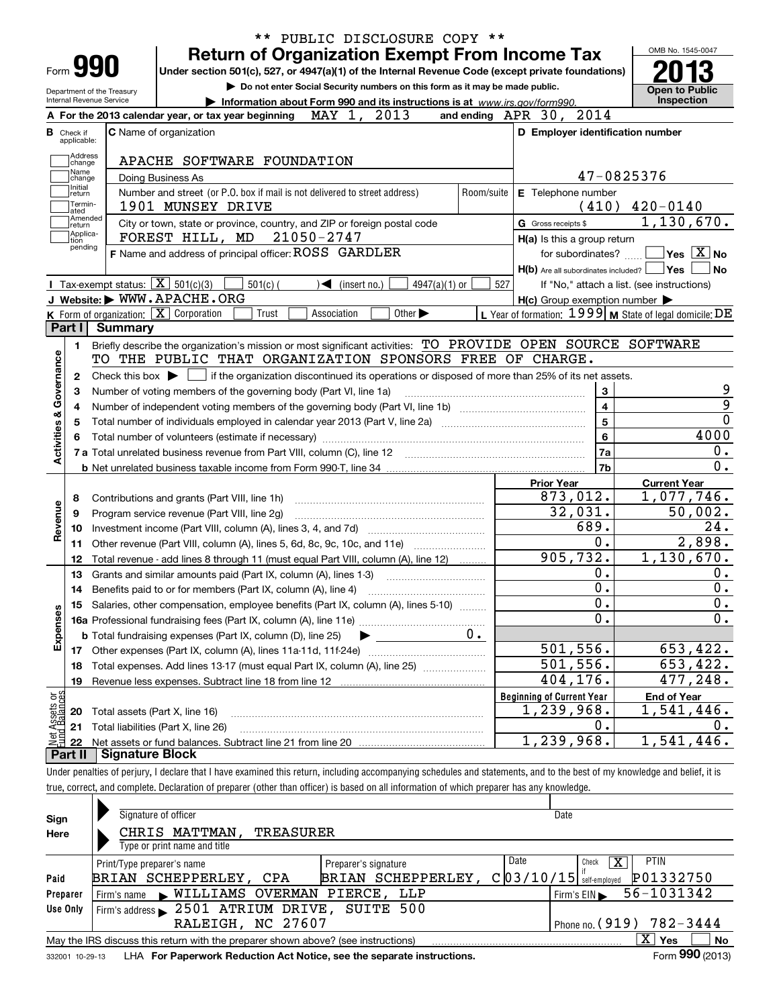| <b>Return of Organization Exempt From Income Tax</b><br>Form <b>990</b><br>Under section 501(c), 527, or 4947(a)(1) of the Internal Revenue Code (except private foundations)<br>Do not enter Social Security numbers on this form as it may be made public.<br><b>Open to Public</b><br>Department of the Treasury<br><b>Inspection</b><br>Internal Revenue Service<br>Information about Form 990 and its instructions is at www.irs.gov/form990.<br>MAY 1, 2013<br>and ending APR 30, 2014<br>A For the 2013 calendar year, or tax year beginning<br><b>C</b> Name of organization<br>D Employer identification number<br><b>B</b> Check if applicable:<br>Address<br>APACHE SOFTWARE FOUNDATION<br>change<br>Name<br>47-0825376<br>Doing Business As<br>change<br>Initial<br>Number and street (or P.O. box if mail is not delivered to street address)<br>Room/suite<br>E Telephone number<br>return<br>Termin-<br>$(410)$ $420-0140$<br>1901 MUNSEY DRIVE<br>lated<br>Amended<br>1,130,670.<br>City or town, state or province, country, and ZIP or foreign postal code<br>G Gross receipts \$<br>return<br>Applica-<br>FOREST HILL, MD 21050-2747<br>H(a) Is this a group return<br>tion<br>pending<br>$\sqrt{}$ Yes $\sqrt{}$ X $\sqrt{}$ No<br>F Name and address of principal officer: ROSS GARDLER<br>for subordinates?<br>$H(b)$ Are all subordinates included? $\Box$ Yes<br><b>No</b><br>Tax-exempt status: $\boxed{\mathbf{X}}$ 501(c)(3)<br>$501(c)$ (<br>$\blacktriangleleft$ (insert no.)<br>$4947(a)(1)$ or<br>527<br>If "No," attach a list. (see instructions)<br>J Website: WWW.APACHE.ORG<br>$H(c)$ Group exemption number $\blacktriangleright$<br>L Year of formation: $1999 \vert \text{M}$ State of legal domicile: DE<br>K Form of organization: X Corporation<br>Association<br>Other $\blacktriangleright$<br>Trust<br>Part I<br>Summary<br>Briefly describe the organization's mission or most significant activities: TO PROVIDE OPEN SOURCE SOFTWARE<br>1<br>Activities & Governance<br>TO THE PUBLIC THAT ORGANIZATION SPONSORS FREE OF CHARGE.<br>Check this box $\blacktriangleright$ $\Box$ if the organization discontinued its operations or disposed of more than 25% of its net assets.<br>2<br>9<br>3<br>3<br>Number of voting members of the governing body (Part VI, line 1a)<br>$\overline{9}$<br>$\overline{\mathbf{4}}$<br>4<br>$\overline{0}$<br>5<br>5<br>4000<br>6<br>Total number of volunteers (estimate if necessary)<br>6<br>0.<br>7a<br>0.<br>7b<br><b>Current Year</b><br><b>Prior Year</b><br>873,012.<br>1,077,746.<br>8<br>Contributions and grants (Part VIII, line 1h)<br>Revenue<br>32,031.<br>50,002.<br>9<br>Program service revenue (Part VIII, line 2g)<br>689.<br>24.<br>10<br>0.<br>2,898.<br>Other revenue (Part VIII, column (A), lines 5, 6d, 8c, 9c, 10c, and 11e)<br>11<br>905, 732.<br>1, 130, 670.<br>Total revenue - add lines 8 through 11 (must equal Part VIII, column (A), line 12)<br>12<br>0.<br>0.<br>Grants and similar amounts paid (Part IX, column (A), lines 1-3)<br>13<br>$\overline{0}$ .<br>0.<br>Benefits paid to or for members (Part IX, column (A), line 4)<br>14<br>0.<br>0.<br>15 Salaries, other compensation, employee benefits (Part IX, column (A), lines 5-10)<br>Expenses<br>$\mathbf 0$ .<br>0.<br><b>b</b> Total fundraising expenses (Part IX, column (D), line 25)<br><u>501,556.</u><br>653, 422.<br>17<br>501, 556.<br>653, 422.<br>18<br>404, 176.<br>477, 248.<br>19<br>Net Assets or<br>Eund Balances<br><b>Beginning of Current Year</b><br><b>End of Year</b><br>1,239,968.<br>1,541,446.<br>20<br>Total assets (Part X, line 16)<br>0.<br>$0$ .<br>21<br>Total liabilities (Part X, line 26)<br>1,239,968.<br>1,541,446.<br>22<br><b>Signature Block</b><br><b>Part II</b><br>Under penalties of perjury, I declare that I have examined this return, including accompanying schedules and statements, and to the best of my knowledge and belief, it is<br>true, correct, and complete. Declaration of preparer (other than officer) is based on all information of which preparer has any knowledge. |  | ** PUBLIC DISCLOSURE COPY ** |  |  | OMB No. 1545-0047 |  |  |  |  |
|--------------------------------------------------------------------------------------------------------------------------------------------------------------------------------------------------------------------------------------------------------------------------------------------------------------------------------------------------------------------------------------------------------------------------------------------------------------------------------------------------------------------------------------------------------------------------------------------------------------------------------------------------------------------------------------------------------------------------------------------------------------------------------------------------------------------------------------------------------------------------------------------------------------------------------------------------------------------------------------------------------------------------------------------------------------------------------------------------------------------------------------------------------------------------------------------------------------------------------------------------------------------------------------------------------------------------------------------------------------------------------------------------------------------------------------------------------------------------------------------------------------------------------------------------------------------------------------------------------------------------------------------------------------------------------------------------------------------------------------------------------------------------------------------------------------------------------------------------------------------------------------------------------------------------------------------------------------------------------------------------------------------------------------------------------------------------------------------------------------------------------------------------------------------------------------------------------------------------------------------------------------------------------------------------------------------------------------------------------------------------------------------------------------------------------------------------------------------------------------------------------------------------------------------------------------------------------------------------------------------------------------------------------------------------------------------------------------------------------------------------------------------------------------------------------------------------------------------------------------------------------------------------------------------------------------------------------------------------------------------------------------------------------------------------------------------------------------------------------------------------------------------------------------------------------------------------------------------------------------------------------------------------------------------------------------------------------------------------------------------------------------------------------------------------------------------------------------------------------------------------------------------------------------------------------------------------------------------------------------------------------------------------------------------------------------------------------------------------------------------------------------------------------------------------------------------------------------------------------------------------------------------------------------------------------------------------------------------------------------------------------------------------------------------------------------------------------------------------------------------------|--|------------------------------|--|--|-------------------|--|--|--|--|
|                                                                                                                                                                                                                                                                                                                                                                                                                                                                                                                                                                                                                                                                                                                                                                                                                                                                                                                                                                                                                                                                                                                                                                                                                                                                                                                                                                                                                                                                                                                                                                                                                                                                                                                                                                                                                                                                                                                                                                                                                                                                                                                                                                                                                                                                                                                                                                                                                                                                                                                                                                                                                                                                                                                                                                                                                                                                                                                                                                                                                                                                                                                                                                                                                                                                                                                                                                                                                                                                                                                                                                                                                                                                                                                                                                                                                                                                                                                                                                                                                                                                                                                          |  |                              |  |  |                   |  |  |  |  |
|                                                                                                                                                                                                                                                                                                                                                                                                                                                                                                                                                                                                                                                                                                                                                                                                                                                                                                                                                                                                                                                                                                                                                                                                                                                                                                                                                                                                                                                                                                                                                                                                                                                                                                                                                                                                                                                                                                                                                                                                                                                                                                                                                                                                                                                                                                                                                                                                                                                                                                                                                                                                                                                                                                                                                                                                                                                                                                                                                                                                                                                                                                                                                                                                                                                                                                                                                                                                                                                                                                                                                                                                                                                                                                                                                                                                                                                                                                                                                                                                                                                                                                                          |  |                              |  |  |                   |  |  |  |  |
|                                                                                                                                                                                                                                                                                                                                                                                                                                                                                                                                                                                                                                                                                                                                                                                                                                                                                                                                                                                                                                                                                                                                                                                                                                                                                                                                                                                                                                                                                                                                                                                                                                                                                                                                                                                                                                                                                                                                                                                                                                                                                                                                                                                                                                                                                                                                                                                                                                                                                                                                                                                                                                                                                                                                                                                                                                                                                                                                                                                                                                                                                                                                                                                                                                                                                                                                                                                                                                                                                                                                                                                                                                                                                                                                                                                                                                                                                                                                                                                                                                                                                                                          |  |                              |  |  |                   |  |  |  |  |
|                                                                                                                                                                                                                                                                                                                                                                                                                                                                                                                                                                                                                                                                                                                                                                                                                                                                                                                                                                                                                                                                                                                                                                                                                                                                                                                                                                                                                                                                                                                                                                                                                                                                                                                                                                                                                                                                                                                                                                                                                                                                                                                                                                                                                                                                                                                                                                                                                                                                                                                                                                                                                                                                                                                                                                                                                                                                                                                                                                                                                                                                                                                                                                                                                                                                                                                                                                                                                                                                                                                                                                                                                                                                                                                                                                                                                                                                                                                                                                                                                                                                                                                          |  |                              |  |  |                   |  |  |  |  |
|                                                                                                                                                                                                                                                                                                                                                                                                                                                                                                                                                                                                                                                                                                                                                                                                                                                                                                                                                                                                                                                                                                                                                                                                                                                                                                                                                                                                                                                                                                                                                                                                                                                                                                                                                                                                                                                                                                                                                                                                                                                                                                                                                                                                                                                                                                                                                                                                                                                                                                                                                                                                                                                                                                                                                                                                                                                                                                                                                                                                                                                                                                                                                                                                                                                                                                                                                                                                                                                                                                                                                                                                                                                                                                                                                                                                                                                                                                                                                                                                                                                                                                                          |  |                              |  |  |                   |  |  |  |  |
|                                                                                                                                                                                                                                                                                                                                                                                                                                                                                                                                                                                                                                                                                                                                                                                                                                                                                                                                                                                                                                                                                                                                                                                                                                                                                                                                                                                                                                                                                                                                                                                                                                                                                                                                                                                                                                                                                                                                                                                                                                                                                                                                                                                                                                                                                                                                                                                                                                                                                                                                                                                                                                                                                                                                                                                                                                                                                                                                                                                                                                                                                                                                                                                                                                                                                                                                                                                                                                                                                                                                                                                                                                                                                                                                                                                                                                                                                                                                                                                                                                                                                                                          |  |                              |  |  |                   |  |  |  |  |
|                                                                                                                                                                                                                                                                                                                                                                                                                                                                                                                                                                                                                                                                                                                                                                                                                                                                                                                                                                                                                                                                                                                                                                                                                                                                                                                                                                                                                                                                                                                                                                                                                                                                                                                                                                                                                                                                                                                                                                                                                                                                                                                                                                                                                                                                                                                                                                                                                                                                                                                                                                                                                                                                                                                                                                                                                                                                                                                                                                                                                                                                                                                                                                                                                                                                                                                                                                                                                                                                                                                                                                                                                                                                                                                                                                                                                                                                                                                                                                                                                                                                                                                          |  |                              |  |  |                   |  |  |  |  |
|                                                                                                                                                                                                                                                                                                                                                                                                                                                                                                                                                                                                                                                                                                                                                                                                                                                                                                                                                                                                                                                                                                                                                                                                                                                                                                                                                                                                                                                                                                                                                                                                                                                                                                                                                                                                                                                                                                                                                                                                                                                                                                                                                                                                                                                                                                                                                                                                                                                                                                                                                                                                                                                                                                                                                                                                                                                                                                                                                                                                                                                                                                                                                                                                                                                                                                                                                                                                                                                                                                                                                                                                                                                                                                                                                                                                                                                                                                                                                                                                                                                                                                                          |  |                              |  |  |                   |  |  |  |  |
|                                                                                                                                                                                                                                                                                                                                                                                                                                                                                                                                                                                                                                                                                                                                                                                                                                                                                                                                                                                                                                                                                                                                                                                                                                                                                                                                                                                                                                                                                                                                                                                                                                                                                                                                                                                                                                                                                                                                                                                                                                                                                                                                                                                                                                                                                                                                                                                                                                                                                                                                                                                                                                                                                                                                                                                                                                                                                                                                                                                                                                                                                                                                                                                                                                                                                                                                                                                                                                                                                                                                                                                                                                                                                                                                                                                                                                                                                                                                                                                                                                                                                                                          |  |                              |  |  |                   |  |  |  |  |
|                                                                                                                                                                                                                                                                                                                                                                                                                                                                                                                                                                                                                                                                                                                                                                                                                                                                                                                                                                                                                                                                                                                                                                                                                                                                                                                                                                                                                                                                                                                                                                                                                                                                                                                                                                                                                                                                                                                                                                                                                                                                                                                                                                                                                                                                                                                                                                                                                                                                                                                                                                                                                                                                                                                                                                                                                                                                                                                                                                                                                                                                                                                                                                                                                                                                                                                                                                                                                                                                                                                                                                                                                                                                                                                                                                                                                                                                                                                                                                                                                                                                                                                          |  |                              |  |  |                   |  |  |  |  |
|                                                                                                                                                                                                                                                                                                                                                                                                                                                                                                                                                                                                                                                                                                                                                                                                                                                                                                                                                                                                                                                                                                                                                                                                                                                                                                                                                                                                                                                                                                                                                                                                                                                                                                                                                                                                                                                                                                                                                                                                                                                                                                                                                                                                                                                                                                                                                                                                                                                                                                                                                                                                                                                                                                                                                                                                                                                                                                                                                                                                                                                                                                                                                                                                                                                                                                                                                                                                                                                                                                                                                                                                                                                                                                                                                                                                                                                                                                                                                                                                                                                                                                                          |  |                              |  |  |                   |  |  |  |  |
|                                                                                                                                                                                                                                                                                                                                                                                                                                                                                                                                                                                                                                                                                                                                                                                                                                                                                                                                                                                                                                                                                                                                                                                                                                                                                                                                                                                                                                                                                                                                                                                                                                                                                                                                                                                                                                                                                                                                                                                                                                                                                                                                                                                                                                                                                                                                                                                                                                                                                                                                                                                                                                                                                                                                                                                                                                                                                                                                                                                                                                                                                                                                                                                                                                                                                                                                                                                                                                                                                                                                                                                                                                                                                                                                                                                                                                                                                                                                                                                                                                                                                                                          |  |                              |  |  |                   |  |  |  |  |
|                                                                                                                                                                                                                                                                                                                                                                                                                                                                                                                                                                                                                                                                                                                                                                                                                                                                                                                                                                                                                                                                                                                                                                                                                                                                                                                                                                                                                                                                                                                                                                                                                                                                                                                                                                                                                                                                                                                                                                                                                                                                                                                                                                                                                                                                                                                                                                                                                                                                                                                                                                                                                                                                                                                                                                                                                                                                                                                                                                                                                                                                                                                                                                                                                                                                                                                                                                                                                                                                                                                                                                                                                                                                                                                                                                                                                                                                                                                                                                                                                                                                                                                          |  |                              |  |  |                   |  |  |  |  |
|                                                                                                                                                                                                                                                                                                                                                                                                                                                                                                                                                                                                                                                                                                                                                                                                                                                                                                                                                                                                                                                                                                                                                                                                                                                                                                                                                                                                                                                                                                                                                                                                                                                                                                                                                                                                                                                                                                                                                                                                                                                                                                                                                                                                                                                                                                                                                                                                                                                                                                                                                                                                                                                                                                                                                                                                                                                                                                                                                                                                                                                                                                                                                                                                                                                                                                                                                                                                                                                                                                                                                                                                                                                                                                                                                                                                                                                                                                                                                                                                                                                                                                                          |  |                              |  |  |                   |  |  |  |  |
|                                                                                                                                                                                                                                                                                                                                                                                                                                                                                                                                                                                                                                                                                                                                                                                                                                                                                                                                                                                                                                                                                                                                                                                                                                                                                                                                                                                                                                                                                                                                                                                                                                                                                                                                                                                                                                                                                                                                                                                                                                                                                                                                                                                                                                                                                                                                                                                                                                                                                                                                                                                                                                                                                                                                                                                                                                                                                                                                                                                                                                                                                                                                                                                                                                                                                                                                                                                                                                                                                                                                                                                                                                                                                                                                                                                                                                                                                                                                                                                                                                                                                                                          |  |                              |  |  |                   |  |  |  |  |
|                                                                                                                                                                                                                                                                                                                                                                                                                                                                                                                                                                                                                                                                                                                                                                                                                                                                                                                                                                                                                                                                                                                                                                                                                                                                                                                                                                                                                                                                                                                                                                                                                                                                                                                                                                                                                                                                                                                                                                                                                                                                                                                                                                                                                                                                                                                                                                                                                                                                                                                                                                                                                                                                                                                                                                                                                                                                                                                                                                                                                                                                                                                                                                                                                                                                                                                                                                                                                                                                                                                                                                                                                                                                                                                                                                                                                                                                                                                                                                                                                                                                                                                          |  |                              |  |  |                   |  |  |  |  |
|                                                                                                                                                                                                                                                                                                                                                                                                                                                                                                                                                                                                                                                                                                                                                                                                                                                                                                                                                                                                                                                                                                                                                                                                                                                                                                                                                                                                                                                                                                                                                                                                                                                                                                                                                                                                                                                                                                                                                                                                                                                                                                                                                                                                                                                                                                                                                                                                                                                                                                                                                                                                                                                                                                                                                                                                                                                                                                                                                                                                                                                                                                                                                                                                                                                                                                                                                                                                                                                                                                                                                                                                                                                                                                                                                                                                                                                                                                                                                                                                                                                                                                                          |  |                              |  |  |                   |  |  |  |  |
|                                                                                                                                                                                                                                                                                                                                                                                                                                                                                                                                                                                                                                                                                                                                                                                                                                                                                                                                                                                                                                                                                                                                                                                                                                                                                                                                                                                                                                                                                                                                                                                                                                                                                                                                                                                                                                                                                                                                                                                                                                                                                                                                                                                                                                                                                                                                                                                                                                                                                                                                                                                                                                                                                                                                                                                                                                                                                                                                                                                                                                                                                                                                                                                                                                                                                                                                                                                                                                                                                                                                                                                                                                                                                                                                                                                                                                                                                                                                                                                                                                                                                                                          |  |                              |  |  |                   |  |  |  |  |
|                                                                                                                                                                                                                                                                                                                                                                                                                                                                                                                                                                                                                                                                                                                                                                                                                                                                                                                                                                                                                                                                                                                                                                                                                                                                                                                                                                                                                                                                                                                                                                                                                                                                                                                                                                                                                                                                                                                                                                                                                                                                                                                                                                                                                                                                                                                                                                                                                                                                                                                                                                                                                                                                                                                                                                                                                                                                                                                                                                                                                                                                                                                                                                                                                                                                                                                                                                                                                                                                                                                                                                                                                                                                                                                                                                                                                                                                                                                                                                                                                                                                                                                          |  |                              |  |  |                   |  |  |  |  |
|                                                                                                                                                                                                                                                                                                                                                                                                                                                                                                                                                                                                                                                                                                                                                                                                                                                                                                                                                                                                                                                                                                                                                                                                                                                                                                                                                                                                                                                                                                                                                                                                                                                                                                                                                                                                                                                                                                                                                                                                                                                                                                                                                                                                                                                                                                                                                                                                                                                                                                                                                                                                                                                                                                                                                                                                                                                                                                                                                                                                                                                                                                                                                                                                                                                                                                                                                                                                                                                                                                                                                                                                                                                                                                                                                                                                                                                                                                                                                                                                                                                                                                                          |  |                              |  |  |                   |  |  |  |  |
|                                                                                                                                                                                                                                                                                                                                                                                                                                                                                                                                                                                                                                                                                                                                                                                                                                                                                                                                                                                                                                                                                                                                                                                                                                                                                                                                                                                                                                                                                                                                                                                                                                                                                                                                                                                                                                                                                                                                                                                                                                                                                                                                                                                                                                                                                                                                                                                                                                                                                                                                                                                                                                                                                                                                                                                                                                                                                                                                                                                                                                                                                                                                                                                                                                                                                                                                                                                                                                                                                                                                                                                                                                                                                                                                                                                                                                                                                                                                                                                                                                                                                                                          |  |                              |  |  |                   |  |  |  |  |
|                                                                                                                                                                                                                                                                                                                                                                                                                                                                                                                                                                                                                                                                                                                                                                                                                                                                                                                                                                                                                                                                                                                                                                                                                                                                                                                                                                                                                                                                                                                                                                                                                                                                                                                                                                                                                                                                                                                                                                                                                                                                                                                                                                                                                                                                                                                                                                                                                                                                                                                                                                                                                                                                                                                                                                                                                                                                                                                                                                                                                                                                                                                                                                                                                                                                                                                                                                                                                                                                                                                                                                                                                                                                                                                                                                                                                                                                                                                                                                                                                                                                                                                          |  |                              |  |  |                   |  |  |  |  |
|                                                                                                                                                                                                                                                                                                                                                                                                                                                                                                                                                                                                                                                                                                                                                                                                                                                                                                                                                                                                                                                                                                                                                                                                                                                                                                                                                                                                                                                                                                                                                                                                                                                                                                                                                                                                                                                                                                                                                                                                                                                                                                                                                                                                                                                                                                                                                                                                                                                                                                                                                                                                                                                                                                                                                                                                                                                                                                                                                                                                                                                                                                                                                                                                                                                                                                                                                                                                                                                                                                                                                                                                                                                                                                                                                                                                                                                                                                                                                                                                                                                                                                                          |  |                              |  |  |                   |  |  |  |  |
|                                                                                                                                                                                                                                                                                                                                                                                                                                                                                                                                                                                                                                                                                                                                                                                                                                                                                                                                                                                                                                                                                                                                                                                                                                                                                                                                                                                                                                                                                                                                                                                                                                                                                                                                                                                                                                                                                                                                                                                                                                                                                                                                                                                                                                                                                                                                                                                                                                                                                                                                                                                                                                                                                                                                                                                                                                                                                                                                                                                                                                                                                                                                                                                                                                                                                                                                                                                                                                                                                                                                                                                                                                                                                                                                                                                                                                                                                                                                                                                                                                                                                                                          |  |                              |  |  |                   |  |  |  |  |
|                                                                                                                                                                                                                                                                                                                                                                                                                                                                                                                                                                                                                                                                                                                                                                                                                                                                                                                                                                                                                                                                                                                                                                                                                                                                                                                                                                                                                                                                                                                                                                                                                                                                                                                                                                                                                                                                                                                                                                                                                                                                                                                                                                                                                                                                                                                                                                                                                                                                                                                                                                                                                                                                                                                                                                                                                                                                                                                                                                                                                                                                                                                                                                                                                                                                                                                                                                                                                                                                                                                                                                                                                                                                                                                                                                                                                                                                                                                                                                                                                                                                                                                          |  |                              |  |  |                   |  |  |  |  |
|                                                                                                                                                                                                                                                                                                                                                                                                                                                                                                                                                                                                                                                                                                                                                                                                                                                                                                                                                                                                                                                                                                                                                                                                                                                                                                                                                                                                                                                                                                                                                                                                                                                                                                                                                                                                                                                                                                                                                                                                                                                                                                                                                                                                                                                                                                                                                                                                                                                                                                                                                                                                                                                                                                                                                                                                                                                                                                                                                                                                                                                                                                                                                                                                                                                                                                                                                                                                                                                                                                                                                                                                                                                                                                                                                                                                                                                                                                                                                                                                                                                                                                                          |  |                              |  |  |                   |  |  |  |  |
|                                                                                                                                                                                                                                                                                                                                                                                                                                                                                                                                                                                                                                                                                                                                                                                                                                                                                                                                                                                                                                                                                                                                                                                                                                                                                                                                                                                                                                                                                                                                                                                                                                                                                                                                                                                                                                                                                                                                                                                                                                                                                                                                                                                                                                                                                                                                                                                                                                                                                                                                                                                                                                                                                                                                                                                                                                                                                                                                                                                                                                                                                                                                                                                                                                                                                                                                                                                                                                                                                                                                                                                                                                                                                                                                                                                                                                                                                                                                                                                                                                                                                                                          |  |                              |  |  |                   |  |  |  |  |
|                                                                                                                                                                                                                                                                                                                                                                                                                                                                                                                                                                                                                                                                                                                                                                                                                                                                                                                                                                                                                                                                                                                                                                                                                                                                                                                                                                                                                                                                                                                                                                                                                                                                                                                                                                                                                                                                                                                                                                                                                                                                                                                                                                                                                                                                                                                                                                                                                                                                                                                                                                                                                                                                                                                                                                                                                                                                                                                                                                                                                                                                                                                                                                                                                                                                                                                                                                                                                                                                                                                                                                                                                                                                                                                                                                                                                                                                                                                                                                                                                                                                                                                          |  |                              |  |  |                   |  |  |  |  |
|                                                                                                                                                                                                                                                                                                                                                                                                                                                                                                                                                                                                                                                                                                                                                                                                                                                                                                                                                                                                                                                                                                                                                                                                                                                                                                                                                                                                                                                                                                                                                                                                                                                                                                                                                                                                                                                                                                                                                                                                                                                                                                                                                                                                                                                                                                                                                                                                                                                                                                                                                                                                                                                                                                                                                                                                                                                                                                                                                                                                                                                                                                                                                                                                                                                                                                                                                                                                                                                                                                                                                                                                                                                                                                                                                                                                                                                                                                                                                                                                                                                                                                                          |  |                              |  |  |                   |  |  |  |  |
|                                                                                                                                                                                                                                                                                                                                                                                                                                                                                                                                                                                                                                                                                                                                                                                                                                                                                                                                                                                                                                                                                                                                                                                                                                                                                                                                                                                                                                                                                                                                                                                                                                                                                                                                                                                                                                                                                                                                                                                                                                                                                                                                                                                                                                                                                                                                                                                                                                                                                                                                                                                                                                                                                                                                                                                                                                                                                                                                                                                                                                                                                                                                                                                                                                                                                                                                                                                                                                                                                                                                                                                                                                                                                                                                                                                                                                                                                                                                                                                                                                                                                                                          |  |                              |  |  |                   |  |  |  |  |
|                                                                                                                                                                                                                                                                                                                                                                                                                                                                                                                                                                                                                                                                                                                                                                                                                                                                                                                                                                                                                                                                                                                                                                                                                                                                                                                                                                                                                                                                                                                                                                                                                                                                                                                                                                                                                                                                                                                                                                                                                                                                                                                                                                                                                                                                                                                                                                                                                                                                                                                                                                                                                                                                                                                                                                                                                                                                                                                                                                                                                                                                                                                                                                                                                                                                                                                                                                                                                                                                                                                                                                                                                                                                                                                                                                                                                                                                                                                                                                                                                                                                                                                          |  |                              |  |  |                   |  |  |  |  |
|                                                                                                                                                                                                                                                                                                                                                                                                                                                                                                                                                                                                                                                                                                                                                                                                                                                                                                                                                                                                                                                                                                                                                                                                                                                                                                                                                                                                                                                                                                                                                                                                                                                                                                                                                                                                                                                                                                                                                                                                                                                                                                                                                                                                                                                                                                                                                                                                                                                                                                                                                                                                                                                                                                                                                                                                                                                                                                                                                                                                                                                                                                                                                                                                                                                                                                                                                                                                                                                                                                                                                                                                                                                                                                                                                                                                                                                                                                                                                                                                                                                                                                                          |  |                              |  |  |                   |  |  |  |  |
|                                                                                                                                                                                                                                                                                                                                                                                                                                                                                                                                                                                                                                                                                                                                                                                                                                                                                                                                                                                                                                                                                                                                                                                                                                                                                                                                                                                                                                                                                                                                                                                                                                                                                                                                                                                                                                                                                                                                                                                                                                                                                                                                                                                                                                                                                                                                                                                                                                                                                                                                                                                                                                                                                                                                                                                                                                                                                                                                                                                                                                                                                                                                                                                                                                                                                                                                                                                                                                                                                                                                                                                                                                                                                                                                                                                                                                                                                                                                                                                                                                                                                                                          |  |                              |  |  |                   |  |  |  |  |
|                                                                                                                                                                                                                                                                                                                                                                                                                                                                                                                                                                                                                                                                                                                                                                                                                                                                                                                                                                                                                                                                                                                                                                                                                                                                                                                                                                                                                                                                                                                                                                                                                                                                                                                                                                                                                                                                                                                                                                                                                                                                                                                                                                                                                                                                                                                                                                                                                                                                                                                                                                                                                                                                                                                                                                                                                                                                                                                                                                                                                                                                                                                                                                                                                                                                                                                                                                                                                                                                                                                                                                                                                                                                                                                                                                                                                                                                                                                                                                                                                                                                                                                          |  |                              |  |  |                   |  |  |  |  |
|                                                                                                                                                                                                                                                                                                                                                                                                                                                                                                                                                                                                                                                                                                                                                                                                                                                                                                                                                                                                                                                                                                                                                                                                                                                                                                                                                                                                                                                                                                                                                                                                                                                                                                                                                                                                                                                                                                                                                                                                                                                                                                                                                                                                                                                                                                                                                                                                                                                                                                                                                                                                                                                                                                                                                                                                                                                                                                                                                                                                                                                                                                                                                                                                                                                                                                                                                                                                                                                                                                                                                                                                                                                                                                                                                                                                                                                                                                                                                                                                                                                                                                                          |  |                              |  |  |                   |  |  |  |  |
|                                                                                                                                                                                                                                                                                                                                                                                                                                                                                                                                                                                                                                                                                                                                                                                                                                                                                                                                                                                                                                                                                                                                                                                                                                                                                                                                                                                                                                                                                                                                                                                                                                                                                                                                                                                                                                                                                                                                                                                                                                                                                                                                                                                                                                                                                                                                                                                                                                                                                                                                                                                                                                                                                                                                                                                                                                                                                                                                                                                                                                                                                                                                                                                                                                                                                                                                                                                                                                                                                                                                                                                                                                                                                                                                                                                                                                                                                                                                                                                                                                                                                                                          |  |                              |  |  |                   |  |  |  |  |
|                                                                                                                                                                                                                                                                                                                                                                                                                                                                                                                                                                                                                                                                                                                                                                                                                                                                                                                                                                                                                                                                                                                                                                                                                                                                                                                                                                                                                                                                                                                                                                                                                                                                                                                                                                                                                                                                                                                                                                                                                                                                                                                                                                                                                                                                                                                                                                                                                                                                                                                                                                                                                                                                                                                                                                                                                                                                                                                                                                                                                                                                                                                                                                                                                                                                                                                                                                                                                                                                                                                                                                                                                                                                                                                                                                                                                                                                                                                                                                                                                                                                                                                          |  |                              |  |  |                   |  |  |  |  |
|                                                                                                                                                                                                                                                                                                                                                                                                                                                                                                                                                                                                                                                                                                                                                                                                                                                                                                                                                                                                                                                                                                                                                                                                                                                                                                                                                                                                                                                                                                                                                                                                                                                                                                                                                                                                                                                                                                                                                                                                                                                                                                                                                                                                                                                                                                                                                                                                                                                                                                                                                                                                                                                                                                                                                                                                                                                                                                                                                                                                                                                                                                                                                                                                                                                                                                                                                                                                                                                                                                                                                                                                                                                                                                                                                                                                                                                                                                                                                                                                                                                                                                                          |  |                              |  |  |                   |  |  |  |  |
|                                                                                                                                                                                                                                                                                                                                                                                                                                                                                                                                                                                                                                                                                                                                                                                                                                                                                                                                                                                                                                                                                                                                                                                                                                                                                                                                                                                                                                                                                                                                                                                                                                                                                                                                                                                                                                                                                                                                                                                                                                                                                                                                                                                                                                                                                                                                                                                                                                                                                                                                                                                                                                                                                                                                                                                                                                                                                                                                                                                                                                                                                                                                                                                                                                                                                                                                                                                                                                                                                                                                                                                                                                                                                                                                                                                                                                                                                                                                                                                                                                                                                                                          |  |                              |  |  |                   |  |  |  |  |
|                                                                                                                                                                                                                                                                                                                                                                                                                                                                                                                                                                                                                                                                                                                                                                                                                                                                                                                                                                                                                                                                                                                                                                                                                                                                                                                                                                                                                                                                                                                                                                                                                                                                                                                                                                                                                                                                                                                                                                                                                                                                                                                                                                                                                                                                                                                                                                                                                                                                                                                                                                                                                                                                                                                                                                                                                                                                                                                                                                                                                                                                                                                                                                                                                                                                                                                                                                                                                                                                                                                                                                                                                                                                                                                                                                                                                                                                                                                                                                                                                                                                                                                          |  |                              |  |  |                   |  |  |  |  |
|                                                                                                                                                                                                                                                                                                                                                                                                                                                                                                                                                                                                                                                                                                                                                                                                                                                                                                                                                                                                                                                                                                                                                                                                                                                                                                                                                                                                                                                                                                                                                                                                                                                                                                                                                                                                                                                                                                                                                                                                                                                                                                                                                                                                                                                                                                                                                                                                                                                                                                                                                                                                                                                                                                                                                                                                                                                                                                                                                                                                                                                                                                                                                                                                                                                                                                                                                                                                                                                                                                                                                                                                                                                                                                                                                                                                                                                                                                                                                                                                                                                                                                                          |  |                              |  |  |                   |  |  |  |  |
|                                                                                                                                                                                                                                                                                                                                                                                                                                                                                                                                                                                                                                                                                                                                                                                                                                                                                                                                                                                                                                                                                                                                                                                                                                                                                                                                                                                                                                                                                                                                                                                                                                                                                                                                                                                                                                                                                                                                                                                                                                                                                                                                                                                                                                                                                                                                                                                                                                                                                                                                                                                                                                                                                                                                                                                                                                                                                                                                                                                                                                                                                                                                                                                                                                                                                                                                                                                                                                                                                                                                                                                                                                                                                                                                                                                                                                                                                                                                                                                                                                                                                                                          |  |                              |  |  |                   |  |  |  |  |
|                                                                                                                                                                                                                                                                                                                                                                                                                                                                                                                                                                                                                                                                                                                                                                                                                                                                                                                                                                                                                                                                                                                                                                                                                                                                                                                                                                                                                                                                                                                                                                                                                                                                                                                                                                                                                                                                                                                                                                                                                                                                                                                                                                                                                                                                                                                                                                                                                                                                                                                                                                                                                                                                                                                                                                                                                                                                                                                                                                                                                                                                                                                                                                                                                                                                                                                                                                                                                                                                                                                                                                                                                                                                                                                                                                                                                                                                                                                                                                                                                                                                                                                          |  |                              |  |  |                   |  |  |  |  |
|                                                                                                                                                                                                                                                                                                                                                                                                                                                                                                                                                                                                                                                                                                                                                                                                                                                                                                                                                                                                                                                                                                                                                                                                                                                                                                                                                                                                                                                                                                                                                                                                                                                                                                                                                                                                                                                                                                                                                                                                                                                                                                                                                                                                                                                                                                                                                                                                                                                                                                                                                                                                                                                                                                                                                                                                                                                                                                                                                                                                                                                                                                                                                                                                                                                                                                                                                                                                                                                                                                                                                                                                                                                                                                                                                                                                                                                                                                                                                                                                                                                                                                                          |  |                              |  |  |                   |  |  |  |  |

| Sign            | Signature of officer                                                              | Date                                           |  |  |  |  |  |  |  |  |  |
|-----------------|-----------------------------------------------------------------------------------|------------------------------------------------|--|--|--|--|--|--|--|--|--|
| Here            | CHRIS MATTMAN,<br>TREASURER                                                       |                                                |  |  |  |  |  |  |  |  |  |
|                 | Type or print name and title                                                      |                                                |  |  |  |  |  |  |  |  |  |
|                 | Preparer's signature<br>Print/Type preparer's name                                | Date<br>PTIN<br>x<br>Check                     |  |  |  |  |  |  |  |  |  |
| Paid            | BRIAN SCHEPPERLEY,<br>BRIAN SCHEPPERLEY, CPA                                      | P01332750<br>$C$ 03/10/15 self-employed        |  |  |  |  |  |  |  |  |  |
| Preparer        | Firm's name WILLIAMS OVERMAN PIERCE,<br>LLP                                       | 56-1031342<br>Firm's $EIN \blacktriangleright$ |  |  |  |  |  |  |  |  |  |
| Use Only        | Firm's address > 2501 ATRIUM DRIVE, SUITE 500                                     |                                                |  |  |  |  |  |  |  |  |  |
|                 | Phone no. $(919)$ 782-3444<br>RALEIGH, NC 27607                                   |                                                |  |  |  |  |  |  |  |  |  |
|                 | May the IRS discuss this return with the preparer shown above? (see instructions) | x<br><b>No</b><br>Yes                          |  |  |  |  |  |  |  |  |  |
| 332001 10-29-13 | LHA For Paperwork Reduction Act Notice, see the separate instructions.            | Form 990 (2013)                                |  |  |  |  |  |  |  |  |  |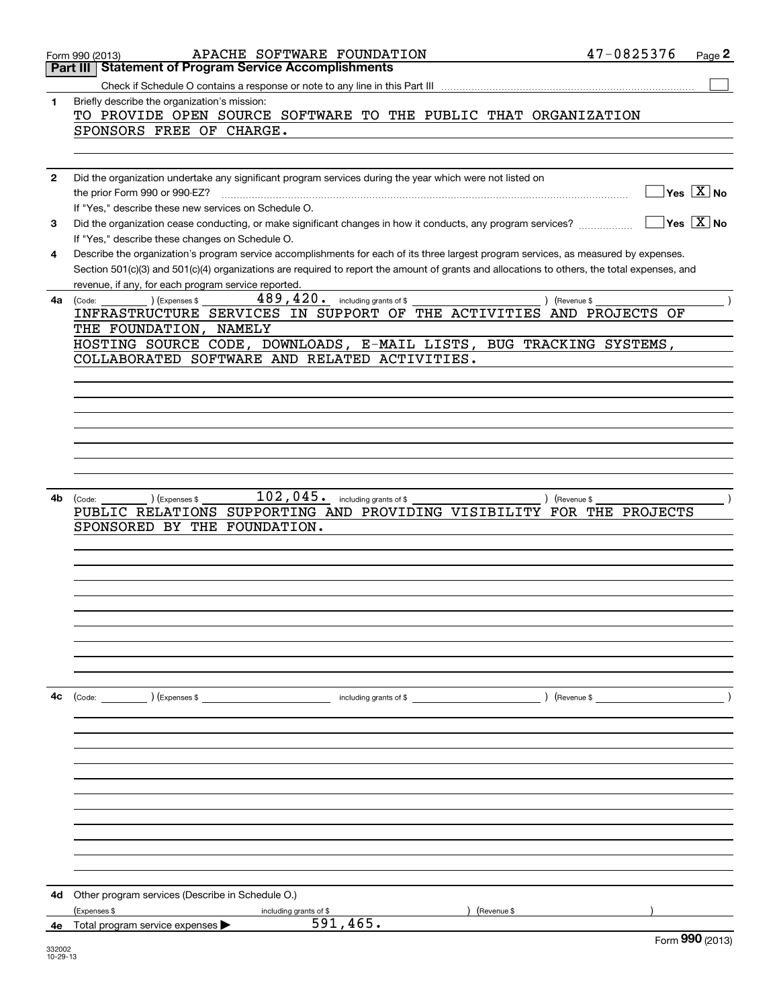|    | APACHE SOFTWARE FOUNDATION<br>Form 990 (2013)                                                                                                | 47-0825376    | Page 2          |
|----|----------------------------------------------------------------------------------------------------------------------------------------------|---------------|-----------------|
|    | <b>Statement of Program Service Accomplishments</b><br>Part III                                                                              |               |                 |
|    |                                                                                                                                              |               |                 |
| 1  | Briefly describe the organization's mission:                                                                                                 |               |                 |
|    | TO PROVIDE OPEN SOURCE SOFTWARE TO THE PUBLIC THAT ORGANIZATION                                                                              |               |                 |
|    | SPONSORS FREE OF CHARGE.                                                                                                                     |               |                 |
|    |                                                                                                                                              |               |                 |
|    |                                                                                                                                              |               |                 |
| 2  | Did the organization undertake any significant program services during the year which were not listed on                                     |               |                 |
|    | the prior Form 990 or 990-EZ?                                                                                                                |               | Yes $X$ No      |
|    | If "Yes," describe these new services on Schedule O.                                                                                         |               |                 |
| 3  | Did the organization cease conducting, or make significant changes in how it conducts, any program services?                                 |               | $Yes$ $X$ No    |
|    | If "Yes," describe these changes on Schedule O.                                                                                              |               |                 |
| 4  | Describe the organization's program service accomplishments for each of its three largest program services, as measured by expenses.         |               |                 |
|    | Section 501(c)(3) and 501(c)(4) organizations are required to report the amount of grants and allocations to others, the total expenses, and |               |                 |
|    | revenue, if any, for each program service reported.<br>$489, 420$ . including grants of \$<br>) (Expenses \$                                 |               |                 |
| 4a | (Code:<br>INFRASTRUCTURE SERVICES IN SUPPORT OF THE ACTIVITIES AND PROJECTS OF                                                               | ) (Revenue \$ |                 |
|    | THE FOUNDATION, NAMELY                                                                                                                       |               |                 |
|    | HOSTING SOURCE CODE, DOWNLOADS, E-MAIL LISTS, BUG TRACKING SYSTEMS,                                                                          |               |                 |
|    | COLLABORATED SOFTWARE AND RELATED ACTIVITIES.                                                                                                |               |                 |
|    |                                                                                                                                              |               |                 |
|    |                                                                                                                                              |               |                 |
|    |                                                                                                                                              |               |                 |
|    |                                                                                                                                              |               |                 |
|    |                                                                                                                                              |               |                 |
|    |                                                                                                                                              |               |                 |
|    |                                                                                                                                              |               |                 |
|    |                                                                                                                                              |               |                 |
| 4b | 102,045.<br>including grants of \$<br>) (Expenses \$<br>(Code:                                                                               | ) (Revenue \$ |                 |
|    | SUPPORTING AND PROVIDING VISIBILITY FOR THE PROJECTS<br>PUBLIC RELATIONS                                                                     |               |                 |
|    | SPONSORED BY THE<br>FOUNDATION.                                                                                                              |               |                 |
|    |                                                                                                                                              |               |                 |
|    |                                                                                                                                              |               |                 |
|    |                                                                                                                                              |               |                 |
|    |                                                                                                                                              |               |                 |
|    |                                                                                                                                              |               |                 |
|    |                                                                                                                                              |               |                 |
|    |                                                                                                                                              |               |                 |
|    |                                                                                                                                              |               |                 |
|    |                                                                                                                                              |               |                 |
|    |                                                                                                                                              |               |                 |
| 4с | $\text{(Code:}$ $\qquad \qquad$ $\text{(Expenses $}$<br>including grants of \$                                                               | ) (Revenue \$ |                 |
|    |                                                                                                                                              |               |                 |
|    |                                                                                                                                              |               |                 |
|    |                                                                                                                                              |               |                 |
|    |                                                                                                                                              |               |                 |
|    |                                                                                                                                              |               |                 |
|    |                                                                                                                                              |               |                 |
|    |                                                                                                                                              |               |                 |
|    |                                                                                                                                              |               |                 |
|    |                                                                                                                                              |               |                 |
|    |                                                                                                                                              |               |                 |
|    |                                                                                                                                              |               |                 |
| 4d | Other program services (Describe in Schedule O.)                                                                                             |               |                 |
|    | (Expenses \$<br>Revenue \$<br>including grants of \$                                                                                         |               |                 |
|    | 591,465.<br>4e Total program service expenses                                                                                                |               |                 |
|    |                                                                                                                                              |               | Form 990 (2013) |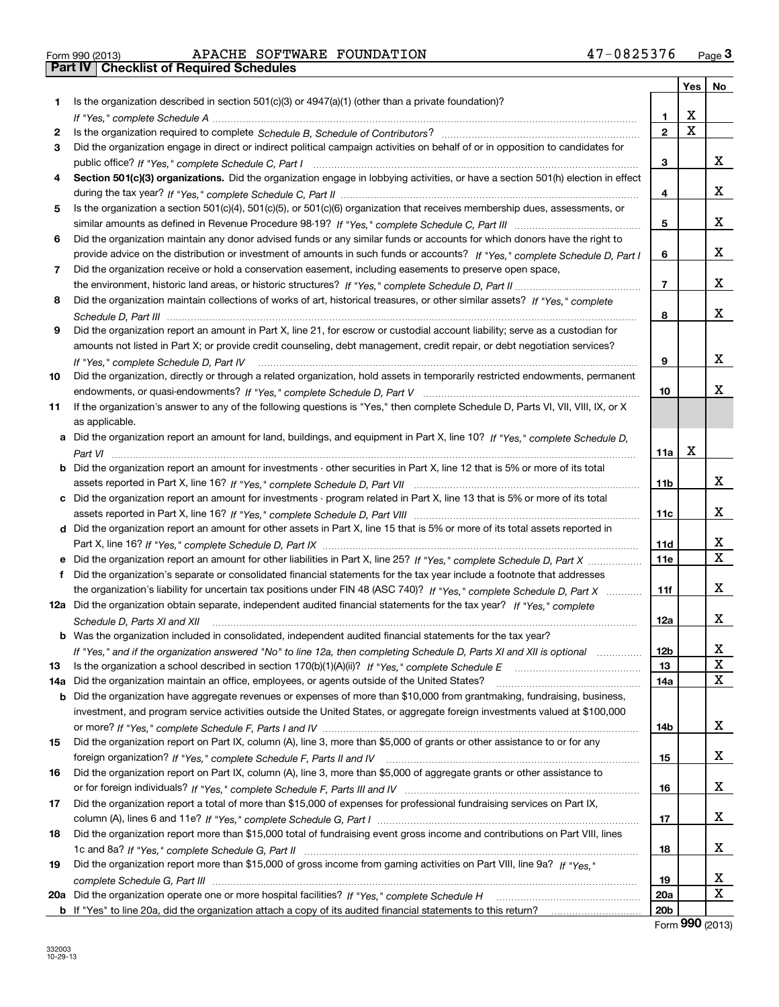| Form 990 (2013) |  |  |
|-----------------|--|--|

# Form 990 (2013) APACHE SOFTWARE FOUNDATION 47-0825376 <sub>Page</sub> 3<br>**Part IV | Checklist of Required Schedules**

|     |                                                                                                                                                                                                                                                   |                         | Yes         | No           |
|-----|---------------------------------------------------------------------------------------------------------------------------------------------------------------------------------------------------------------------------------------------------|-------------------------|-------------|--------------|
| 1   | Is the organization described in section $501(c)(3)$ or $4947(a)(1)$ (other than a private foundation)?                                                                                                                                           |                         |             |              |
|     |                                                                                                                                                                                                                                                   | 1.                      | X           |              |
| 2   |                                                                                                                                                                                                                                                   | $\overline{2}$          | $\mathbf x$ |              |
| 3   | Did the organization engage in direct or indirect political campaign activities on behalf of or in opposition to candidates for                                                                                                                   |                         |             |              |
|     |                                                                                                                                                                                                                                                   | 3                       |             | х            |
| 4   | Section 501(c)(3) organizations. Did the organization engage in lobbying activities, or have a section 501(h) election in effect                                                                                                                  |                         |             |              |
|     |                                                                                                                                                                                                                                                   | $\overline{\mathbf{4}}$ |             | х            |
| 5.  | Is the organization a section 501(c)(4), 501(c)(5), or 501(c)(6) organization that receives membership dues, assessments, or                                                                                                                      |                         |             |              |
|     |                                                                                                                                                                                                                                                   | 5                       |             | х            |
| 6   | Did the organization maintain any donor advised funds or any similar funds or accounts for which donors have the right to                                                                                                                         |                         |             |              |
|     | provide advice on the distribution or investment of amounts in such funds or accounts? If "Yes," complete Schedule D, Part I                                                                                                                      | 6                       |             | X.           |
| 7   | Did the organization receive or hold a conservation easement, including easements to preserve open space,                                                                                                                                         |                         |             |              |
|     |                                                                                                                                                                                                                                                   | $\overline{7}$          |             | x            |
| 8   | Did the organization maintain collections of works of art, historical treasures, or other similar assets? If "Yes," complete                                                                                                                      |                         |             |              |
|     |                                                                                                                                                                                                                                                   | 8                       |             | x            |
| 9   | Did the organization report an amount in Part X, line 21, for escrow or custodial account liability; serve as a custodian for                                                                                                                     |                         |             |              |
|     | amounts not listed in Part X; or provide credit counseling, debt management, credit repair, or debt negotiation services?                                                                                                                         |                         |             |              |
|     | If "Yes," complete Schedule D, Part IV                                                                                                                                                                                                            | 9                       |             | х            |
| 10  | Did the organization, directly or through a related organization, hold assets in temporarily restricted endowments, permanent                                                                                                                     |                         |             |              |
|     |                                                                                                                                                                                                                                                   | 10                      |             | x            |
| 11  | If the organization's answer to any of the following questions is "Yes," then complete Schedule D, Parts VI, VIII, VIII, IX, or X                                                                                                                 |                         |             |              |
|     | as applicable.                                                                                                                                                                                                                                    |                         |             |              |
|     | a Did the organization report an amount for land, buildings, and equipment in Part X, line 10? If "Yes," complete Schedule D,                                                                                                                     |                         | Х           |              |
|     |                                                                                                                                                                                                                                                   | 11a                     |             |              |
| b   | Did the organization report an amount for investments - other securities in Part X, line 12 that is 5% or more of its total                                                                                                                       |                         |             | x            |
|     |                                                                                                                                                                                                                                                   | 11 <sub>b</sub>         |             |              |
| c   | Did the organization report an amount for investments - program related in Part X, line 13 that is 5% or more of its total                                                                                                                        |                         |             | x            |
|     |                                                                                                                                                                                                                                                   | 11c                     |             |              |
|     | d Did the organization report an amount for other assets in Part X, line 15 that is 5% or more of its total assets reported in                                                                                                                    |                         |             | x            |
|     |                                                                                                                                                                                                                                                   | <b>11d</b><br>11e       |             | $\mathbf{x}$ |
|     | Did the organization report an amount for other liabilities in Part X, line 25? If "Yes," complete Schedule D, Part X                                                                                                                             |                         |             |              |
| f   | Did the organization's separate or consolidated financial statements for the tax year include a footnote that addresses<br>the organization's liability for uncertain tax positions under FIN 48 (ASC 740)? If "Yes," complete Schedule D, Part X | 11f                     |             | x            |
|     | 12a Did the organization obtain separate, independent audited financial statements for the tax year? If "Yes," complete                                                                                                                           |                         |             |              |
|     |                                                                                                                                                                                                                                                   | 12a                     |             | X.           |
|     | Schedule D, Parts XI and XII<br><b>b</b> Was the organization included in consolidated, independent audited financial statements for the tax year?                                                                                                |                         |             |              |
|     |                                                                                                                                                                                                                                                   | 12b                     |             | Χ            |
| 13  | If "Yes," and if the organization answered "No" to line 12a, then completing Schedule D, Parts XI and XII is optional                                                                                                                             | 13                      |             | $\mathbf X$  |
| 14a | Did the organization maintain an office, employees, or agents outside of the United States?                                                                                                                                                       | 14a                     |             | х            |
| b   | Did the organization have aggregate revenues or expenses of more than \$10,000 from grantmaking, fundraising, business,                                                                                                                           |                         |             |              |
|     | investment, and program service activities outside the United States, or aggregate foreign investments valued at \$100,000                                                                                                                        |                         |             |              |
|     |                                                                                                                                                                                                                                                   | 14b                     |             | X.           |
| 15  | Did the organization report on Part IX, column (A), line 3, more than \$5,000 of grants or other assistance to or for any                                                                                                                         |                         |             |              |
|     |                                                                                                                                                                                                                                                   | 15                      |             | x            |
| 16  | Did the organization report on Part IX, column (A), line 3, more than \$5,000 of aggregate grants or other assistance to                                                                                                                          |                         |             |              |
|     |                                                                                                                                                                                                                                                   | 16                      |             | x            |
| 17  | Did the organization report a total of more than \$15,000 of expenses for professional fundraising services on Part IX,                                                                                                                           |                         |             |              |
|     |                                                                                                                                                                                                                                                   | 17                      |             | x            |
| 18  | Did the organization report more than \$15,000 total of fundraising event gross income and contributions on Part VIII, lines                                                                                                                      |                         |             |              |
|     |                                                                                                                                                                                                                                                   | 18                      |             | x            |
| 19  | Did the organization report more than \$15,000 of gross income from gaming activities on Part VIII, line 9a? If "Yes."                                                                                                                            |                         |             |              |
|     |                                                                                                                                                                                                                                                   | 19                      |             | X            |
| 20a |                                                                                                                                                                                                                                                   | 20a                     |             | X            |
|     |                                                                                                                                                                                                                                                   | 20 <sub>b</sub>         |             |              |

Form **990** (2013)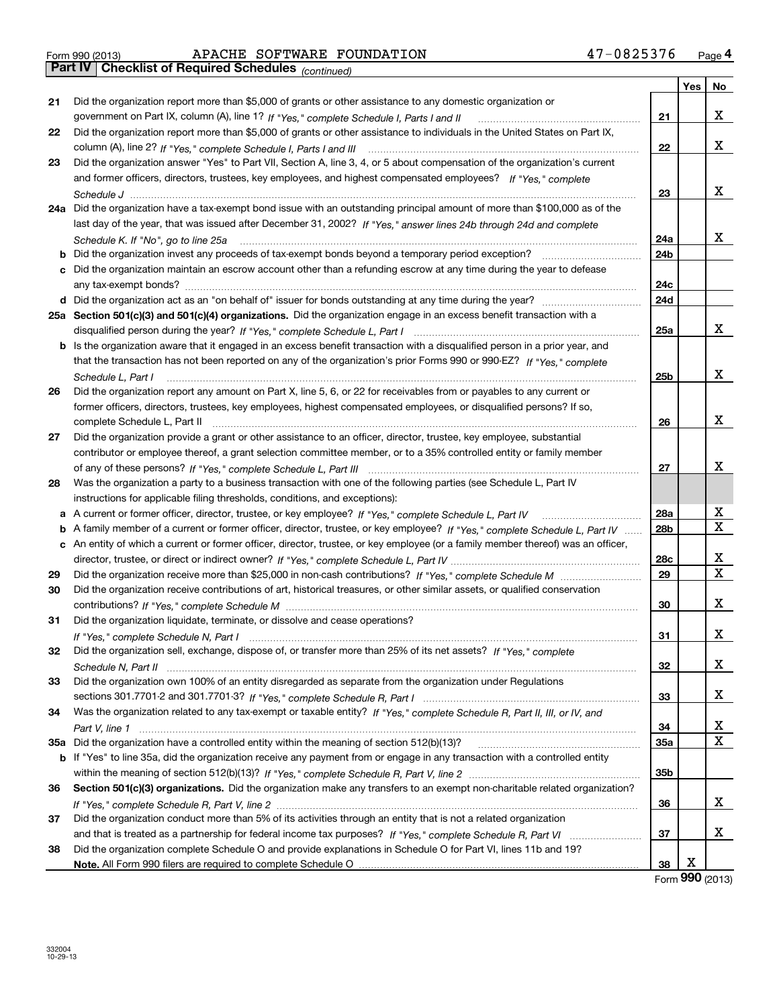# Form 990 (2013) APACHE SOFTWARE FOUNDATION 47-0825376 <sub>Page</sub> 4<br>**Part IV | Checklist of Required Schedules** <sub>(continued)</sub>

*(continued)*

|          |                                                                                                                                     |                 | Yes | No     |
|----------|-------------------------------------------------------------------------------------------------------------------------------------|-----------------|-----|--------|
| 21       | Did the organization report more than \$5,000 of grants or other assistance to any domestic organization or                         |                 |     |        |
|          | government on Part IX, column (A), line 1? If "Yes," complete Schedule I, Parts I and II                                            | 21              |     | x      |
| 22       | Did the organization report more than \$5,000 of grants or other assistance to individuals in the United States on Part IX,         |                 |     |        |
|          |                                                                                                                                     | 22              |     | x      |
| 23       | Did the organization answer "Yes" to Part VII, Section A, line 3, 4, or 5 about compensation of the organization's current          |                 |     |        |
|          | and former officers, directors, trustees, key employees, and highest compensated employees? If "Yes," complete                      |                 |     |        |
|          |                                                                                                                                     | 23              |     | x      |
|          | 24a Did the organization have a tax-exempt bond issue with an outstanding principal amount of more than \$100,000 as of the         |                 |     |        |
|          | last day of the year, that was issued after December 31, 2002? If "Yes," answer lines 24b through 24d and complete                  |                 |     |        |
|          | Schedule K. If "No", go to line 25a                                                                                                 | 24a             |     | x      |
|          |                                                                                                                                     | 24b             |     |        |
| с        | Did the organization maintain an escrow account other than a refunding escrow at any time during the year to defease                |                 |     |        |
|          |                                                                                                                                     | 24c             |     |        |
|          |                                                                                                                                     | 24d             |     |        |
|          | 25a Section 501(c)(3) and 501(c)(4) organizations. Did the organization engage in an excess benefit transaction with a              |                 |     |        |
|          |                                                                                                                                     | 25a             |     | x      |
|          | <b>b</b> Is the organization aware that it engaged in an excess benefit transaction with a disqualified person in a prior year, and |                 |     |        |
|          | that the transaction has not been reported on any of the organization's prior Forms 990 or 990-EZ? If "Yes." complete               |                 |     |        |
|          | Schedule L, Part I                                                                                                                  | 25b             |     | x      |
| 26       | Did the organization report any amount on Part X, line 5, 6, or 22 for receivables from or payables to any current or               |                 |     |        |
|          | former officers, directors, trustees, key employees, highest compensated employees, or disqualified persons? If so,                 |                 |     |        |
|          | complete Schedule L, Part II                                                                                                        | 26              |     | x      |
| 27       | Did the organization provide a grant or other assistance to an officer, director, trustee, key employee, substantial                |                 |     |        |
|          | contributor or employee thereof, a grant selection committee member, or to a 35% controlled entity or family member                 |                 |     |        |
|          |                                                                                                                                     | 27              |     | x      |
| 28       | Was the organization a party to a business transaction with one of the following parties (see Schedule L, Part IV                   |                 |     |        |
|          | instructions for applicable filing thresholds, conditions, and exceptions):                                                         |                 |     |        |
| а        |                                                                                                                                     | 28a             |     | x<br>x |
| b        | A family member of a current or former officer, director, trustee, or key employee? If "Yes," complete Schedule L, Part IV          | 28 <sub>b</sub> |     |        |
|          | c An entity of which a current or former officer, director, trustee, or key employee (or a family member thereof) was an officer,   |                 |     | х      |
|          |                                                                                                                                     | 28c<br>29       |     | X      |
| 29<br>30 |                                                                                                                                     |                 |     |        |
|          | Did the organization receive contributions of art, historical treasures, or other similar assets, or qualified conservation         | 30              |     | x      |
| 31       | Did the organization liquidate, terminate, or dissolve and cease operations?                                                        |                 |     |        |
|          |                                                                                                                                     | 31              |     | x      |
| 32       | Did the organization sell, exchange, dispose of, or transfer more than 25% of its net assets? If "Yes," complete                    |                 |     |        |
|          |                                                                                                                                     | 32              |     | х      |
| 33       | Did the organization own 100% of an entity disregarded as separate from the organization under Regulations                          |                 |     |        |
|          |                                                                                                                                     | 33              |     | х      |
| 34       | Was the organization related to any tax-exempt or taxable entity? If "Yes," complete Schedule R, Part II, III, or IV, and           |                 |     |        |
|          |                                                                                                                                     | 34              |     | х      |
|          | 35a Did the organization have a controlled entity within the meaning of section 512(b)(13)?                                         | 35a             |     | Χ      |
|          | b If "Yes" to line 35a, did the organization receive any payment from or engage in any transaction with a controlled entity         |                 |     |        |
|          |                                                                                                                                     | 35 <sub>b</sub> |     |        |
| 36       | Section 501(c)(3) organizations. Did the organization make any transfers to an exempt non-charitable related organization?          |                 |     |        |
|          |                                                                                                                                     | 36              |     | х      |
| 37       | Did the organization conduct more than 5% of its activities through an entity that is not a related organization                    |                 |     |        |
|          |                                                                                                                                     | 37              |     | х      |
| 38       | Did the organization complete Schedule O and provide explanations in Schedule O for Part VI, lines 11b and 19?                      |                 |     |        |
|          |                                                                                                                                     | 38              | X   |        |

Form **990** (2013)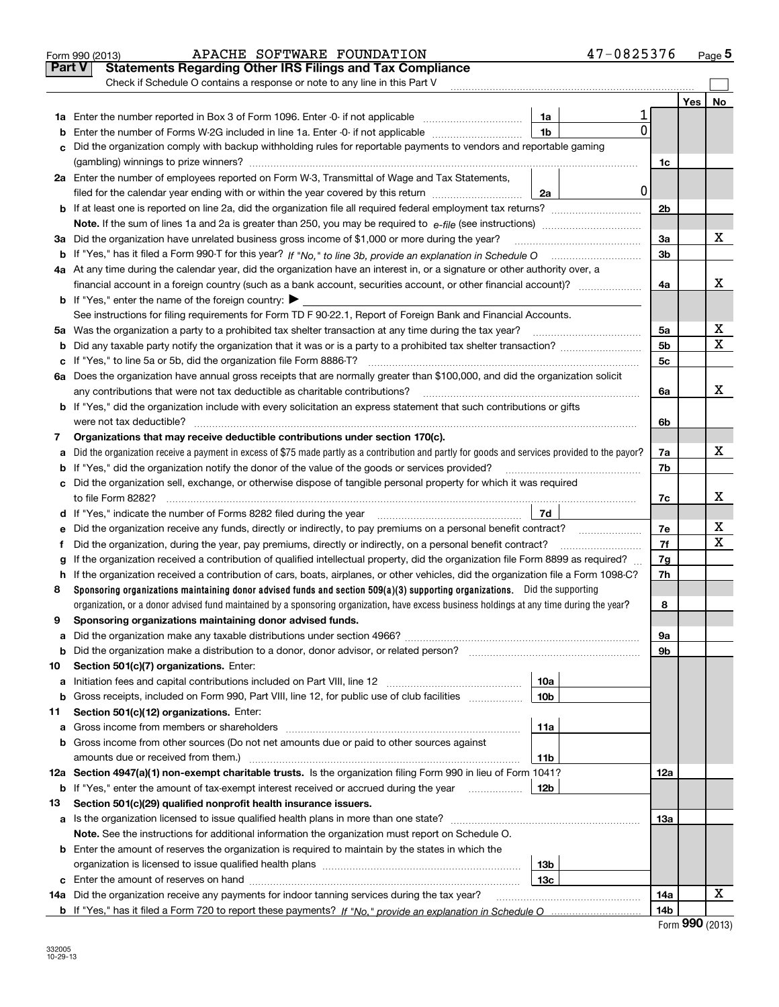|               | APACHE SOFTWARE FOUNDATION<br>Form 990 (2013)                                                                                                   |                 | 47-0825376  |                |     | Page 5 |
|---------------|-------------------------------------------------------------------------------------------------------------------------------------------------|-----------------|-------------|----------------|-----|--------|
| <b>Part V</b> | <b>Statements Regarding Other IRS Filings and Tax Compliance</b>                                                                                |                 |             |                |     |        |
|               | Check if Schedule O contains a response or note to any line in this Part V                                                                      |                 |             |                |     |        |
|               |                                                                                                                                                 |                 |             |                | Yes | No     |
|               |                                                                                                                                                 | 1a              |             |                |     |        |
| b             | Enter the number of Forms W-2G included in line 1a. Enter -0- if not applicable                                                                 | 1 <sub>b</sub>  | 0           |                |     |        |
| с             | Did the organization comply with backup withholding rules for reportable payments to vendors and reportable gaming                              |                 |             |                |     |        |
|               |                                                                                                                                                 |                 |             | 1c             |     |        |
|               | 2a Enter the number of employees reported on Form W-3, Transmittal of Wage and Tax Statements,                                                  |                 |             |                |     |        |
|               | filed for the calendar year ending with or within the year covered by this return                                                               | 2a              | $\mathbf 0$ |                |     |        |
|               |                                                                                                                                                 |                 |             | 2 <sub>b</sub> |     |        |
|               |                                                                                                                                                 |                 |             |                |     |        |
| За            | Did the organization have unrelated business gross income of \$1,000 or more during the year?                                                   |                 |             | 3a             |     | х      |
|               |                                                                                                                                                 |                 |             | 3b             |     |        |
|               | 4a At any time during the calendar year, did the organization have an interest in, or a signature or other authority over, a                    |                 |             |                |     |        |
|               |                                                                                                                                                 |                 |             | 4a             |     | х      |
|               | <b>b</b> If "Yes," enter the name of the foreign country: $\blacktriangleright$                                                                 |                 |             |                |     |        |
|               | See instructions for filing requirements for Form TD F 90-22.1, Report of Foreign Bank and Financial Accounts.                                  |                 |             |                |     |        |
|               |                                                                                                                                                 |                 |             | 5а             |     | х      |
| b             |                                                                                                                                                 |                 |             | 5b             |     | х      |
| с             |                                                                                                                                                 |                 |             | 5c             |     |        |
|               | 6a Does the organization have annual gross receipts that are normally greater than \$100,000, and did the organization solicit                  |                 |             |                |     |        |
|               | any contributions that were not tax deductible as charitable contributions?                                                                     |                 |             | 6a             |     | х      |
|               | <b>b</b> If "Yes," did the organization include with every solicitation an express statement that such contributions or gifts                   |                 |             |                |     |        |
|               | were not tax deductible?                                                                                                                        |                 |             | 6b             |     |        |
| 7             | Organizations that may receive deductible contributions under section 170(c).                                                                   |                 |             |                |     |        |
| а             | Did the organization receive a payment in excess of \$75 made partly as a contribution and partly for goods and services provided to the payor? |                 |             | 7a             |     | х      |
| b             | If "Yes," did the organization notify the donor of the value of the goods or services provided?                                                 |                 |             | 7b             |     |        |
|               | c Did the organization sell, exchange, or otherwise dispose of tangible personal property for which it was required                             |                 |             |                |     |        |
|               |                                                                                                                                                 |                 |             | 7c             |     | х      |
|               |                                                                                                                                                 |                 |             |                |     |        |
| е             |                                                                                                                                                 |                 |             | 7e             |     | х      |
| f             | Did the organization, during the year, pay premiums, directly or indirectly, on a personal benefit contract?                                    |                 |             | 7f             |     | х      |
| g             | If the organization received a contribution of qualified intellectual property, did the organization file Form 8899 as required?                |                 |             | 7g             |     |        |
| h             | If the organization received a contribution of cars, boats, airplanes, or other vehicles, did the organization file a Form 1098-C?              |                 |             | 7h             |     |        |
| 8             | Sponsoring organizations maintaining donor advised funds and section $509(a)(3)$ supporting organizations. Did the supporting                   |                 |             |                |     |        |
|               | organization, or a donor advised fund maintained by a sponsoring organization, have excess business holdings at any time during the year?       |                 |             | 8              |     |        |
|               | Sponsoring organizations maintaining donor advised funds.                                                                                       |                 |             |                |     |        |
| а             |                                                                                                                                                 |                 |             | 9а             |     |        |
| b             | Did the organization make a distribution to a donor, donor advisor, or related person?                                                          |                 |             | 9b             |     |        |
| 10            | Section 501(c)(7) organizations. Enter:                                                                                                         |                 |             |                |     |        |
| а             |                                                                                                                                                 | 10a             |             |                |     |        |
| b             | Gross receipts, included on Form 990, Part VIII, line 12, for public use of club facilities                                                     | 10 <sub>b</sub> |             |                |     |        |
| 11            | Section 501(c)(12) organizations. Enter:                                                                                                        |                 |             |                |     |        |
| а             |                                                                                                                                                 | 11a             |             |                |     |        |
| b             | Gross income from other sources (Do not net amounts due or paid to other sources against                                                        |                 |             |                |     |        |
|               | amounts due or received from them.)                                                                                                             | <b>11b</b>      |             |                |     |        |
|               | 12a Section 4947(a)(1) non-exempt charitable trusts. Is the organization filing Form 990 in lieu of Form 1041?                                  |                 |             | 12a            |     |        |
| b             | If "Yes," enter the amount of tax-exempt interest received or accrued during the year <i>manuming</i>                                           | 12b             |             |                |     |        |
| 13            | Section 501(c)(29) qualified nonprofit health insurance issuers.                                                                                |                 |             |                |     |        |
| а             | Is the organization licensed to issue qualified health plans in more than one state?                                                            |                 |             | 13a            |     |        |
|               | Note. See the instructions for additional information the organization must report on Schedule O.                                               |                 |             |                |     |        |
|               | <b>b</b> Enter the amount of reserves the organization is required to maintain by the states in which the                                       |                 |             |                |     |        |
|               |                                                                                                                                                 | 13b             |             |                |     |        |
| c             |                                                                                                                                                 | 13с             |             |                |     |        |
|               | 14a Did the organization receive any payments for indoor tanning services during the tax year?                                                  |                 |             | 14a            |     | х      |
|               |                                                                                                                                                 |                 |             | 14b            |     |        |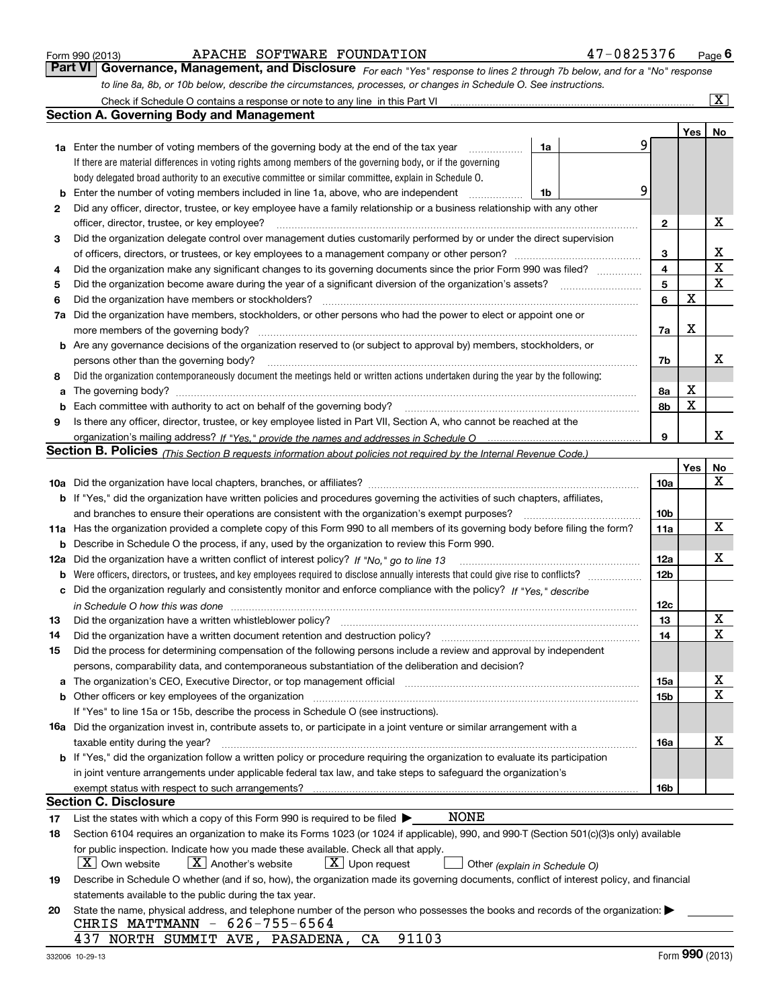|  | Form 990 (2013) |
|--|-----------------|
|  |                 |

#### APACHE SOFTWARE FOUNDATION 47-0825376

*For each "Yes" response to lines 2 through 7b below, and for a "No" response to line 8a, 8b, or 10b below, describe the circumstances, processes, or changes in Schedule O. See instructions.* Form 990 (2013) **1998 1205 1206 Page 6**<br>**Part VI** | Governance, Management, and Disclosure *For each "Yes" response to lines 2 through 7b below, and for a "No" response* Check if Schedule O contains a response or note to any line in this Part VI

|    | Check if Schedule O contains a response or note to any line in this Part VI                                                                                           |    |   |                 |                  | $\boxed{\text{X}}$ |  |  |  |  |
|----|-----------------------------------------------------------------------------------------------------------------------------------------------------------------------|----|---|-----------------|------------------|--------------------|--|--|--|--|
|    | Section A. Governing Body and Management                                                                                                                              |    |   |                 |                  |                    |  |  |  |  |
|    |                                                                                                                                                                       |    |   |                 | Yes <sub>1</sub> | No                 |  |  |  |  |
|    | 1a Enter the number of voting members of the governing body at the end of the tax year                                                                                | 1a | 9 |                 |                  |                    |  |  |  |  |
|    | If there are material differences in voting rights among members of the governing body, or if the governing                                                           |    |   |                 |                  |                    |  |  |  |  |
|    | body delegated broad authority to an executive committee or similar committee, explain in Schedule O.                                                                 |    |   |                 |                  |                    |  |  |  |  |
| b  | 9<br>Enter the number of voting members included in line 1a, above, who are independent<br>1b                                                                         |    |   |                 |                  |                    |  |  |  |  |
| 2  | Did any officer, director, trustee, or key employee have a family relationship or a business relationship with any other                                              |    |   |                 |                  |                    |  |  |  |  |
|    | officer, director, trustee, or key employee?                                                                                                                          |    | . | 2               |                  | х                  |  |  |  |  |
| 3  | Did the organization delegate control over management duties customarily performed by or under the direct supervision                                                 |    |   |                 |                  |                    |  |  |  |  |
|    |                                                                                                                                                                       |    |   | 3               |                  | х                  |  |  |  |  |
| 4  | Did the organization make any significant changes to its governing documents since the prior Form 990 was filed?                                                      |    |   | 4               |                  | $\mathbf X$        |  |  |  |  |
| 5  |                                                                                                                                                                       |    |   | 5               |                  | $\mathbf X$        |  |  |  |  |
| 6  | Did the organization have members or stockholders?                                                                                                                    |    |   | 6               | X                |                    |  |  |  |  |
| 7a | Did the organization have members, stockholders, or other persons who had the power to elect or appoint one or                                                        |    |   |                 |                  |                    |  |  |  |  |
|    | more members of the governing body?                                                                                                                                   |    |   | 7a              | х                |                    |  |  |  |  |
|    | <b>b</b> Are any governance decisions of the organization reserved to (or subject to approval by) members, stockholders, or                                           |    |   |                 |                  |                    |  |  |  |  |
|    | persons other than the governing body?                                                                                                                                |    |   | 7b              |                  | х                  |  |  |  |  |
| 8  | Did the organization contemporaneously document the meetings held or written actions undertaken during the year by the following:                                     |    |   |                 |                  |                    |  |  |  |  |
| a  |                                                                                                                                                                       |    |   | 8a              | Х                |                    |  |  |  |  |
| b  |                                                                                                                                                                       |    |   | 8b              | X                |                    |  |  |  |  |
| 9  | Is there any officer, director, trustee, or key employee listed in Part VII, Section A, who cannot be reached at the                                                  |    |   |                 |                  |                    |  |  |  |  |
|    |                                                                                                                                                                       |    |   | 9               |                  | x                  |  |  |  |  |
|    | <b>Section B. Policies</b> (This Section B requests information about policies not required by the Internal Revenue Code.)                                            |    |   |                 |                  |                    |  |  |  |  |
|    |                                                                                                                                                                       |    |   |                 | Yes              | No                 |  |  |  |  |
|    |                                                                                                                                                                       |    |   | 10a             |                  | X                  |  |  |  |  |
|    | <b>b</b> If "Yes," did the organization have written policies and procedures governing the activities of such chapters, affiliates,                                   |    |   |                 |                  |                    |  |  |  |  |
|    | and branches to ensure their operations are consistent with the organization's exempt purposes?                                                                       |    |   | 10 <sub>b</sub> |                  |                    |  |  |  |  |
|    | 11a Has the organization provided a complete copy of this Form 990 to all members of its governing body before filing the form?                                       |    |   | 11a             |                  | $\mathbf X$        |  |  |  |  |
| b  | Describe in Schedule O the process, if any, used by the organization to review this Form 990.                                                                         |    |   |                 |                  |                    |  |  |  |  |
|    | 12a Did the organization have a written conflict of interest policy? If "No," go to line 13                                                                           |    |   | 12a             |                  | x                  |  |  |  |  |
| b  |                                                                                                                                                                       |    |   | 12 <sub>b</sub> |                  |                    |  |  |  |  |
| c  | Did the organization regularly and consistently monitor and enforce compliance with the policy? If "Yes." describe                                                    |    |   |                 |                  |                    |  |  |  |  |
|    | in Schedule O how this was done measured and contained a state of the state of the state of the state of the s                                                        |    |   | 12c             |                  |                    |  |  |  |  |
| 13 | Did the organization have a written whistleblower policy?                                                                                                             |    |   | 13              |                  | $\mathbf X$        |  |  |  |  |
| 14 | Did the organization have a written document retention and destruction policy?                                                                                        |    |   | 14              |                  | х                  |  |  |  |  |
| 15 | Did the process for determining compensation of the following persons include a review and approval by independent                                                    |    |   |                 |                  |                    |  |  |  |  |
|    | persons, comparability data, and contemporaneous substantiation of the deliberation and decision?                                                                     |    |   |                 |                  |                    |  |  |  |  |
|    | The organization's CEO, Executive Director, or top management official manufactured content of the organization's CEO, Executive Director, or top management official |    |   | 15a             |                  | х                  |  |  |  |  |
| a  | <b>b</b> Other officers or key employees of the organization                                                                                                          |    |   | 15b             |                  | Χ                  |  |  |  |  |
|    | If "Yes" to line 15a or 15b, describe the process in Schedule O (see instructions).                                                                                   |    |   |                 |                  |                    |  |  |  |  |
|    | <b>16a</b> Did the organization invest in, contribute assets to, or participate in a joint venture or similar arrangement with a                                      |    |   |                 |                  |                    |  |  |  |  |
|    | taxable entity during the year?                                                                                                                                       |    |   | 16a             |                  | х                  |  |  |  |  |
|    | b If "Yes," did the organization follow a written policy or procedure requiring the organization to evaluate its participation                                        |    |   |                 |                  |                    |  |  |  |  |
|    | in joint venture arrangements under applicable federal tax law, and take steps to safequard the organization's                                                        |    |   |                 |                  |                    |  |  |  |  |
|    | exempt status with respect to such arrangements?                                                                                                                      |    |   | 16b             |                  |                    |  |  |  |  |
|    | <b>Section C. Disclosure</b>                                                                                                                                          |    |   |                 |                  |                    |  |  |  |  |
| 17 | NONE<br>List the states with which a copy of this Form 990 is required to be filed $\blacktriangleright$                                                              |    |   |                 |                  |                    |  |  |  |  |
| 18 | Section 6104 requires an organization to make its Forms 1023 (or 1024 if applicable), 990, and 990-T (Section 501(c)(3)s only) available                              |    |   |                 |                  |                    |  |  |  |  |
|    | for public inspection. Indicate how you made these available. Check all that apply.                                                                                   |    |   |                 |                  |                    |  |  |  |  |
|    | $X$ Own website<br>$X$ Another's website<br>$X$ Upon request<br>Other (explain in Schedule O)                                                                         |    |   |                 |                  |                    |  |  |  |  |
| 19 | Describe in Schedule O whether (and if so, how), the organization made its governing documents, conflict of interest policy, and financial                            |    |   |                 |                  |                    |  |  |  |  |
|    | statements available to the public during the tax year.                                                                                                               |    |   |                 |                  |                    |  |  |  |  |
| 20 | State the name, physical address, and telephone number of the person who possesses the books and records of the organization:                                         |    |   |                 |                  |                    |  |  |  |  |
|    | CHRIS MATTMANN - 626-755-6564                                                                                                                                         |    |   |                 |                  |                    |  |  |  |  |
|    | 91103<br>437 NORTH SUMMIT AVE, PASADENA,<br>CA                                                                                                                        |    |   |                 |                  |                    |  |  |  |  |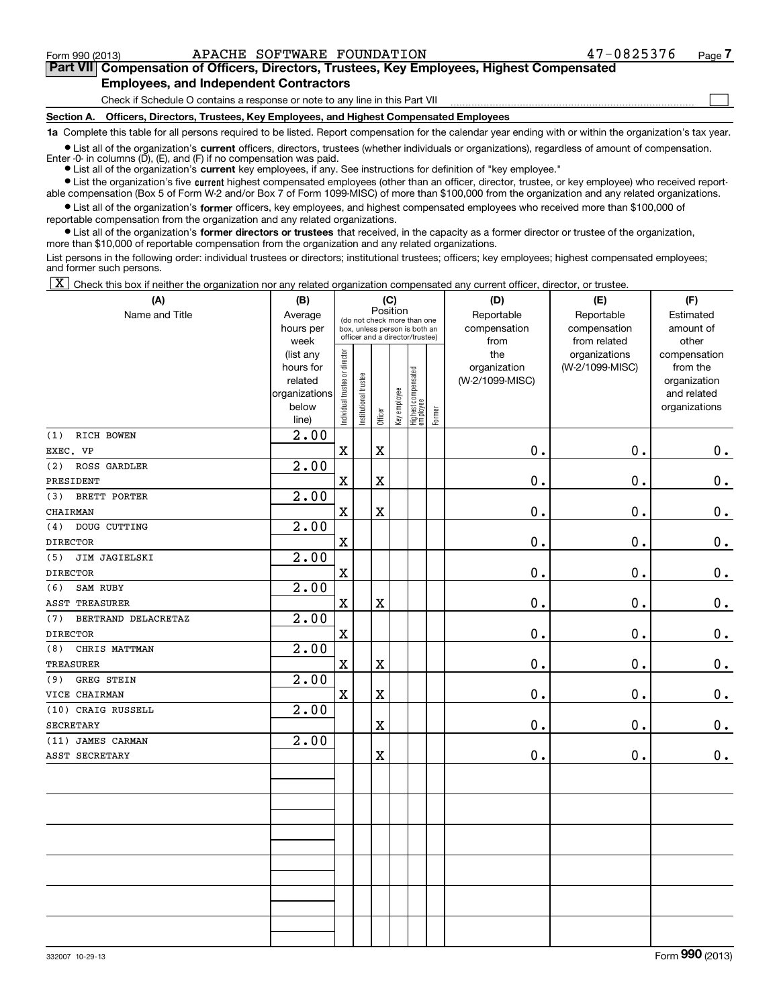$\mathcal{L}^{\text{max}}$ 

## **7Part VII Compensation of Officers, Directors, Trustees, Key Employees, Highest Compensated Employees, and Independent Contractors**

Check if Schedule O contains a response or note to any line in this Part VII

**Section A. Officers, Directors, Trustees, Key Employees, and Highest Compensated Employees**

**1a**  Complete this table for all persons required to be listed. Report compensation for the calendar year ending with or within the organization's tax year.

**•** List all of the organization's current officers, directors, trustees (whether individuals or organizations), regardless of amount of compensation.

● List all of the organization's **current** key employees, if any. See instructions for definition of "key employee." Enter -0- in columns  $(D)$ ,  $(E)$ , and  $(F)$  if no compensation was paid.

**•** List the organization's five current highest compensated employees (other than an officer, director, trustee, or key employee) who received reportable compensation (Box 5 of Form W-2 and/or Box 7 of Form 1099-MISC) of more than \$100,000 from the organization and any related organizations.

 $\bullet$  List all of the organization's **former** officers, key employees, and highest compensated employees who received more than \$100,000 of reportable compensation from the organization and any related organizations.

**•** List all of the organization's former directors or trustees that received, in the capacity as a former director or trustee of the organization, more than \$10,000 of reportable compensation from the organization and any related organizations.

List persons in the following order: individual trustees or directors; institutional trustees; officers; key employees; highest compensated employees; and former such persons.

 $\boxed{\textbf{X}}$  Check this box if neither the organization nor any related organization compensated any current officer, director, or trustee.

| (A)                        | (C)<br>(B)         |                               |                      |                                 |              |                                                              |        | (D)             | (F)             |               |  |  |
|----------------------------|--------------------|-------------------------------|----------------------|---------------------------------|--------------|--------------------------------------------------------------|--------|-----------------|-----------------|---------------|--|--|
| Name and Title             | Average            |                               |                      | Position                        |              |                                                              |        | Reportable      | Reportable      | Estimated     |  |  |
|                            | hours per          |                               |                      |                                 |              | (do not check more than one<br>box, unless person is both an |        | compensation    | compensation    | amount of     |  |  |
|                            | week               |                               |                      | officer and a director/trustee) |              |                                                              |        | from            | from related    | other         |  |  |
|                            | (list any          |                               |                      |                                 |              |                                                              |        | the             | organizations   | compensation  |  |  |
|                            | hours for          |                               |                      |                                 |              |                                                              |        | organization    | (W-2/1099-MISC) | from the      |  |  |
|                            | related            |                               |                      |                                 |              |                                                              |        | (W-2/1099-MISC) |                 | organization  |  |  |
|                            | organizations      |                               |                      |                                 |              |                                                              |        |                 |                 | and related   |  |  |
|                            | below<br>line)     | ndividual trustee or director | nstitutional trustee | Officer                         | Key employee | Highest compensated<br>employee                              | Former |                 |                 | organizations |  |  |
| RICH BOWEN<br>(1)          | $\overline{2.00}$  |                               |                      |                                 |              |                                                              |        |                 |                 |               |  |  |
| EXEC. VP                   |                    | $\mathbf X$                   |                      | $\mathbf x$                     |              |                                                              |        | 0.              | 0.              | $0_{.}$       |  |  |
| ROSS GARDLER<br>(2)        | 2.00               |                               |                      |                                 |              |                                                              |        |                 |                 |               |  |  |
| PRESIDENT                  |                    | $\mathbf X$                   |                      | $\mathbf X$                     |              |                                                              |        | 0.              | 0.              | 0.            |  |  |
| BRETT PORTER<br>(3)        | $\overline{2}$ .00 |                               |                      |                                 |              |                                                              |        |                 |                 |               |  |  |
| CHAIRMAN                   |                    | $\mathbf X$                   |                      | $\mathbf x$                     |              |                                                              |        | 0.              | $\mathbf 0$ .   | $\mathbf 0$ . |  |  |
| DOUG CUTTING<br>(4)        | 2.00               |                               |                      |                                 |              |                                                              |        |                 |                 |               |  |  |
| <b>DIRECTOR</b>            |                    | $\mathbf X$                   |                      |                                 |              |                                                              |        | 0.              | 0.              | $0_{.}$       |  |  |
| (5)<br>JIM JAGIELSKI       | 2.00               |                               |                      |                                 |              |                                                              |        |                 |                 |               |  |  |
| <b>DIRECTOR</b>            |                    | $\mathbf X$                   |                      |                                 |              |                                                              |        | 0.              | $\mathbf 0$ .   | $\mathbf 0$ . |  |  |
| SAM RUBY<br>(6)            | 2.00               |                               |                      |                                 |              |                                                              |        |                 |                 |               |  |  |
| <b>ASST TREASURER</b>      |                    | $\mathbf X$                   |                      | $\mathbf X$                     |              |                                                              |        | 0.              | $\mathbf 0$ .   | 0.            |  |  |
| BERTRAND DELACRETAZ<br>(7) | 2.00               |                               |                      |                                 |              |                                                              |        |                 |                 |               |  |  |
| <b>DIRECTOR</b>            |                    | $\mathbf X$                   |                      |                                 |              |                                                              |        | 0.              | $\mathbf 0$ .   | $\mathbf 0$ . |  |  |
| CHRIS MATTMAN<br>(8)       | $\overline{2.00}$  |                               |                      |                                 |              |                                                              |        |                 |                 |               |  |  |
| <b>TREASURER</b>           |                    | $\mathbf X$                   |                      | $\mathbf X$                     |              |                                                              |        | 0.              | 0.              | 0.            |  |  |
| GREG STEIN<br>(9)          | 2.00               |                               |                      |                                 |              |                                                              |        |                 |                 |               |  |  |
| VICE CHAIRMAN              |                    | $\mathbf X$                   |                      | $\mathbf X$                     |              |                                                              |        | 0.              | 0.              | 0.            |  |  |
| (10) CRAIG RUSSELL         | $\overline{2.00}$  |                               |                      |                                 |              |                                                              |        |                 |                 |               |  |  |
| <b>SECRETARY</b>           |                    |                               |                      | X                               |              |                                                              |        | $0$ .           | 0.              | 0.            |  |  |
| (11) JAMES CARMAN          | $\overline{2.00}$  |                               |                      |                                 |              |                                                              |        |                 |                 |               |  |  |
| ASST SECRETARY             |                    |                               |                      | $\mathbf X$                     |              |                                                              |        | 0.              | 0.              | 0.            |  |  |
|                            |                    |                               |                      |                                 |              |                                                              |        |                 |                 |               |  |  |
|                            |                    |                               |                      |                                 |              |                                                              |        |                 |                 |               |  |  |
|                            |                    |                               |                      |                                 |              |                                                              |        |                 |                 |               |  |  |
|                            |                    |                               |                      |                                 |              |                                                              |        |                 |                 |               |  |  |
|                            |                    |                               |                      |                                 |              |                                                              |        |                 |                 |               |  |  |
|                            |                    |                               |                      |                                 |              |                                                              |        |                 |                 |               |  |  |
|                            |                    |                               |                      |                                 |              |                                                              |        |                 |                 |               |  |  |
|                            |                    |                               |                      |                                 |              |                                                              |        |                 |                 |               |  |  |
|                            |                    |                               |                      |                                 |              |                                                              |        |                 |                 |               |  |  |
|                            |                    |                               |                      |                                 |              |                                                              |        |                 |                 |               |  |  |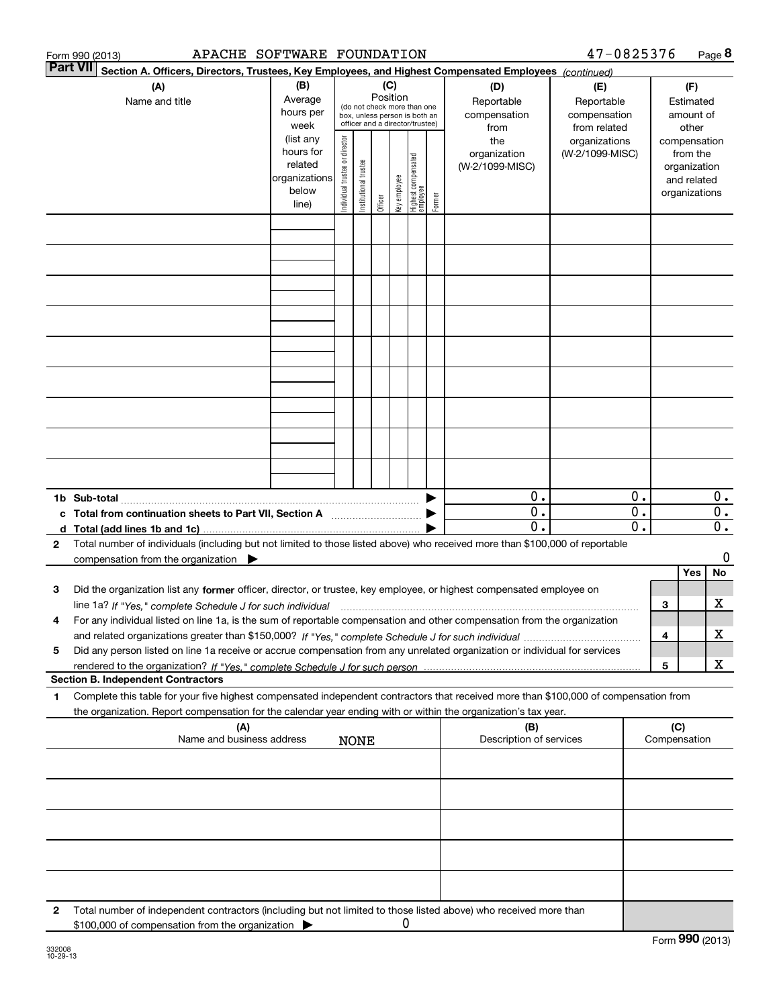|   | APACHE SOFTWARE FOUNDATION<br>Form 990 (2013)                                                                                                                                                                                              |                                                                      |                                                                                                 |                       |         |                 |                                 |        |                                           | 47-0825376                                        |                  |     |                                                                          | Page 8           |
|---|--------------------------------------------------------------------------------------------------------------------------------------------------------------------------------------------------------------------------------------------|----------------------------------------------------------------------|-------------------------------------------------------------------------------------------------|-----------------------|---------|-----------------|---------------------------------|--------|-------------------------------------------|---------------------------------------------------|------------------|-----|--------------------------------------------------------------------------|------------------|
|   | <b>Part VII</b><br>Section A. Officers, Directors, Trustees, Key Employees, and Highest Compensated Employees (continued)                                                                                                                  |                                                                      |                                                                                                 |                       |         |                 |                                 |        |                                           |                                                   |                  |     |                                                                          |                  |
|   | (A)<br>Name and title                                                                                                                                                                                                                      | (B)<br>Average<br>hours per<br>week                                  | (do not check more than one<br>box, unless person is both an<br>officer and a director/trustee) |                       |         | (C)<br>Position |                                 |        | (D)<br>Reportable<br>compensation<br>from | (E)<br>Reportable<br>compensation<br>from related |                  |     | (F)<br>Estimated<br>amount of<br>other                                   |                  |
|   |                                                                                                                                                                                                                                            | (list any<br>hours for<br>related<br>organizations<br>below<br>line) | Individual trustee or director                                                                  | Institutional trustee | Officer | key employee    | Highest compensated<br>employee | Former | the<br>organization<br>(W-2/1099-MISC)    | organizations<br>(W-2/1099-MISC)                  |                  |     | compensation<br>from the<br>organization<br>and related<br>organizations |                  |
|   |                                                                                                                                                                                                                                            |                                                                      |                                                                                                 |                       |         |                 |                                 |        |                                           |                                                   |                  |     |                                                                          |                  |
|   |                                                                                                                                                                                                                                            |                                                                      |                                                                                                 |                       |         |                 |                                 |        |                                           |                                                   |                  |     |                                                                          |                  |
|   |                                                                                                                                                                                                                                            |                                                                      |                                                                                                 |                       |         |                 |                                 |        |                                           |                                                   |                  |     |                                                                          |                  |
|   |                                                                                                                                                                                                                                            |                                                                      |                                                                                                 |                       |         |                 |                                 |        |                                           |                                                   |                  |     |                                                                          |                  |
|   |                                                                                                                                                                                                                                            |                                                                      |                                                                                                 |                       |         |                 |                                 |        |                                           |                                                   |                  |     |                                                                          |                  |
|   |                                                                                                                                                                                                                                            |                                                                      |                                                                                                 |                       |         |                 |                                 |        |                                           |                                                   |                  |     |                                                                          |                  |
|   |                                                                                                                                                                                                                                            |                                                                      |                                                                                                 |                       |         |                 |                                 |        |                                           |                                                   |                  |     |                                                                          |                  |
|   |                                                                                                                                                                                                                                            |                                                                      |                                                                                                 |                       |         |                 |                                 |        |                                           |                                                   |                  |     |                                                                          |                  |
|   |                                                                                                                                                                                                                                            |                                                                      |                                                                                                 |                       |         |                 |                                 |        |                                           |                                                   |                  |     |                                                                          |                  |
|   |                                                                                                                                                                                                                                            |                                                                      |                                                                                                 |                       |         |                 |                                 |        | $0$ .                                     |                                                   | 0.               |     |                                                                          | $0$ .            |
|   | c Total from continuation sheets to Part VII, Section A                                                                                                                                                                                    |                                                                      |                                                                                                 |                       |         |                 |                                 |        | $\overline{0}$ .                          |                                                   | $\overline{0}$ . |     |                                                                          | $\overline{0}$ . |
|   |                                                                                                                                                                                                                                            |                                                                      |                                                                                                 |                       |         |                 |                                 |        | $\overline{0}$ .                          |                                                   | $\overline{0}$ . |     |                                                                          | $\overline{0}$ . |
| 2 | Total number of individuals (including but not limited to those listed above) who received more than \$100,000 of reportable<br>compensation from the organization $\blacktriangleright$                                                   |                                                                      |                                                                                                 |                       |         |                 |                                 |        |                                           |                                                   |                  |     |                                                                          | 0                |
|   |                                                                                                                                                                                                                                            |                                                                      |                                                                                                 |                       |         |                 |                                 |        |                                           |                                                   |                  |     | <b>Yes</b>                                                               | No               |
| з | Did the organization list any former officer, director, or trustee, key employee, or highest compensated employee on                                                                                                                       |                                                                      |                                                                                                 |                       |         |                 |                                 |        |                                           |                                                   |                  | 3   |                                                                          | х                |
| 4 | line 1a? If "Yes," complete Schedule J for such individual material content content to the complete Schedule J<br>For any individual listed on line 1a, is the sum of reportable compensation and other compensation from the organization |                                                                      |                                                                                                 |                       |         |                 |                                 |        |                                           |                                                   |                  |     |                                                                          |                  |
| 5 | Did any person listed on line 1a receive or accrue compensation from any unrelated organization or individual for services                                                                                                                 |                                                                      |                                                                                                 |                       |         |                 |                                 |        |                                           |                                                   |                  | 4   |                                                                          | х                |
|   | <b>Section B. Independent Contractors</b>                                                                                                                                                                                                  |                                                                      |                                                                                                 |                       |         |                 |                                 |        |                                           |                                                   |                  | 5   |                                                                          | X                |
| 1 | Complete this table for your five highest compensated independent contractors that received more than \$100,000 of compensation from                                                                                                       |                                                                      |                                                                                                 |                       |         |                 |                                 |        |                                           |                                                   |                  |     |                                                                          |                  |
|   | the organization. Report compensation for the calendar year ending with or within the organization's tax year.<br>(A)                                                                                                                      |                                                                      |                                                                                                 |                       |         |                 |                                 |        | (B)                                       |                                                   |                  | (C) |                                                                          |                  |
|   | Name and business address                                                                                                                                                                                                                  |                                                                      |                                                                                                 | <b>NONE</b>           |         |                 |                                 |        | Description of services                   |                                                   |                  |     | Compensation                                                             |                  |
|   |                                                                                                                                                                                                                                            |                                                                      |                                                                                                 |                       |         |                 |                                 |        |                                           |                                                   |                  |     |                                                                          |                  |
|   |                                                                                                                                                                                                                                            |                                                                      |                                                                                                 |                       |         |                 |                                 |        |                                           |                                                   |                  |     |                                                                          |                  |
|   |                                                                                                                                                                                                                                            |                                                                      |                                                                                                 |                       |         |                 |                                 |        |                                           |                                                   |                  |     |                                                                          |                  |
|   |                                                                                                                                                                                                                                            |                                                                      |                                                                                                 |                       |         |                 |                                 |        |                                           |                                                   |                  |     |                                                                          |                  |
|   |                                                                                                                                                                                                                                            |                                                                      |                                                                                                 |                       |         |                 |                                 |        |                                           |                                                   |                  |     |                                                                          |                  |
| 2 | Total number of independent contractors (including but not limited to those listed above) who received more than<br>\$100,000 of compensation from the organization                                                                        |                                                                      |                                                                                                 |                       |         | 0               |                                 |        |                                           |                                                   |                  |     |                                                                          |                  |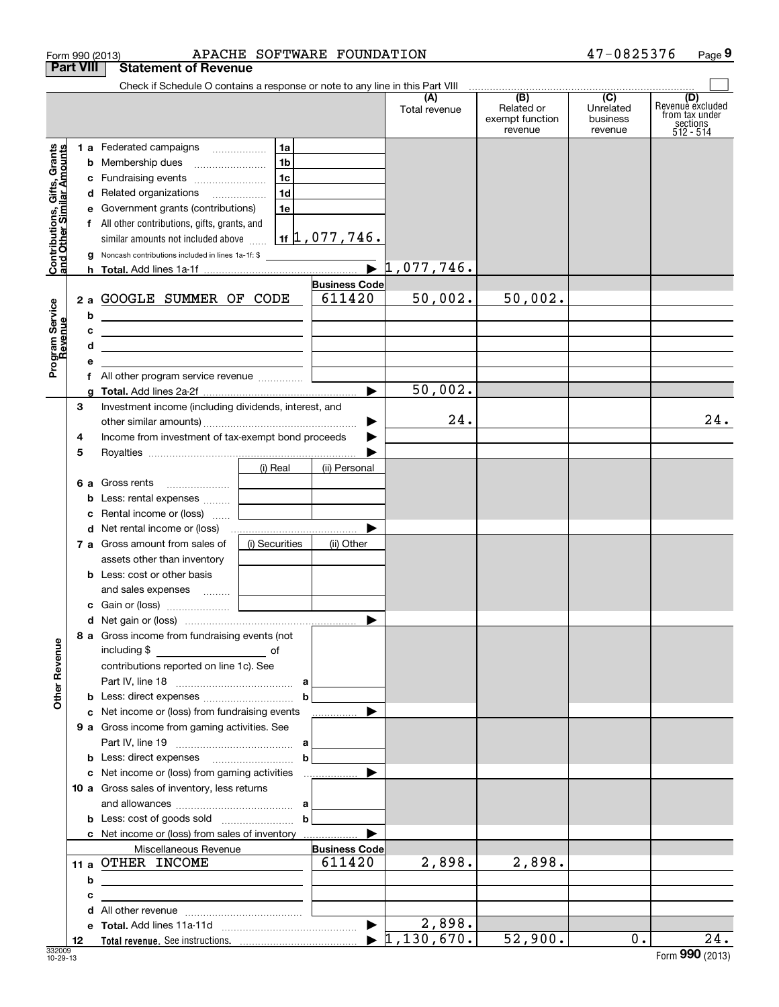|                                            |                  | Form 990 (2013)                                                                                                       | APACHE SOFTWARE FOUNDATION |                         |                      |                                                 | 47-0825376                              | Page 9                                                             |
|--------------------------------------------|------------------|-----------------------------------------------------------------------------------------------------------------------|----------------------------|-------------------------|----------------------|-------------------------------------------------|-----------------------------------------|--------------------------------------------------------------------|
|                                            | <b>Part VIII</b> | <b>Statement of Revenue</b>                                                                                           |                            |                         |                      |                                                 |                                         |                                                                    |
|                                            |                  | Check if Schedule O contains a response or note to any line in this Part VIII                                         |                            |                         |                      |                                                 |                                         |                                                                    |
|                                            |                  |                                                                                                                       |                            |                         | (A)<br>Total revenue | (B)<br>Related or<br>exempt function<br>revenue | (C)<br>Unrelated<br>business<br>revenue | (D)<br>Revenuè excluded<br>from tax under<br>sections<br>512 - 514 |
|                                            |                  | 1 a Federated campaigns                                                                                               | 1a                         |                         |                      |                                                 |                                         |                                                                    |
| Gifts, Grants<br>uilar Amounts             |                  | <b>b</b> Membership dues                                                                                              | 1 <sub>b</sub>             |                         |                      |                                                 |                                         |                                                                    |
|                                            |                  | c Fundraising events                                                                                                  | 1c                         |                         |                      |                                                 |                                         |                                                                    |
|                                            |                  | d Related organizations                                                                                               | 1d                         |                         |                      |                                                 |                                         |                                                                    |
|                                            |                  | e Government grants (contributions)                                                                                   | 1e                         |                         |                      |                                                 |                                         |                                                                    |
|                                            |                  | f All other contributions, gifts, grants, and                                                                         |                            |                         |                      |                                                 |                                         |                                                                    |
|                                            |                  | similar amounts not included above $\frac{1}{16}$ 1f $\frac{1}{1}$ , 077, 746.                                        |                            |                         |                      |                                                 |                                         |                                                                    |
| <b>Contributions, (</b><br>and Other Simil |                  | g Noncash contributions included in lines 1a-1f: \$                                                                   |                            |                         |                      |                                                 |                                         |                                                                    |
|                                            |                  |                                                                                                                       |                            |                         |                      |                                                 |                                         |                                                                    |
|                                            |                  |                                                                                                                       |                            | <b>Business Code</b>    |                      |                                                 |                                         |                                                                    |
|                                            |                  | 2 a GOOGLE SUMMER OF CODE                                                                                             |                            | 611420                  | 50,002.              | 50,002.                                         |                                         |                                                                    |
|                                            | b                | <u> 1980 - Andrea Aonaichte ann an t-Aonaichte ann an t-Aonaichte ann an t-Aonaichte ann an t-Aonaichte ann an t-</u> |                            |                         |                      |                                                 |                                         |                                                                    |
|                                            | c                | <u> 1989 - John Stone, Amerikaansk politiker (</u>                                                                    |                            |                         |                      |                                                 |                                         |                                                                    |
|                                            | d                | <u> 1989 - Johann Barn, mars ann an t-Amhainn an t-Amhainn an t-Amhainn an t-Amhainn an t-Amhainn an t-Amhainn an</u> |                            |                         |                      |                                                 |                                         |                                                                    |
| Program Service<br>Revenue                 | е                |                                                                                                                       |                            |                         |                      |                                                 |                                         |                                                                    |
|                                            | f                | All other program service revenue                                                                                     |                            |                         |                      |                                                 |                                         |                                                                    |
|                                            | a                |                                                                                                                       |                            |                         | 50,002.              |                                                 |                                         |                                                                    |
|                                            | 3                | Investment income (including dividends, interest, and                                                                 |                            |                         |                      |                                                 |                                         |                                                                    |
|                                            |                  |                                                                                                                       |                            | ▶                       | 24.                  |                                                 |                                         | 24.                                                                |
|                                            | 4                | Income from investment of tax-exempt bond proceeds                                                                    |                            |                         |                      |                                                 |                                         |                                                                    |
|                                            | 5                |                                                                                                                       |                            |                         |                      |                                                 |                                         |                                                                    |
|                                            |                  |                                                                                                                       | (i) Real                   | (ii) Personal           |                      |                                                 |                                         |                                                                    |
|                                            |                  | 6 a Gross rents                                                                                                       |                            |                         |                      |                                                 |                                         |                                                                    |
|                                            | b                | Less: rental expenses                                                                                                 |                            |                         |                      |                                                 |                                         |                                                                    |
|                                            | c                | Rental income or (loss)                                                                                               |                            |                         |                      |                                                 |                                         |                                                                    |
|                                            |                  | d Net rental income or (loss)                                                                                         |                            |                         |                      |                                                 |                                         |                                                                    |
|                                            |                  | 7 a Gross amount from sales of                                                                                        | (i) Securities             | (ii) Other              |                      |                                                 |                                         |                                                                    |
|                                            |                  | assets other than inventory                                                                                           |                            |                         |                      |                                                 |                                         |                                                                    |
|                                            |                  | <b>b</b> Less: cost or other basis                                                                                    |                            |                         |                      |                                                 |                                         |                                                                    |
|                                            |                  | and sales expenses                                                                                                    |                            |                         |                      |                                                 |                                         |                                                                    |
|                                            |                  |                                                                                                                       |                            |                         |                      |                                                 |                                         |                                                                    |
|                                            |                  |                                                                                                                       |                            |                         |                      |                                                 |                                         |                                                                    |
|                                            |                  | 8 a Gross income from fundraising events (not                                                                         |                            |                         |                      |                                                 |                                         |                                                                    |
|                                            |                  | including \$<br><u>_________________________</u> of                                                                   |                            |                         |                      |                                                 |                                         |                                                                    |
|                                            |                  | contributions reported on line 1c). See                                                                               |                            |                         |                      |                                                 |                                         |                                                                    |
|                                            |                  |                                                                                                                       |                            |                         |                      |                                                 |                                         |                                                                    |
| <b>Other Revenue</b>                       |                  |                                                                                                                       | $\mathbf b$                |                         |                      |                                                 |                                         |                                                                    |
|                                            |                  | c Net income or (loss) from fundraising events                                                                        |                            | .                       |                      |                                                 |                                         |                                                                    |
|                                            |                  | 9 a Gross income from gaming activities. See                                                                          |                            |                         |                      |                                                 |                                         |                                                                    |
|                                            |                  |                                                                                                                       |                            |                         |                      |                                                 |                                         |                                                                    |
|                                            |                  |                                                                                                                       | $\mathbf b$                |                         |                      |                                                 |                                         |                                                                    |
|                                            |                  | c Net income or (loss) from gaming activities                                                                         |                            |                         |                      |                                                 |                                         |                                                                    |
|                                            |                  | 10 a Gross sales of inventory, less returns                                                                           |                            |                         |                      |                                                 |                                         |                                                                    |
|                                            |                  |                                                                                                                       |                            |                         |                      |                                                 |                                         |                                                                    |
|                                            |                  |                                                                                                                       | $\mathbf{b}$               |                         |                      |                                                 |                                         |                                                                    |
|                                            |                  | c Net income or (loss) from sales of inventory                                                                        |                            |                         |                      |                                                 |                                         |                                                                    |
|                                            |                  | Miscellaneous Revenue                                                                                                 |                            | <b>Business Code</b>    |                      |                                                 |                                         |                                                                    |
|                                            |                  | 11 a OTHER INCOME                                                                                                     |                            | 611420                  | 2,898.               | 2,898.                                          |                                         |                                                                    |
|                                            | b                | <u> 1989 - Johann Stein, fransk politik (d. 1989)</u>                                                                 |                            |                         |                      |                                                 |                                         |                                                                    |
|                                            | c                |                                                                                                                       |                            |                         |                      |                                                 |                                         |                                                                    |
|                                            | d                |                                                                                                                       |                            |                         |                      |                                                 |                                         |                                                                    |
|                                            | е                |                                                                                                                       |                            |                         | 2,898.               |                                                 |                                         |                                                                    |
|                                            | 12               |                                                                                                                       |                            | $\blacktriangleright$ 1 | ,130,670.            | 52,900.                                         | 0.                                      | 24.                                                                |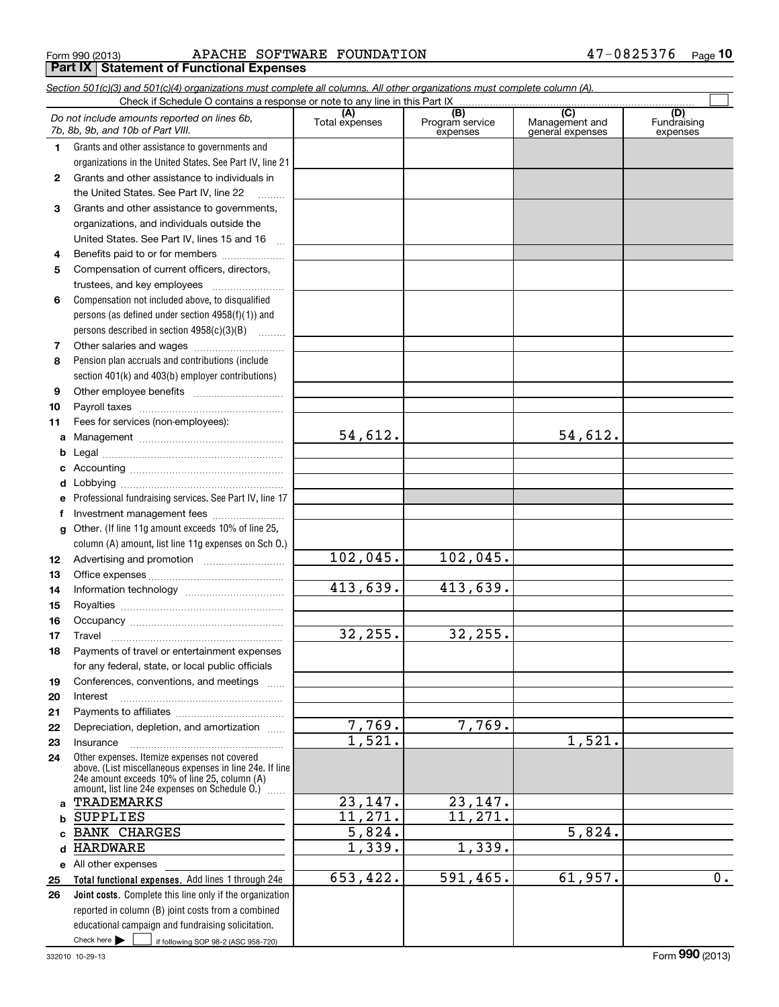Form 990 (2013) APACHE SOFTWARE FOUNDATION 47-0825376 <sub>Page</sub> **Part IX | Statement of Functional Expenses** 

|          | Section 501(c)(3) and 501(c)(4) organizations must complete all columns. All other organizations must complete column (A).<br>Check if Schedule O contains a response or note to any line in this Part IX |                       |                                    |                                                      |                                |
|----------|-----------------------------------------------------------------------------------------------------------------------------------------------------------------------------------------------------------|-----------------------|------------------------------------|------------------------------------------------------|--------------------------------|
|          | Do not include amounts reported on lines 6b,<br>7b, 8b, 9b, and 10b of Part VIII.                                                                                                                         | (A)<br>Total expenses | (B)<br>Program service<br>expenses | $\overline{C}$<br>Management and<br>general expenses | (D)<br>Fundraising<br>expenses |
| 1.       | Grants and other assistance to governments and                                                                                                                                                            |                       |                                    |                                                      |                                |
|          | organizations in the United States. See Part IV, line 21                                                                                                                                                  |                       |                                    |                                                      |                                |
| 2        | Grants and other assistance to individuals in                                                                                                                                                             |                       |                                    |                                                      |                                |
|          | the United States. See Part IV, line 22                                                                                                                                                                   |                       |                                    |                                                      |                                |
| 3        | Grants and other assistance to governments,                                                                                                                                                               |                       |                                    |                                                      |                                |
|          | organizations, and individuals outside the                                                                                                                                                                |                       |                                    |                                                      |                                |
|          | United States. See Part IV, lines 15 and 16<br>$\ddotsc$                                                                                                                                                  |                       |                                    |                                                      |                                |
| 4        | Benefits paid to or for members                                                                                                                                                                           |                       |                                    |                                                      |                                |
| 5        | Compensation of current officers, directors,                                                                                                                                                              |                       |                                    |                                                      |                                |
|          |                                                                                                                                                                                                           |                       |                                    |                                                      |                                |
| 6        | Compensation not included above, to disqualified                                                                                                                                                          |                       |                                    |                                                      |                                |
|          | persons (as defined under section 4958(f)(1)) and                                                                                                                                                         |                       |                                    |                                                      |                                |
|          | persons described in section 4958(c)(3)(B)                                                                                                                                                                |                       |                                    |                                                      |                                |
| 7        |                                                                                                                                                                                                           |                       |                                    |                                                      |                                |
| 8        | Pension plan accruals and contributions (include                                                                                                                                                          |                       |                                    |                                                      |                                |
|          | section 401(k) and 403(b) employer contributions)                                                                                                                                                         |                       |                                    |                                                      |                                |
| 9        |                                                                                                                                                                                                           |                       |                                    |                                                      |                                |
| 10       |                                                                                                                                                                                                           |                       |                                    |                                                      |                                |
| 11       | Fees for services (non-employees):                                                                                                                                                                        |                       |                                    |                                                      |                                |
|          |                                                                                                                                                                                                           | 54,612.               |                                    | 54,612.                                              |                                |
| b        |                                                                                                                                                                                                           |                       |                                    |                                                      |                                |
| c        |                                                                                                                                                                                                           |                       |                                    |                                                      |                                |
| d        |                                                                                                                                                                                                           |                       |                                    |                                                      |                                |
| е        | Professional fundraising services. See Part IV, line 17                                                                                                                                                   |                       |                                    |                                                      |                                |
| f        | Investment management fees                                                                                                                                                                                |                       |                                    |                                                      |                                |
| g        | Other. (If line 11g amount exceeds 10% of line 25,                                                                                                                                                        |                       |                                    |                                                      |                                |
|          | column (A) amount, list line 11g expenses on Sch O.)                                                                                                                                                      | 102,045.              | 102,045.                           |                                                      |                                |
| 12       |                                                                                                                                                                                                           |                       |                                    |                                                      |                                |
| 13       |                                                                                                                                                                                                           | 413,639.              | 413,639.                           |                                                      |                                |
| 14<br>15 |                                                                                                                                                                                                           |                       |                                    |                                                      |                                |
| 16       |                                                                                                                                                                                                           |                       |                                    |                                                      |                                |
| 17       |                                                                                                                                                                                                           | 32, 255.              | 32,255.                            |                                                      |                                |
| 18       | Payments of travel or entertainment expenses                                                                                                                                                              |                       |                                    |                                                      |                                |
|          | for any federal, state, or local public officials                                                                                                                                                         |                       |                                    |                                                      |                                |
| 19       | Conferences, conventions, and meetings                                                                                                                                                                    |                       |                                    |                                                      |                                |
| 20       | Interest                                                                                                                                                                                                  |                       |                                    |                                                      |                                |
| 21       |                                                                                                                                                                                                           |                       |                                    |                                                      |                                |
| 22       | Depreciation, depletion, and amortization                                                                                                                                                                 | 7,769.                | 7,769.                             |                                                      |                                |
| 23       | Insurance                                                                                                                                                                                                 | 1,521.                |                                    | 1,521.                                               |                                |
| 24       | Other expenses. Itemize expenses not covered<br>above. (List miscellaneous expenses in line 24e. If line<br>24e amount exceeds 10% of line 25, column (A)                                                 |                       |                                    |                                                      |                                |
|          | amount, list line 24e expenses on Schedule O.)                                                                                                                                                            |                       |                                    |                                                      |                                |
| a        | <b>TRADEMARKS</b>                                                                                                                                                                                         | 23, 147.              | 23,147.                            |                                                      |                                |
| b        | <b>SUPPLIES</b>                                                                                                                                                                                           | 11,271.               | 11,271.                            |                                                      |                                |
|          | <b>BANK CHARGES</b>                                                                                                                                                                                       | 5,824.                |                                    | 5,824.                                               |                                |
| d        | <b>HARDWARE</b>                                                                                                                                                                                           | 1,339.                | 1,339.                             |                                                      |                                |
|          | e All other expenses                                                                                                                                                                                      |                       |                                    |                                                      |                                |
| 25       | Total functional expenses. Add lines 1 through 24e                                                                                                                                                        | 653,422.              | 591,465.                           | 61,957.                                              | 0.                             |
| 26       | Joint costs. Complete this line only if the organization                                                                                                                                                  |                       |                                    |                                                      |                                |
|          | reported in column (B) joint costs from a combined                                                                                                                                                        |                       |                                    |                                                      |                                |
|          | educational campaign and fundraising solicitation.                                                                                                                                                        |                       |                                    |                                                      |                                |
|          | Check here $\blacktriangleright$<br>if following SOP 98-2 (ASC 958-720)                                                                                                                                   |                       |                                    |                                                      |                                |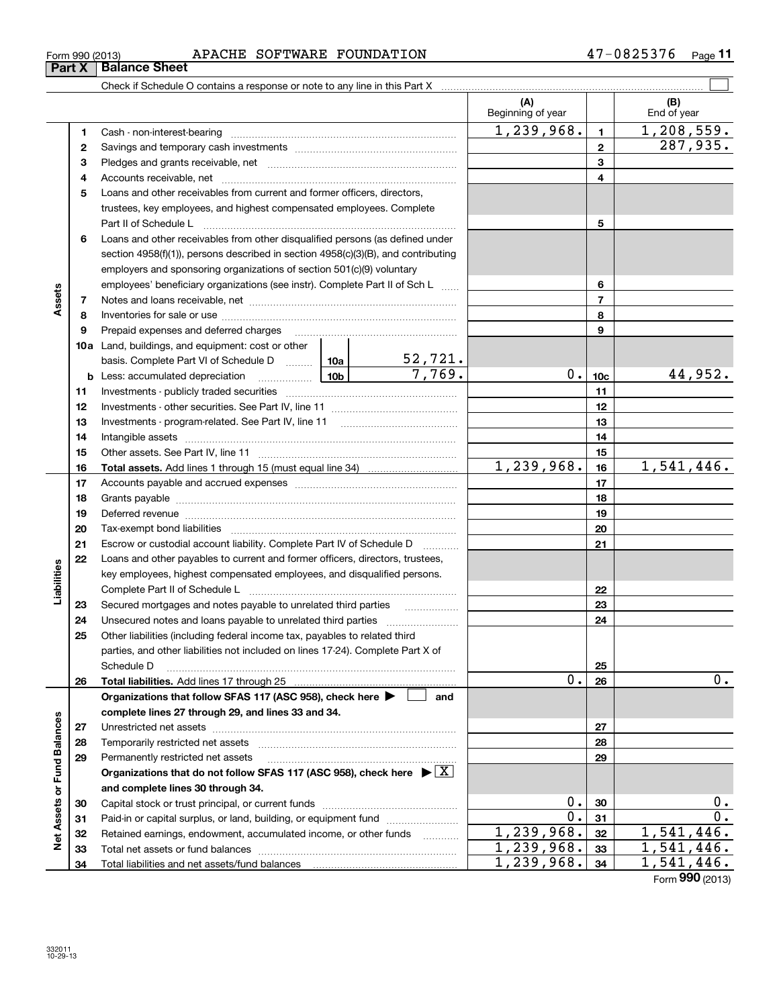|                                           | Form 990 (2013)<br>Part X | APACHE SOFTWARE FOUNDATION<br><b>Balance Sheet</b>                                                                                                                                                                            |  |                   |                   |                 | 47-0825376<br>$_{\sf Page}$ 11 |
|-------------------------------------------|---------------------------|-------------------------------------------------------------------------------------------------------------------------------------------------------------------------------------------------------------------------------|--|-------------------|-------------------|-----------------|--------------------------------|
|                                           |                           |                                                                                                                                                                                                                               |  |                   |                   |                 |                                |
|                                           |                           |                                                                                                                                                                                                                               |  |                   | (A)               |                 | (B)                            |
|                                           |                           |                                                                                                                                                                                                                               |  |                   | Beginning of year |                 | End of year                    |
|                                           | 1                         |                                                                                                                                                                                                                               |  |                   | 1,239,968.        | $\mathbf{1}$    | 1, 208, 559.                   |
|                                           | 2                         |                                                                                                                                                                                                                               |  |                   |                   | $\mathbf{2}$    | 287,935.                       |
|                                           | З                         |                                                                                                                                                                                                                               |  |                   |                   | 3               |                                |
|                                           | 4                         |                                                                                                                                                                                                                               |  |                   |                   | 4               |                                |
|                                           | 5                         | Loans and other receivables from current and former officers, directors,                                                                                                                                                      |  |                   |                   |                 |                                |
|                                           |                           | trustees, key employees, and highest compensated employees. Complete                                                                                                                                                          |  |                   |                   |                 |                                |
|                                           |                           | Part II of Schedule L                                                                                                                                                                                                         |  |                   |                   | 5               |                                |
|                                           | 6                         | Loans and other receivables from other disqualified persons (as defined under                                                                                                                                                 |  |                   |                   |                 |                                |
|                                           |                           | section 4958(f)(1)), persons described in section 4958(c)(3)(B), and contributing                                                                                                                                             |  |                   |                   |                 |                                |
|                                           |                           | employers and sponsoring organizations of section 501(c)(9) voluntary                                                                                                                                                         |  |                   |                   |                 |                                |
|                                           |                           | employees' beneficiary organizations (see instr). Complete Part II of Sch L                                                                                                                                                   |  |                   |                   | 6               |                                |
| Assets                                    | 7                         |                                                                                                                                                                                                                               |  |                   |                   | $\overline{7}$  |                                |
|                                           | 8                         |                                                                                                                                                                                                                               |  |                   |                   | 8               |                                |
|                                           | 9                         |                                                                                                                                                                                                                               |  |                   |                   | 9               |                                |
|                                           |                           | <b>10a</b> Land, buildings, and equipment: cost or other                                                                                                                                                                      |  |                   |                   |                 |                                |
|                                           |                           | basis. Complete Part VI of Schedule D  10a 52, 721.                                                                                                                                                                           |  |                   |                   |                 |                                |
|                                           |                           |                                                                                                                                                                                                                               |  |                   | 0.                | 10 <sub>c</sub> | 44,952.                        |
|                                           | 11                        |                                                                                                                                                                                                                               |  |                   |                   | 11              |                                |
|                                           | 12                        |                                                                                                                                                                                                                               |  |                   | 12                |                 |                                |
|                                           | 13                        |                                                                                                                                                                                                                               |  |                   |                   | 13              |                                |
|                                           | 14                        | Intangible assets [1111] intervention and assets an intervention and intervention and intervention and intervention and intervention and intervention and intervention and intervention and intervention and intervention and |  |                   | 14                |                 |                                |
|                                           | 15                        |                                                                                                                                                                                                                               |  |                   |                   | 15              |                                |
|                                           | 16                        |                                                                                                                                                                                                                               |  |                   | 1,239,968.        | 16              | 1,541,446.                     |
|                                           | 17                        |                                                                                                                                                                                                                               |  |                   | 17                |                 |                                |
|                                           | 18                        |                                                                                                                                                                                                                               |  |                   |                   | 18              |                                |
|                                           | 19                        | Deferred revenue material contracts and contracts are contracted and contract and contract are contracted and c                                                                                                               |  |                   |                   | 19              |                                |
|                                           | 20                        |                                                                                                                                                                                                                               |  |                   |                   | 20              |                                |
|                                           |                           | Escrow or custodial account liability. Complete Part IV of Schedule D                                                                                                                                                         |  |                   |                   | 21              |                                |
| 21<br>22<br>Liabilities<br>23<br>24<br>25 |                           | Loans and other payables to current and former officers, directors, trustees,                                                                                                                                                 |  |                   |                   |                 |                                |
|                                           |                           | key employees, highest compensated employees, and disqualified persons.                                                                                                                                                       |  |                   |                   |                 |                                |
|                                           |                           | Complete Part II of Schedule L                                                                                                                                                                                                |  |                   |                   | 22              |                                |
|                                           |                           | Secured mortgages and notes payable to unrelated third parties                                                                                                                                                                |  | .                 |                   | 23              |                                |
|                                           |                           | Unsecured notes and loans payable to unrelated third parties                                                                                                                                                                  |  |                   |                   | 24              |                                |
|                                           |                           | Other liabilities (including federal income tax, payables to related third<br>parties, and other liabilities not included on lines 17-24). Complete Part X of                                                                 |  |                   |                   |                 |                                |
|                                           |                           | Schedule D                                                                                                                                                                                                                    |  |                   |                   | 25              |                                |
|                                           | 26                        | <b>Total liabilities.</b> Add lines 17 through 25                                                                                                                                                                             |  |                   | 0.                | 26              | 0.                             |
|                                           |                           | Organizations that follow SFAS 117 (ASC 958), check here ▶ □                                                                                                                                                                  |  | and               |                   |                 |                                |
|                                           |                           | complete lines 27 through 29, and lines 33 and 34.                                                                                                                                                                            |  |                   |                   |                 |                                |
|                                           | 27                        |                                                                                                                                                                                                                               |  |                   |                   | 27              |                                |
|                                           | 28                        |                                                                                                                                                                                                                               |  |                   |                   | 28              |                                |
|                                           | 29                        | Permanently restricted net assets                                                                                                                                                                                             |  |                   |                   | 29              |                                |
|                                           |                           | Organizations that do not follow SFAS 117 (ASC 958), check here $\blacktriangleright \lfloor X \rfloor$                                                                                                                       |  |                   |                   |                 |                                |
|                                           |                           | and complete lines 30 through 34.                                                                                                                                                                                             |  |                   |                   |                 |                                |
|                                           | 30                        |                                                                                                                                                                                                                               |  |                   | 0.                | 30              | $0$ .                          |
|                                           | 31                        | Paid-in or capital surplus, or land, building, or equipment fund                                                                                                                                                              |  |                   | 0.                | 31              | 0.                             |
| Net Assets or Fund Balances               | 32                        | Retained earnings, endowment, accumulated income, or other funds                                                                                                                                                              |  | 1.1.1.1.1.1.1.1.1 | 1,239,968.        | 32              | 1,541,44                       |
|                                           | 33.                       | Total net assets or fund halances                                                                                                                                                                                             |  |                   | 239<br>968.       | 33              |                                |

Paid-in or capital surplus, or land, building, or equipment fund www.commun.com Retained earnings, endowment, accumulated income, or other funds we have all the Total net assets or fund balances ~~~~~~~~~~~~~~~~~~~~~~

Total liabilities and net assets/fund balances

Form (2013) **990**

1,239,968. 1,541,446. 1,239,968. 1,541,446.  $\frac{1}{1}$ , 239, 968.  $\frac{34}{1}$ , 541, 446.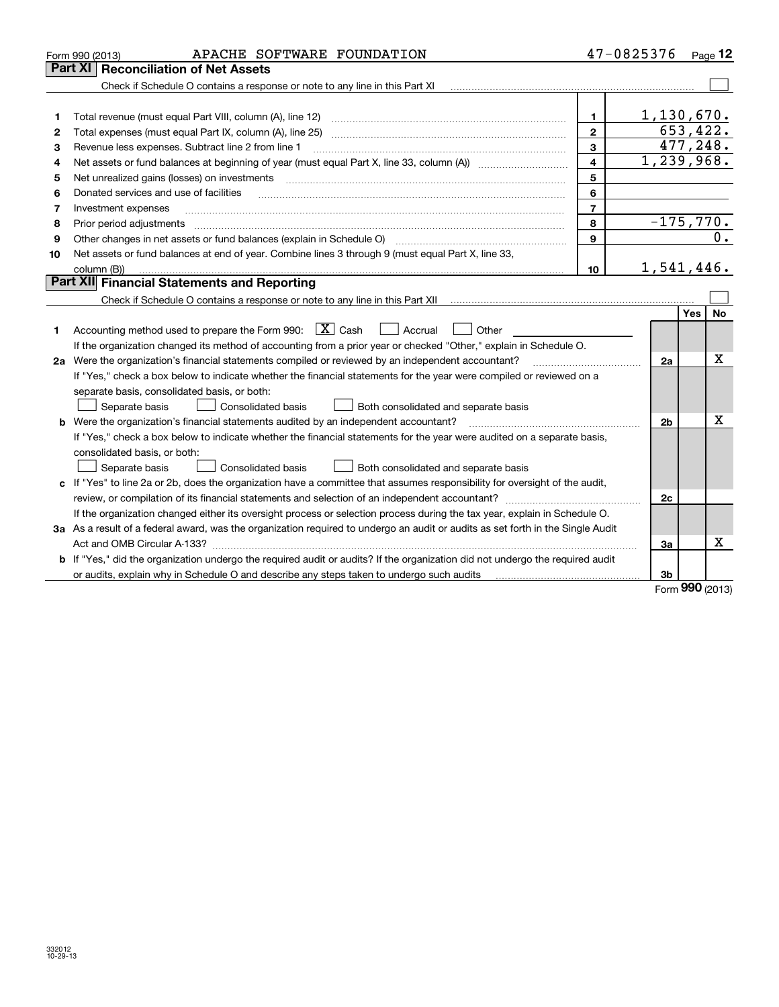|    | APACHE SOFTWARE FOUNDATION<br>Form 990 (2013)                                                                                   | 47-0825376              |                |          | Page 12  |
|----|---------------------------------------------------------------------------------------------------------------------------------|-------------------------|----------------|----------|----------|
|    | <b>Reconciliation of Net Assets</b><br>  Part XI                                                                                |                         |                |          |          |
|    | Check if Schedule O contains a response or note to any line in this Part XI                                                     |                         |                |          |          |
|    |                                                                                                                                 |                         |                |          |          |
| 1  | Total revenue (must equal Part VIII, column (A), line 12)                                                                       | 1.                      | 1,130,670.     |          |          |
| 2  | Total expenses (must equal Part IX, column (A), line 25)                                                                        | $\overline{2}$          |                | 653,422. |          |
| З  | Revenue less expenses. Subtract line 2 from line 1                                                                              | $\mathbf{3}$            |                |          | 477,248. |
| 4  |                                                                                                                                 | $\overline{\mathbf{4}}$ | 1,239,968.     |          |          |
| 5  | Net unrealized gains (losses) on investments                                                                                    | 5                       |                |          |          |
| 6  | Donated services and use of facilities                                                                                          | 6                       |                |          |          |
| 7  | Investment expenses                                                                                                             | $\overline{7}$          |                |          |          |
| 8  | Prior period adjustments                                                                                                        | 8                       | $-175,770.$    |          |          |
| 9  |                                                                                                                                 | 9                       |                |          |          |
| 10 | Net assets or fund balances at end of year. Combine lines 3 through 9 (must equal Part X, line 33,                              |                         |                |          |          |
|    | column (B))                                                                                                                     | 10                      | 1,541,446.     |          |          |
|    | <b>Part XII</b> Financial Statements and Reporting                                                                              |                         |                |          |          |
|    |                                                                                                                                 |                         |                |          |          |
|    |                                                                                                                                 |                         |                | Yes      | No       |
| 1. | Accounting method used to prepare the Form 990: $\boxed{X}$ Cash<br>$\vert$ Accrual<br>Other                                    |                         |                |          |          |
|    | If the organization changed its method of accounting from a prior year or checked "Other," explain in Schedule O.               |                         |                |          |          |
|    | 2a Were the organization's financial statements compiled or reviewed by an independent accountant?                              |                         | 2a             |          | Χ        |
|    | If "Yes," check a box below to indicate whether the financial statements for the year were compiled or reviewed on a            |                         |                |          |          |
|    | separate basis, consolidated basis, or both:                                                                                    |                         |                |          |          |
|    | Separate basis<br><b>Consolidated basis</b><br>Both consolidated and separate basis                                             |                         |                |          |          |
| b  | Were the organization's financial statements audited by an independent accountant?                                              |                         | 2 <sub>b</sub> |          | x        |
|    | If "Yes," check a box below to indicate whether the financial statements for the year were audited on a separate basis,         |                         |                |          |          |
|    | consolidated basis, or both:                                                                                                    |                         |                |          |          |
|    | Separate basis<br>Consolidated basis<br>Both consolidated and separate basis                                                    |                         |                |          |          |
|    | c If "Yes" to line 2a or 2b, does the organization have a committee that assumes responsibility for oversight of the audit,     |                         |                |          |          |
|    | review, or compilation of its financial statements and selection of an independent accountant?                                  |                         | 2c             |          |          |
|    | If the organization changed either its oversight process or selection process during the tax year, explain in Schedule O.       |                         |                |          |          |
|    | 3a As a result of a federal award, was the organization required to undergo an audit or audits as set forth in the Single Audit |                         |                |          |          |
|    |                                                                                                                                 |                         | За             |          | x        |
|    | b If "Yes," did the organization undergo the required audit or audits? If the organization did not undergo the required audit   |                         |                |          |          |
|    | or audits, explain why in Schedule O and describe any steps taken to undergo such audits                                        |                         | 3b             |          |          |

Form (2013) **990**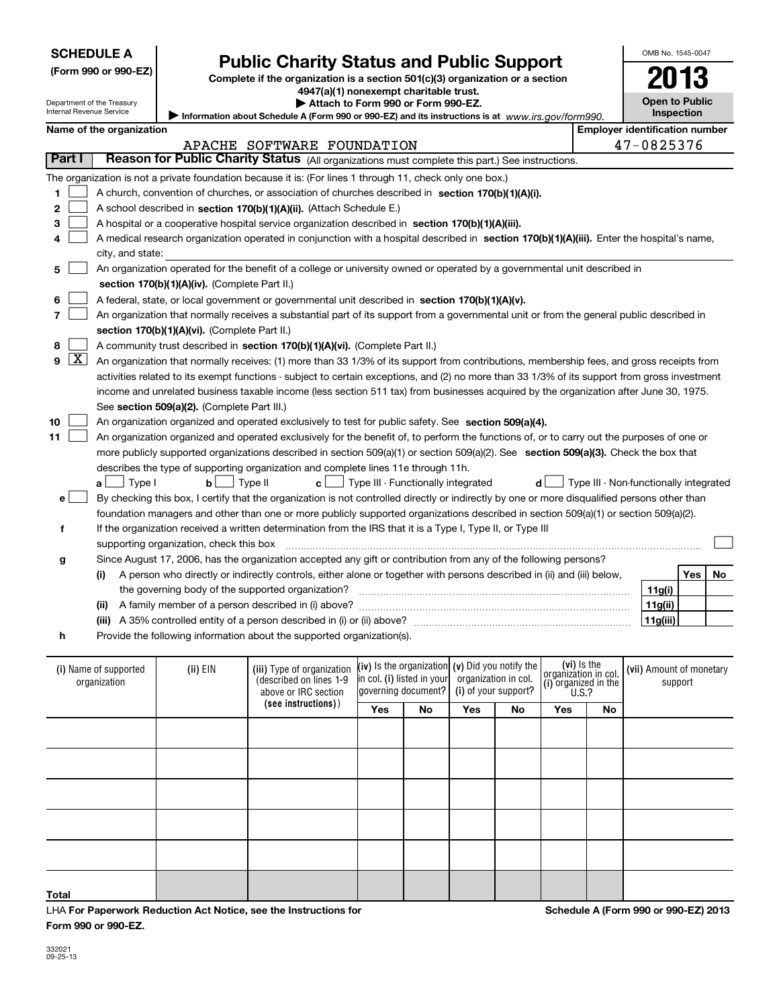|  |  |  | (Form 990 or 990-EZ) |
|--|--|--|----------------------|
|--|--|--|----------------------|

## **Public Charity Status and Public Support**

**Complete if the organization is a section 501(c)(3) organization or a section 4947(a)(1) nonexempt charitable trust.**

**| Attach to Form 990 or Form 990-EZ.** 

| ш<br>LU                                    |
|--------------------------------------------|
| <b>Open to Public</b><br><b>Inspection</b> |
|                                            |

OMB No. 1545-0047

**2013**

Department of the Treasury Internal Revenue Service

| nternal Revenue Service | Information about Schedule A (Form 990 or 990-EZ) and its instructions is at www.irs.gov/form990.                                             |             |                                        |  |  |  |
|-------------------------|-----------------------------------------------------------------------------------------------------------------------------------------------|-------------|----------------------------------------|--|--|--|
|                         | Name of the organization                                                                                                                      |             | <b>Employer identification number</b>  |  |  |  |
|                         | APACHE SOFTWARE FOUNDATION                                                                                                                    |             | 47-0825376                             |  |  |  |
| Part I                  | Reason for Public Charity Status (All organizations must complete this part.) See instructions.                                               |             |                                        |  |  |  |
|                         | The organization is not a private foundation because it is: (For lines 1 through 11, check only one box.)                                     |             |                                        |  |  |  |
| 1                       | A church, convention of churches, or association of churches described in section 170(b)(1)(A)(i).                                            |             |                                        |  |  |  |
| 2                       | A school described in section 170(b)(1)(A)(ii). (Attach Schedule E.)                                                                          |             |                                        |  |  |  |
| з                       | A hospital or a cooperative hospital service organization described in section 170(b)(1)(A)(iii).                                             |             |                                        |  |  |  |
| 4                       | A medical research organization operated in conjunction with a hospital described in section 170(b)(1)(A)(iii). Enter the hospital's name,    |             |                                        |  |  |  |
|                         | city, and state:                                                                                                                              |             |                                        |  |  |  |
| 5                       | An organization operated for the benefit of a college or university owned or operated by a governmental unit described in                     |             |                                        |  |  |  |
|                         | section 170(b)(1)(A)(iv). (Complete Part II.)                                                                                                 |             |                                        |  |  |  |
| 6                       | A federal, state, or local government or governmental unit described in section 170(b)(1)(A)(v).                                              |             |                                        |  |  |  |
| 7                       | An organization that normally receives a substantial part of its support from a governmental unit or from the general public described in     |             |                                        |  |  |  |
|                         | section 170(b)(1)(A)(vi). (Complete Part II.)                                                                                                 |             |                                        |  |  |  |
| 8                       | A community trust described in section 170(b)(1)(A)(vi). (Complete Part II.)                                                                  |             |                                        |  |  |  |
| $\boxed{\text{X}}$<br>9 | An organization that normally receives: (1) more than 33 1/3% of its support from contributions, membership fees, and gross receipts from     |             |                                        |  |  |  |
|                         | activities related to its exempt functions - subject to certain exceptions, and (2) no more than 33 1/3% of its support from gross investment |             |                                        |  |  |  |
|                         | income and unrelated business taxable income (less section 511 tax) from businesses acquired by the organization after June 30, 1975.         |             |                                        |  |  |  |
|                         | See section 509(a)(2). (Complete Part III.)                                                                                                   |             |                                        |  |  |  |
| 10                      | An organization organized and operated exclusively to test for public safety. See section 509(a)(4).                                          |             |                                        |  |  |  |
| 11                      | An organization organized and operated exclusively for the benefit of, to perform the functions of, or to carry out the purposes of one or    |             |                                        |  |  |  |
|                         | more publicly supported organizations described in section 509(a)(1) or section 509(a)(2). See section 509(a)(3). Check the box that          |             |                                        |  |  |  |
|                         | describes the type of supporting organization and complete lines 11e through 11h.                                                             |             |                                        |  |  |  |
|                         | $a \Box$ Type I<br>Type II<br>Type III - Functionally integrated<br>$\mathbf{b}$<br> c <br>d                                                  |             | Type III - Non-functionally integrated |  |  |  |
| е                       | By checking this box, I certify that the organization is not controlled directly or indirectly by one or more disqualified persons other than |             |                                        |  |  |  |
|                         | foundation managers and other than one or more publicly supported organizations described in section 509(a)(1) or section 509(a)(2).          |             |                                        |  |  |  |
| f                       | If the organization received a written determination from the IRS that it is a Type I, Type II, or Type III                                   |             |                                        |  |  |  |
|                         | supporting organization, check this box                                                                                                       |             |                                        |  |  |  |
| g                       | Since August 17, 2006, has the organization accepted any gift or contribution from any of the following persons?                              |             |                                        |  |  |  |
|                         | A person who directly or indirectly controls, either alone or together with persons described in (ii) and (iii) below,<br>(i)                 |             | Yes<br>No                              |  |  |  |
|                         | the governing body of the supported organization?                                                                                             |             | 11g(i)                                 |  |  |  |
|                         | (ii)                                                                                                                                          |             | 11g(ii)                                |  |  |  |
|                         |                                                                                                                                               |             | 11g(iii)                               |  |  |  |
| h                       | Provide the following information about the supported organization(s).                                                                        |             |                                        |  |  |  |
|                         | (iv) Is the organization (v) Did you notify the<br>$123.$ FIM<br>$1!1!$ Tune of expeniention<br>$\mathbf{u}$                                  | (vi) Is the | $1.33$ Amount of mono                  |  |  |  |

| (i) Name of supported<br>organization | (ii) EIN | (iii) Type of organization<br>(described on lines 1-9<br>above or IRC section |            | (iv) Is the organization (v) Did you notify the<br>in col. (i) listed in your<br>governing document? |            | organization in col.<br>(i) of your support? |     | $\begin{bmatrix} \textbf{(vi)} \text{ is the} \\ \text{organization in col.} \\ \textbf{(i) organized in the} \\ \textbf{U.S.?} \end{bmatrix}$ | (vii) Amount of monetary<br>support |
|---------------------------------------|----------|-------------------------------------------------------------------------------|------------|------------------------------------------------------------------------------------------------------|------------|----------------------------------------------|-----|------------------------------------------------------------------------------------------------------------------------------------------------|-------------------------------------|
|                                       |          | (see instructions))                                                           | <b>Yes</b> | No                                                                                                   | <b>Yes</b> | No                                           | Yes | No                                                                                                                                             |                                     |
|                                       |          |                                                                               |            |                                                                                                      |            |                                              |     |                                                                                                                                                |                                     |
|                                       |          |                                                                               |            |                                                                                                      |            |                                              |     |                                                                                                                                                |                                     |
|                                       |          |                                                                               |            |                                                                                                      |            |                                              |     |                                                                                                                                                |                                     |
|                                       |          |                                                                               |            |                                                                                                      |            |                                              |     |                                                                                                                                                |                                     |
|                                       |          |                                                                               |            |                                                                                                      |            |                                              |     |                                                                                                                                                |                                     |
| Total                                 |          |                                                                               |            |                                                                                                      |            |                                              |     |                                                                                                                                                |                                     |

LHA For Paperwork Reduction Act Notice, see the Instructions for **Form 990 or 990-EZ.**

**Schedule A (Form 990 or 990-EZ) 2013**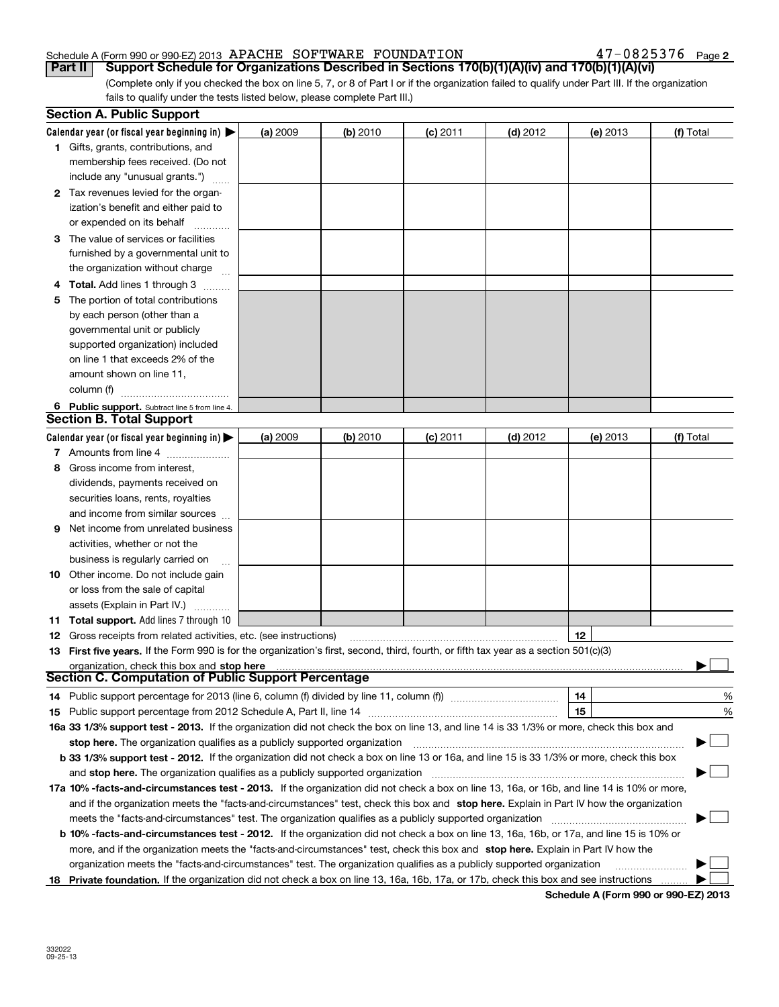#### Schedule A (Form 990 or 990-EZ) 2013 Page APACHE SOFTWARE FOUNDATION 47-0825376

**2**

(Complete only if you checked the box on line 5, 7, or 8 of Part I or if the organization failed to qualify under Part III. If the organization fails to qualify under the tests listed below, please complete Part III.) **Part II Support Schedule for Organizations Described in Sections 170(b)(1)(A)(iv) and 170(b)(1)(A)(vi)** 

|    | <b>Section A. Public Support</b>                                                                                                               |          |          |            |            |          |           |
|----|------------------------------------------------------------------------------------------------------------------------------------------------|----------|----------|------------|------------|----------|-----------|
|    | Calendar year (or fiscal year beginning in) $\blacktriangleright$                                                                              | (a) 2009 | (b) 2010 | $(c)$ 2011 | $(d)$ 2012 | (e) 2013 | (f) Total |
|    | 1 Gifts, grants, contributions, and                                                                                                            |          |          |            |            |          |           |
|    | membership fees received. (Do not                                                                                                              |          |          |            |            |          |           |
|    | include any "unusual grants.")                                                                                                                 |          |          |            |            |          |           |
|    | 2 Tax revenues levied for the organ-                                                                                                           |          |          |            |            |          |           |
|    | ization's benefit and either paid to                                                                                                           |          |          |            |            |          |           |
|    | or expended on its behalf                                                                                                                      |          |          |            |            |          |           |
|    | 3 The value of services or facilities                                                                                                          |          |          |            |            |          |           |
|    | furnished by a governmental unit to                                                                                                            |          |          |            |            |          |           |
|    | the organization without charge                                                                                                                |          |          |            |            |          |           |
|    | 4 Total. Add lines 1 through 3<br>a serenga dan serengai                                                                                       |          |          |            |            |          |           |
| 5. | The portion of total contributions                                                                                                             |          |          |            |            |          |           |
|    | by each person (other than a                                                                                                                   |          |          |            |            |          |           |
|    | governmental unit or publicly                                                                                                                  |          |          |            |            |          |           |
|    | supported organization) included                                                                                                               |          |          |            |            |          |           |
|    | on line 1 that exceeds 2% of the                                                                                                               |          |          |            |            |          |           |
|    | amount shown on line 11,                                                                                                                       |          |          |            |            |          |           |
|    | column (f)                                                                                                                                     |          |          |            |            |          |           |
|    | 6 Public support. Subtract line 5 from line 4.                                                                                                 |          |          |            |            |          |           |
|    | <b>Section B. Total Support</b>                                                                                                                |          |          |            |            |          |           |
|    | Calendar year (or fiscal year beginning in) $\blacktriangleright$                                                                              | (a) 2009 | (b) 2010 | $(c)$ 2011 | $(d)$ 2012 | (e) 2013 | (f) Total |
|    | 7 Amounts from line 4                                                                                                                          |          |          |            |            |          |           |
| 8  | Gross income from interest,                                                                                                                    |          |          |            |            |          |           |
|    | dividends, payments received on                                                                                                                |          |          |            |            |          |           |
|    | securities loans, rents, royalties                                                                                                             |          |          |            |            |          |           |
|    | and income from similar sources                                                                                                                |          |          |            |            |          |           |
| 9. | Net income from unrelated business                                                                                                             |          |          |            |            |          |           |
|    | activities, whether or not the                                                                                                                 |          |          |            |            |          |           |
|    | business is regularly carried on                                                                                                               |          |          |            |            |          |           |
|    | <b>10</b> Other income. Do not include gain                                                                                                    |          |          |            |            |          |           |
|    | or loss from the sale of capital                                                                                                               |          |          |            |            |          |           |
|    | assets (Explain in Part IV.)                                                                                                                   |          |          |            |            |          |           |
|    | <b>11 Total support.</b> Add lines 7 through 10                                                                                                |          |          |            |            |          |           |
|    | <b>12</b> Gross receipts from related activities, etc. (see instructions)                                                                      |          |          |            |            | 12       |           |
|    | 13 First five years. If the Form 990 is for the organization's first, second, third, fourth, or fifth tax year as a section 501(c)(3)          |          |          |            |            |          |           |
|    | organization, check this box and stop here                                                                                                     |          |          |            |            |          |           |
|    | Section C. Computation of Public Support Percentage                                                                                            |          |          |            |            |          |           |
|    | 14 Public support percentage for 2013 (line 6, column (f) divided by line 11, column (f) <i>mummeronoming</i>                                  |          |          |            |            | 14       | %         |
|    |                                                                                                                                                |          |          |            |            | 15       | %         |
|    | 16a 33 1/3% support test - 2013. If the organization did not check the box on line 13, and line 14 is 33 1/3% or more, check this box and      |          |          |            |            |          |           |
|    | stop here. The organization qualifies as a publicly supported organization                                                                     |          |          |            |            |          | ▔▁▎       |
|    | b 33 1/3% support test - 2012. If the organization did not check a box on line 13 or 16a, and line 15 is 33 1/3% or more, check this box       |          |          |            |            |          |           |
|    | and stop here. The organization qualifies as a publicly supported organization                                                                 |          |          |            |            |          |           |
|    | 17a 10% -facts-and-circumstances test - 2013. If the organization did not check a box on line 13, 16a, or 16b, and line 14 is 10% or more,     |          |          |            |            |          |           |
|    | and if the organization meets the "facts-and-circumstances" test, check this box and stop here. Explain in Part IV how the organization        |          |          |            |            |          |           |
|    | meets the "facts-and-circumstances" test. The organization qualifies as a publicly supported organization                                      |          |          |            |            |          |           |
|    | <b>b 10% -facts-and-circumstances test - 2012.</b> If the organization did not check a box on line 13, 16a, 16b, or 17a, and line 15 is 10% or |          |          |            |            |          |           |
|    | more, and if the organization meets the "facts-and-circumstances" test, check this box and stop here. Explain in Part IV how the               |          |          |            |            |          |           |
|    | organization meets the "facts-and-circumstances" test. The organization qualifies as a publicly supported organization                         |          |          |            |            |          |           |
|    | 18 Private foundation. If the organization did not check a box on line 13, 16a, 16b, 17a, or 17b, check this box and see instructions          |          |          |            |            |          |           |
|    |                                                                                                                                                |          |          |            |            |          |           |

**Schedule A (Form 990 or 990-EZ) 2013**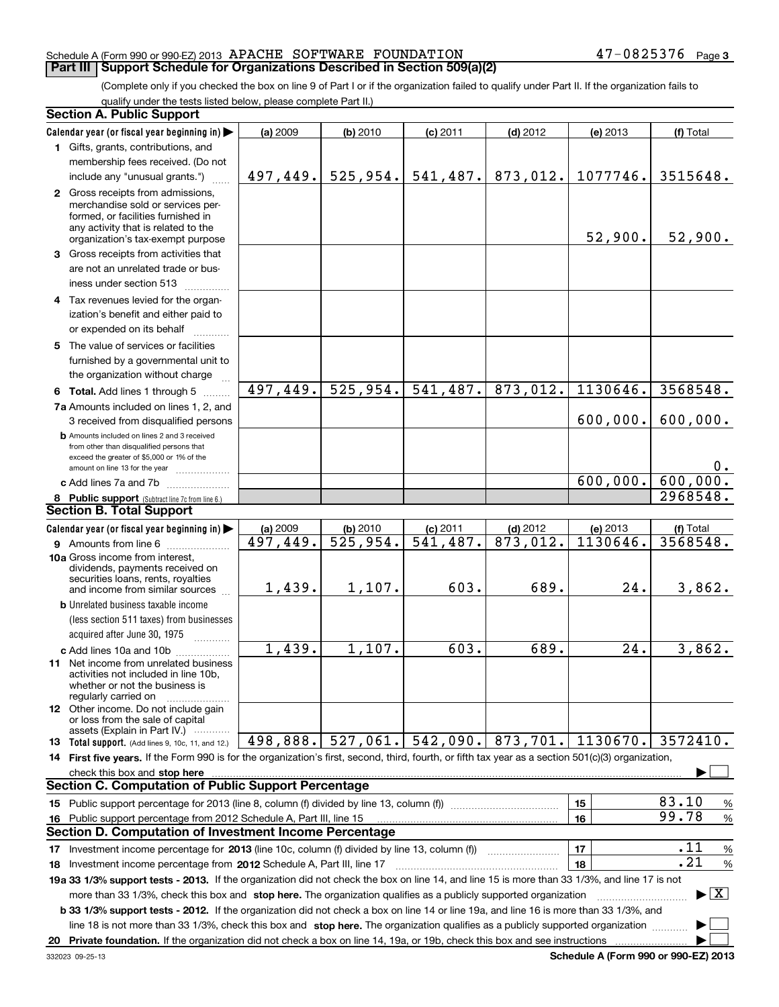#### Schedule A (Form 990 or 990-EZ) 2013 Page APACHE SOFTWARE FOUNDATION 47-0825376

**Part III Support Schedule for Organizations Described in Section 509(a)(2)** 

(Complete only if you checked the box on line 9 of Part I or if the organization failed to qualify under Part II. If the organization fails to qualify under the tests listed below, please complete Part II.)

| <b>Section A. Public Support</b>                                                                                                                    |           |                        |                         |            |          |                                          |
|-----------------------------------------------------------------------------------------------------------------------------------------------------|-----------|------------------------|-------------------------|------------|----------|------------------------------------------|
| Calendar year (or fiscal year beginning in)                                                                                                         | (a) 2009  | (b) 2010               | $(c)$ 2011              | $(d)$ 2012 | (e) 2013 | (f) Total                                |
| 1 Gifts, grants, contributions, and                                                                                                                 |           |                        |                         |            |          |                                          |
| membership fees received. (Do not                                                                                                                   |           |                        |                         |            |          |                                          |
| include any "unusual grants.")                                                                                                                      | 497,449.  | 525,954.               | 541, 487.               | 873,012.   | 1077746. | 3515648.                                 |
| 2 Gross receipts from admissions,                                                                                                                   |           |                        |                         |            |          |                                          |
| merchandise sold or services per-                                                                                                                   |           |                        |                         |            |          |                                          |
| formed, or facilities furnished in<br>any activity that is related to the                                                                           |           |                        |                         |            |          |                                          |
| organization's tax-exempt purpose                                                                                                                   |           |                        |                         |            | 52,900.  | 52,900.                                  |
| 3 Gross receipts from activities that                                                                                                               |           |                        |                         |            |          |                                          |
| are not an unrelated trade or bus-                                                                                                                  |           |                        |                         |            |          |                                          |
| iness under section 513                                                                                                                             |           |                        |                         |            |          |                                          |
| 4 Tax revenues levied for the organ-                                                                                                                |           |                        |                         |            |          |                                          |
| ization's benefit and either paid to                                                                                                                |           |                        |                         |            |          |                                          |
| or expended on its behalf                                                                                                                           |           |                        |                         |            |          |                                          |
| 5 The value of services or facilities                                                                                                               |           |                        |                         |            |          |                                          |
| furnished by a governmental unit to                                                                                                                 |           |                        |                         |            |          |                                          |
| the organization without charge                                                                                                                     |           |                        |                         |            |          |                                          |
| 6 Total. Add lines 1 through 5                                                                                                                      | 497,449.  | 525,954.               | 541, 487.               | 873,012.   | 1130646. | 3568548.                                 |
| 7a Amounts included on lines 1, 2, and                                                                                                              |           |                        |                         |            |          |                                          |
| 3 received from disqualified persons                                                                                                                |           |                        |                         |            | 600,000. | 600,000.                                 |
| <b>b</b> Amounts included on lines 2 and 3 received                                                                                                 |           |                        |                         |            |          |                                          |
| from other than disqualified persons that                                                                                                           |           |                        |                         |            |          |                                          |
| exceed the greater of \$5,000 or 1% of the<br>amount on line 13 for the year                                                                        |           |                        |                         |            |          | 0.                                       |
| c Add lines 7a and 7b [ <i>[[[[[[[[[[[[[[[[[[[[[[[[[]]]]]</i>                                                                                       |           |                        |                         |            | 600,000. | 600,000.                                 |
| 8 Public support (Subtract line 7c from line 6.)                                                                                                    |           |                        |                         |            |          | 2968548.                                 |
| <b>Section B. Total Support</b>                                                                                                                     |           |                        |                         |            |          |                                          |
| Calendar year (or fiscal year beginning in)                                                                                                         | (a) 2009  | (b) 2010               | $(c)$ 2011              | $(d)$ 2012 | (e) 2013 | (f) Total                                |
| <b>9</b> Amounts from line 6                                                                                                                        | 497, 449. | $\overline{525,954}$ . | $\overline{541, 487}$ . | 873,012.   | 1130646. | 3568548.                                 |
| 10a Gross income from interest,                                                                                                                     |           |                        |                         |            |          |                                          |
| dividends, payments received on                                                                                                                     |           |                        |                         |            |          |                                          |
| securities loans, rents, royalties<br>and income from similar sources                                                                               | 1,439.    | 1,107.                 | 603.                    | 689.       | 24.      | 3,862.                                   |
| <b>b</b> Unrelated business taxable income                                                                                                          |           |                        |                         |            |          |                                          |
| (less section 511 taxes) from businesses                                                                                                            |           |                        |                         |            |          |                                          |
| acquired after June 30, 1975                                                                                                                        |           |                        |                         |            |          |                                          |
| c Add lines 10a and 10b                                                                                                                             | 1,439.    | 1,107.                 | 603.                    | 689.       | 24.      | 3,862.                                   |
| 11 Net income from unrelated business                                                                                                               |           |                        |                         |            |          |                                          |
| activities not included in line 10b,                                                                                                                |           |                        |                         |            |          |                                          |
| whether or not the business is<br>regularly carried on                                                                                              |           |                        |                         |            |          |                                          |
| <b>12</b> Other income. Do not include gain                                                                                                         |           |                        |                         |            |          |                                          |
| or loss from the sale of capital                                                                                                                    |           |                        |                         |            |          |                                          |
| assets (Explain in Part IV.)<br><b>13 Total support.</b> (Add lines 9, 10c, 11, and 12.)                                                            | 498,888.  | 527,061.               | 542,090.                | 873,701.   | 1130670. | 3572410.                                 |
| 14 First five years. If the Form 990 is for the organization's first, second, third, fourth, or fifth tax year as a section 501(c)(3) organization, |           |                        |                         |            |          |                                          |
| check this box and stop here <b>contained and intervention and stop here</b> check this box and stop here <b>contained and stop here</b>            |           |                        |                         |            |          |                                          |
| <b>Section C. Computation of Public Support Percentage</b>                                                                                          |           |                        |                         |            |          |                                          |
| 15 Public support percentage for 2013 (line 8, column (f) divided by line 13, column (f))                                                           |           |                        |                         |            | 15       | 83.10<br>%                               |
| 16 Public support percentage from 2012 Schedule A, Part III, line 15                                                                                |           |                        |                         |            | 16       | 99.78<br>$\%$                            |
| <b>Section D. Computation of Investment Income Percentage</b>                                                                                       |           |                        |                         |            |          |                                          |
| 17 Investment income percentage for 2013 (line 10c, column (f) divided by line 13, column (f)                                                       |           |                        |                         |            | 17       | .11<br>$\%$                              |
| 18 Investment income percentage from 2012 Schedule A, Part III, line 17                                                                             |           |                        |                         |            | 18       | .21<br>%                                 |
| 19a 33 1/3% support tests - 2013. If the organization did not check the box on line 14, and line 15 is more than 33 1/3%, and line 17 is not        |           |                        |                         |            |          |                                          |
| more than 33 1/3%, check this box and stop here. The organization qualifies as a publicly supported organization                                    |           |                        |                         |            |          | $\blacktriangleright$ $\boxed{\text{X}}$ |
| <b>b 33 1/3% support tests - 2012.</b> If the organization did not check a box on line 14 or line 19a, and line 16 is more than 33 1/3%, and        |           |                        |                         |            |          |                                          |
| line 18 is not more than 33 1/3%, check this box and stop here. The organization qualifies as a publicly supported organization                     |           |                        |                         |            |          |                                          |
|                                                                                                                                                     |           |                        |                         |            |          |                                          |
|                                                                                                                                                     |           |                        |                         |            |          |                                          |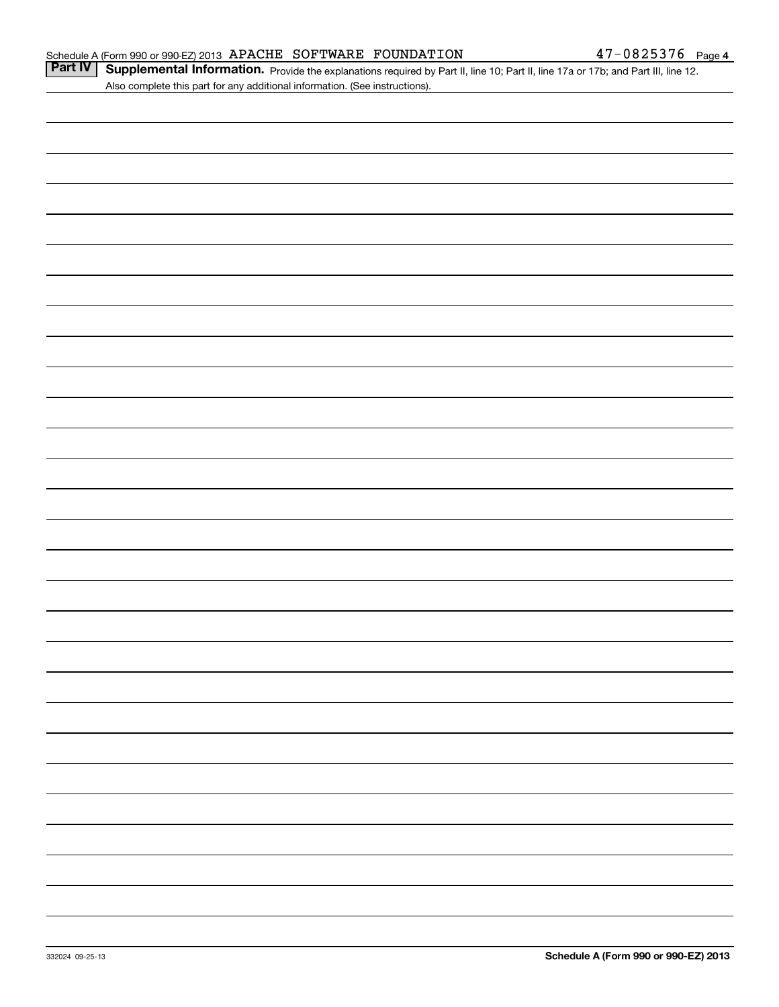Part IV | Supplemental Information. Provide the explanations required by Part II, line 10; Part II, line 17a or 17b; and Part III, line 12. Also complete this part for any additional information. (See instructions).

| 的,我们也不会有什么?""我们的人,我们也不会有什么?""我们的人,我们也不会有什么?""我们的人,我们也不会有什么?""我们的人,我们也不会有什么?""我们的 |  |
|----------------------------------------------------------------------------------|--|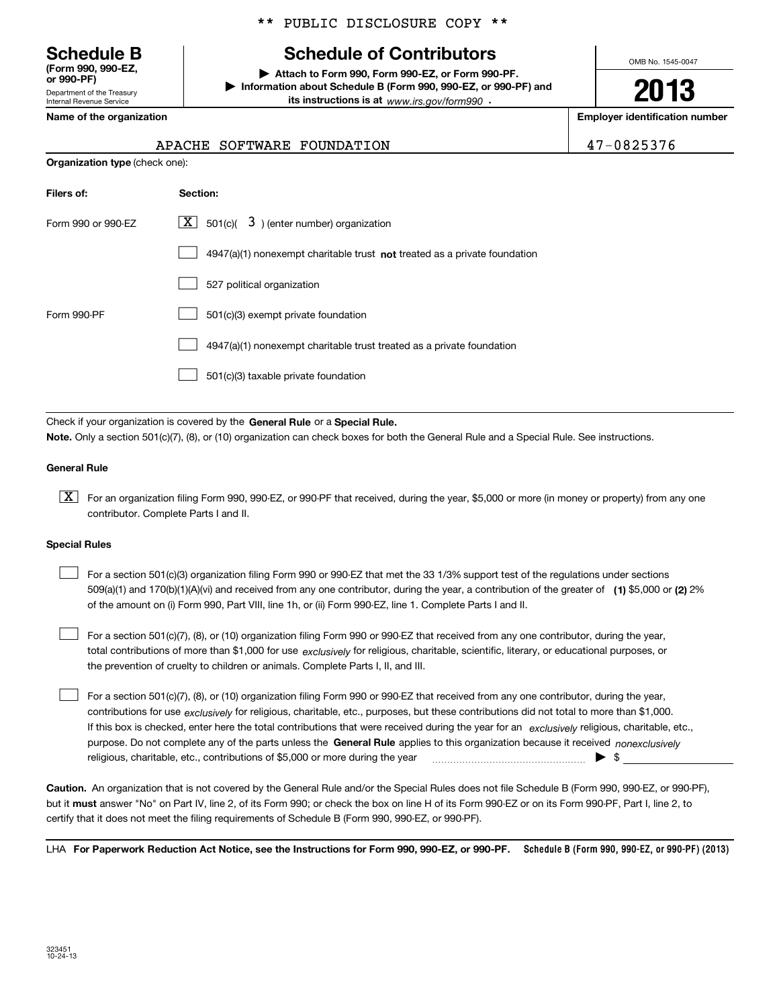Department of the Treasury Internal Revenue Service **(Form 990, 990-EZ, or 990-PF)**

#### \*\* PUBLIC DISCLOSURE COPY \*\*

## **Schedule B Schedule of Contributors**

**| Attach to Form 990, Form 990-EZ, or Form 990-PF. | Information about Schedule B (Form 990, 990-EZ, or 990-PF) and its instructions is at** www.irs.gov/form990  $\cdot$ 

OMB No. 1545-0047

**2013**

**Name of the organization Employer identification number**

| 7-0825376 |  |
|-----------|--|
|-----------|--|

| 47-0825376<br>APACHE SOFTWARE FOUNDATION |
|------------------------------------------|
|------------------------------------------|

| <b>Organization type (check one):</b> |                                                                             |
|---------------------------------------|-----------------------------------------------------------------------------|
| Filers of:                            | Section:                                                                    |
| Form 990 or 990-EZ                    | $\lfloor x \rfloor$ 501(c)( 3) (enter number) organization                  |
|                                       | $4947(a)(1)$ nonexempt charitable trust not treated as a private foundation |
|                                       | 527 political organization                                                  |
| Form 990-PF                           | 501(c)(3) exempt private foundation                                         |
|                                       | 4947(a)(1) nonexempt charitable trust treated as a private foundation       |
|                                       | 501(c)(3) taxable private foundation                                        |

Check if your organization is covered by the **General Rule** or a **Special Rule. Note.**  Only a section 501(c)(7), (8), or (10) organization can check boxes for both the General Rule and a Special Rule. See instructions.

#### **General Rule**

 $\boxed{\textbf{X}}$  For an organization filing Form 990, 990-EZ, or 990-PF that received, during the year, \$5,000 or more (in money or property) from any one contributor. Complete Parts I and II.

#### **Special Rules**

 $\mathcal{L}^{\text{max}}$ 

509(a)(1) and 170(b)(1)(A)(vi) and received from any one contributor, during the year, a contribution of the greater of **(1)** \$5,000 or **(2)** 2% For a section 501(c)(3) organization filing Form 990 or 990-EZ that met the 33 1/3% support test of the regulations under sections of the amount on (i) Form 990, Part VIII, line 1h, or (ii) Form 990-EZ, line 1. Complete Parts I and II.  $\mathcal{L}^{\text{max}}$ 

total contributions of more than \$1,000 for use *exclusively* for religious, charitable, scientific, literary, or educational purposes, or For a section 501(c)(7), (8), or (10) organization filing Form 990 or 990-EZ that received from any one contributor, during the year, the prevention of cruelty to children or animals. Complete Parts I, II, and III.

purpose. Do not complete any of the parts unless the **General Rule** applies to this organization because it received *nonexclusively* contributions for use <sub>exclusively</sub> for religious, charitable, etc., purposes, but these contributions did not total to more than \$1,000. If this box is checked, enter here the total contributions that were received during the year for an exclusively religious, charitable, etc., For a section 501(c)(7), (8), or (10) organization filing Form 990 or 990-EZ that received from any one contributor, during the year, religious, charitable, etc., contributions of \$5,000 or more during the year  $\quad \ldots \quad \ldots \quad \bullet \quad$ \$

**Caution.**An organization that is not covered by the General Rule and/or the Special Rules does not file Schedule B (Form 990, 990-EZ, or 990-PF),  **must** but it answer "No" on Part IV, line 2, of its Form 990; or check the box on line H of its Form 990-EZ or on its Form 990-PF, Part I, line 2, to certify that it does not meet the filing requirements of Schedule B (Form 990, 990-EZ, or 990-PF).

LHA For Paperwork Reduction Act Notice, see the Instructions for Form 990, 990-EZ, or 990-PF. Schedule B (Form 990, 990-EZ, or 990-PF) (2013)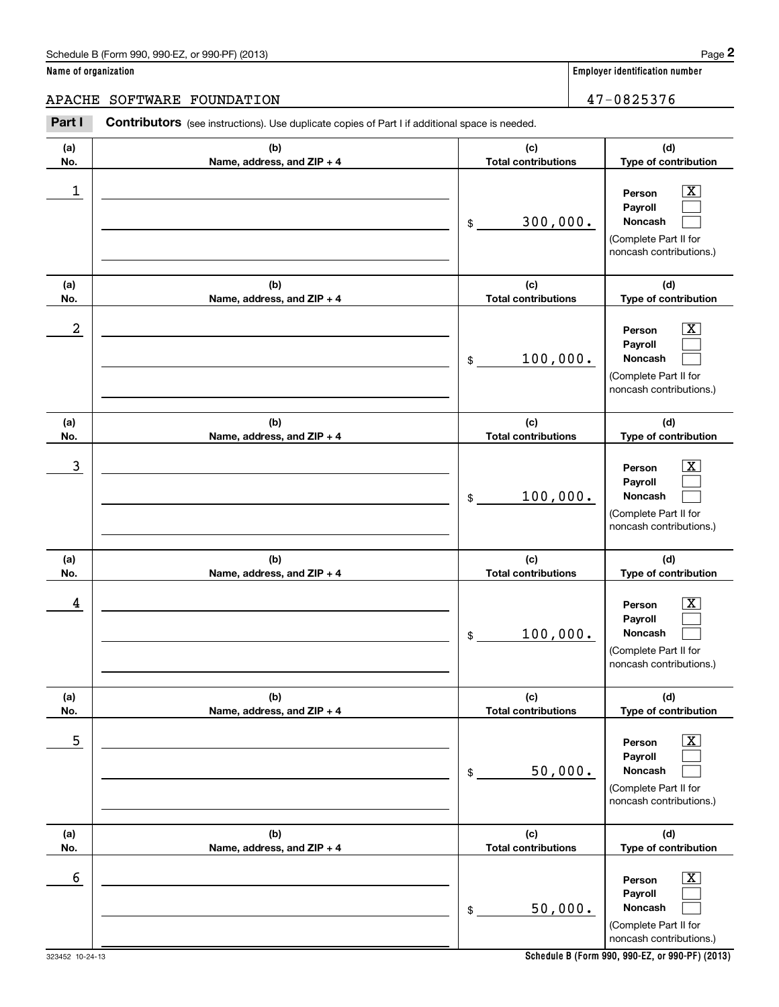#### APACHE SOFTWARE FOUNDATION  $47-0825376$

**(a)No.(b)Name, address, and ZIP + 4 (c)Total contributions (d)Type of contribution PersonPayrollNoncash (a)No.(b)Name, address, and ZIP + 4 (c)Total contributions (d)Type of contribution PersonPayrollNoncash (a)No.(b)Name, address, and ZIP + 4 (c)Total contributions (d)Type of contribution PersonPayrollNoncash (a) No.(b) Name, address, and ZIP + 4 (c) Total contributions (d) Type of contribution PersonPayrollNoncash(a) No.(b) Name, address, and ZIP + 4 (c) Total contributions (d) Type of contribution Person PayrollNoncash (a) No.(b)Name, address, and ZIP + 4 (c) Total contributions (d) Type of contribution PersonPayrollNoncash Contributors** (see instructions). Use duplicate copies of Part I if additional space is needed. \$(Complete Part II for noncash contributions.) \$(Complete Part II for noncash contributions.) \$(Complete Part II for noncash contributions.) \$(Complete Part II for noncash contributions.) \$(Complete Part II for noncash contributions.) \$(Complete Part II for noncash contributions.) Employer identification Page 2<br> **2** ame of organization<br> **2PACHE SOFTWARE FOUNDATION**<br> **Part I** Contributors (see instructions). Use duplicate copies of Part I if additional space is needed.  $|X|$  $\mathcal{L}^{\text{max}}$  $\mathcal{L}^{\text{max}}$  $\boxed{\text{X}}$  $\mathcal{L}^{\text{max}}$  $\mathcal{L}^{\text{max}}$  $|X|$  $\mathcal{L}^{\text{max}}$  $\mathcal{L}^{\text{max}}$  $\boxed{\text{X}}$  $\mathcal{L}^{\text{max}}$  $\mathcal{L}^{\text{max}}$  $|X|$  $\mathcal{L}^{\text{max}}$  $\mathcal{L}^{\text{max}}$  $\boxed{\text{X}}$  $\mathcal{L}^{\text{max}}$  $\mathcal{L}^{\text{max}}$  $\begin{array}{c|c|c|c|c|c} 1 & \hspace{1.5cm} & \hspace{1.5cm} & \hspace{1.5cm} & \hspace{1.5cm} & \hspace{1.5cm} & \hspace{1.5cm} & \hspace{1.5cm} & \hspace{1.5cm} & \hspace{1.5cm} & \hspace{1.5cm} & \hspace{1.5cm} & \hspace{1.5cm} & \hspace{1.5cm} & \hspace{1.5cm} & \hspace{1.5cm} & \hspace{1.5cm} & \hspace{1.5cm} & \hspace{1.5cm} & \hspace{1.5cm} & \hspace{1.5cm} &$ 300,000.  $2$  | Person  $\overline{\text{X}}$ 100,000.  $\overline{3}$  | Person  $\overline{X}$ 100,000.  $4$  | Person  $\overline{\text{X}}$ 100,000.  $\sim$  5 | Person X 50,000.  $\sim$  6 | Person X 50,000.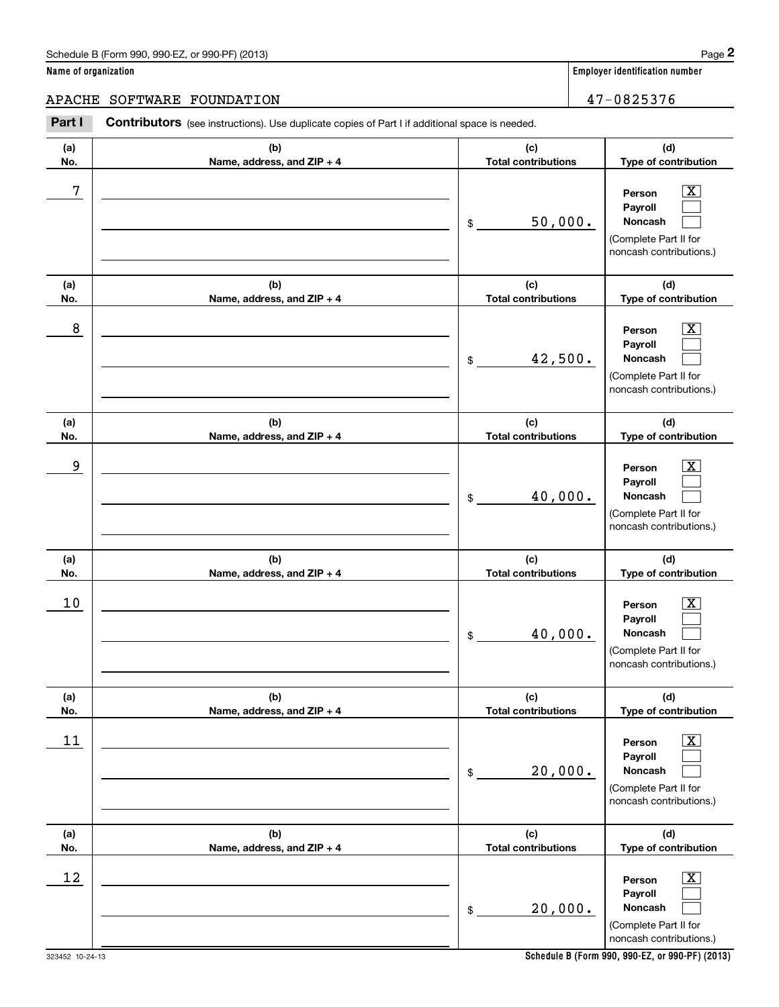#### APACHE SOFTWARE FOUNDATION  $47-0825376$

**(a)No.(b)Name, address, and ZIP + 4 (c)Total contributions (d)Type of contribution PersonPayrollNoncash (a)No.(b)Name, address, and ZIP + 4 (c)Total contributions (d)Type of contribution PersonPayrollNoncash (a)No.(b)Name, address, and ZIP + 4 (c)Total contributions (d)Type of contribution PersonPayrollNoncash (a) No.(b) Name, address, and ZIP + 4 (c) Total contributions (d) Type of contribution PersonPayrollNoncash(a) No.(b) Name, address, and ZIP + 4 (c) Total contributions (d) Type of contribution PersonPayrollNoncash (a) No.(b)Name, address, and ZIP + 4 (c) Total contributions (d) Type of contribution PersonPayrollNoncash Contributors** (see instructions). Use duplicate copies of Part I if additional space is needed. \$(Complete Part II for noncash contributions.) \$(Complete Part II for noncash contributions.) \$(Complete Part II for noncash contributions.) \$(Complete Part II for noncash contributions.) \$(Complete Part II for noncash contributions.) \$(Complete Part II for noncash contributions.) Employer identification Page 2<br> **2** ame of organization<br> **2PACHE SOFTWARE FOUNDATION**<br> **Part I** Contributors (see instructions). Use duplicate copies of Part I if additional space is needed.  $|X|$  $\mathcal{L}^{\text{max}}$  $\mathcal{L}^{\text{max}}$  $\boxed{\text{X}}$  $\mathcal{L}^{\text{max}}$  $\mathcal{L}^{\text{max}}$  $|X|$  $\mathcal{L}^{\text{max}}$  $\mathcal{L}^{\text{max}}$  $\boxed{\text{X}}$  $\mathcal{L}^{\text{max}}$  $\mathcal{L}^{\text{max}}$  $|X|$  $\mathcal{L}^{\text{max}}$  $\mathcal{L}^{\text{max}}$  $\boxed{\text{X}}$  $\mathcal{L}^{\text{max}}$  $\mathcal{L}^{\text{max}}$ 7 X 50,000. 8 X 42,500. example and the set of the set of the set of the set of the set of the set of the set of the set of the set of 40,000.  $10$  Person  $\overline{\text{X}}$ 40,000.  $11$  Person X 20,000.  $12$  Person X 20,000.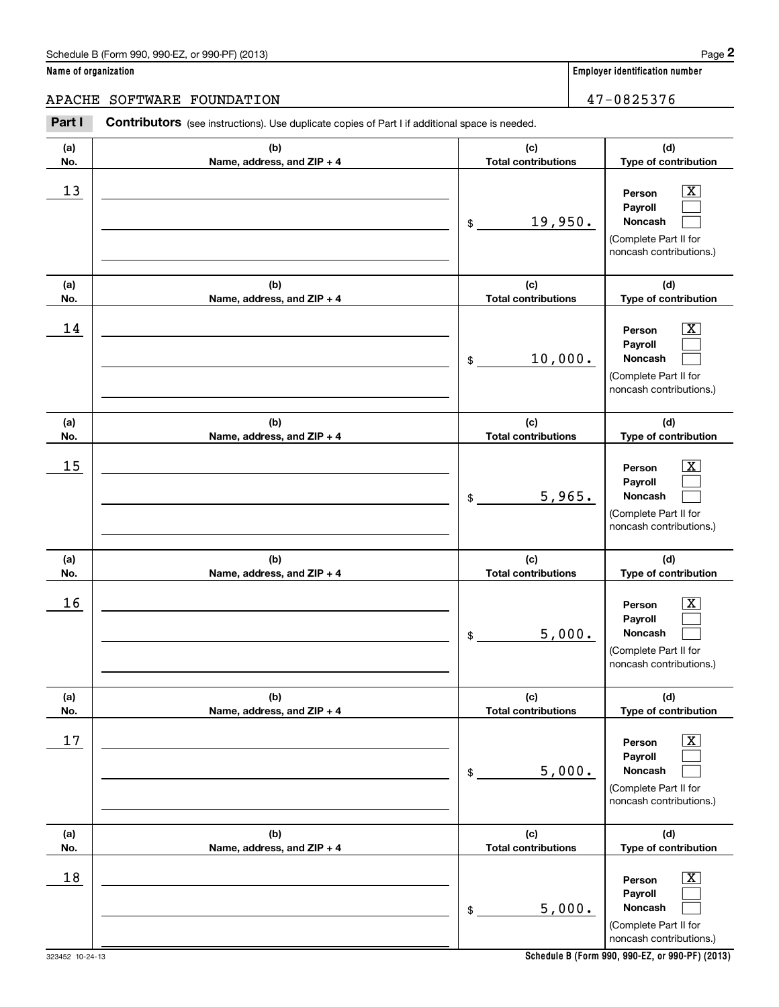#### APACHE SOFTWARE FOUNDATION **1996** and 1997-0825376

**(a)No.(b)Name, address, and ZIP + 4 (c)Total contributions (d)Type of contribution PersonPayrollNoncash (a)No.(b)Name, address, and ZIP + 4 (c)Total contributions (d)Type of contribution PersonPayrollNoncash (a)No.(b)Name, address, and ZIP + 4 (c)Total contributions (d)Type of contribution PersonPayrollNoncash (a) No.(b) Name, address, and ZIP + 4 (c) Total contributions (d) Type of contribution Person Payroll Noncash(a) No.(b) Name, address, and ZIP + 4 (c) Total contributions (d) Type of contribution PersonPayrollNoncash (a) No.(b)Name, address, and ZIP + 4 (c) Total contributions (d) Type of contribution PersonPayrollNoncash Contributors** (see instructions). Use duplicate copies of Part I if additional space is needed. \$(Complete Part II for noncash contributions.) \$(Complete Part II for noncash contributions.) \$(Complete Part II for noncash contributions.) \$(Complete Part II for noncash contributions.) \$(Complete Part II for noncash contributions.) \$(Complete Part II for noncash contributions.) Employer identification Page 2<br> **2** ame of organization<br> **2PACHE SOFTWARE FOUNDATION**<br> **Part I** Contributors (see instructions). Use duplicate copies of Part I if additional space is needed.  $|X|$  $\mathcal{L}^{\text{max}}$  $\mathcal{L}^{\text{max}}$  $\boxed{\text{X}}$  $\mathcal{L}^{\text{max}}$  $\mathcal{L}^{\text{max}}$  $|X|$  $\mathcal{L}^{\text{max}}$  $\mathcal{L}^{\text{max}}$  $\boxed{\text{X}}$  $\mathcal{L}^{\text{max}}$  $\mathcal{L}^{\text{max}}$  $|X|$  $\mathcal{L}^{\text{max}}$  $\mathcal{L}^{\text{max}}$  $\boxed{\text{X}}$  $\mathcal{L}^{\text{max}}$  $\mathcal{L}^{\text{max}}$  $13$  Person X 19,950.  $14$  Person X 10,000.  $15$  Person X 5,965.  $16$  Person X 5,000.  $17$  | Person  $\overline{\text{X}}$ 5,000.  $18$  Person  $\overline{\text{X}}$ 5,000.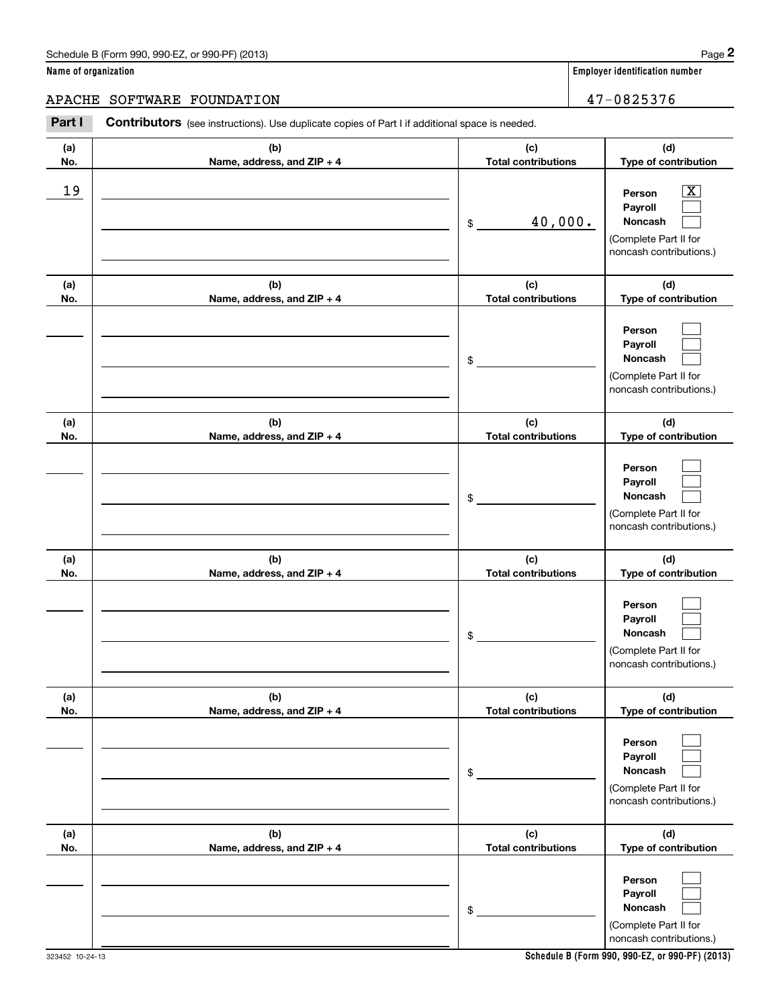#### APACHE SOFTWARE FOUNDATION **1996** and 1997-0825376

**(a)No.(b)Name, address, and ZIP + 4 (c)Total contributions (d)Type of contribution PersonPayrollNoncash (a)No.(b)Name, address, and ZIP + 4 (c)Total contributions (d)Type of contribution PersonPayrollNoncash (a)No.(b)Name, address, and ZIP + 4 (c)Total contributions (d)Type of contribution PersonPayrollNoncash (a) No.(b) Name, address, and ZIP + 4 (c) Total contributions (d) Type of contribution PersonPayrollNoncash(a) No.(b) Name, address, and ZIP + 4 (c) Total contributions (d) Type of contribution PersonPayrollNoncash (a) No.(b)Name, address, and ZIP + 4 (c) Total contributions (d) Type of contribution PersonPayrollNoncash** Contributors (see instructions). Use duplicate copies of Part I if additional space is needed. \$(Complete Part II for noncash contributions.) \$(Complete Part II for noncash contributions.) \$(Complete Part II for noncash contributions.) \$(Complete Part II for noncash contributions.) \$(Complete Part II for noncash contributions.) \$(Complete Part II for noncash contributions.) Employer identification Page 2<br> **2** ame of organization<br> **2PACHE SOFTWARE FOUNDATION**<br> **Part I** Contributors (see instructions). Use duplicate copies of Part I if additional space is needed.  $|X|$  $\mathcal{L}^{\text{max}}$  $\mathcal{L}^{\text{max}}$  $\mathcal{L}^{\text{max}}$  $\mathcal{L}^{\text{max}}$  $\mathcal{L}^{\text{max}}$  $\mathcal{L}^{\text{max}}$  $\mathcal{L}^{\text{max}}$  $\mathcal{L}^{\text{max}}$  $\mathcal{L}^{\text{max}}$  $\mathcal{L}^{\text{max}}$  $\mathcal{L}^{\text{max}}$  $\mathcal{L}^{\text{max}}$  $\mathcal{L}^{\text{max}}$  $\mathcal{L}^{\text{max}}$  $\mathcal{L}^{\text{max}}$  $\mathcal{L}^{\text{max}}$  $\mathcal{L}^{\text{max}}$ 19 X 40,000.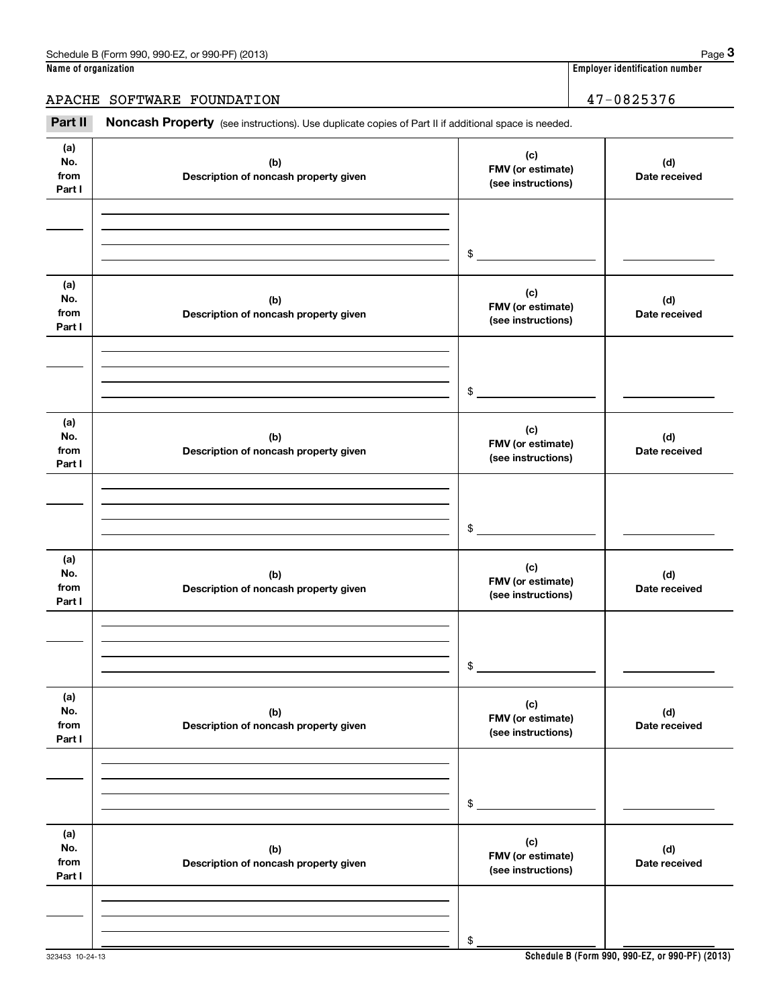### APACHE SOFTWARE FOUNDATION 47-0825376

Employer identification number<br> **1990 Employer identification number**<br> **1998 PACHE SOFTWARE FOUNDATION 1998**<br> **Part II Noncash Property** (see instructions). Use duplicate copies of Part II if additional space is needed.

| (a)<br>No.<br>from<br>Part I | (b)<br>Description of noncash property given | (c)<br>FMV (or estimate)<br>(see instructions) | (d)<br>Date received |
|------------------------------|----------------------------------------------|------------------------------------------------|----------------------|
|                              |                                              | $$\circ$$                                      |                      |
|                              |                                              |                                                |                      |
| (a)<br>No.<br>from<br>Part I | (b)<br>Description of noncash property given | (c)<br>FMV (or estimate)<br>(see instructions) | (d)<br>Date received |
|                              |                                              |                                                |                      |
|                              |                                              |                                                |                      |
|                              |                                              | $$\circ$$                                      |                      |
| (a)<br>No.<br>from<br>Part I | (b)<br>Description of noncash property given | (c)<br>FMV (or estimate)<br>(see instructions) | (d)<br>Date received |
|                              |                                              |                                                |                      |
|                              |                                              |                                                |                      |
|                              |                                              | $\mathsf{\$}$                                  |                      |
|                              |                                              |                                                |                      |
| (a)<br>No.<br>from<br>Part I | (b)<br>Description of noncash property given | (c)<br>FMV (or estimate)<br>(see instructions) | (d)<br>Date received |
|                              |                                              |                                                |                      |
|                              |                                              |                                                |                      |
|                              |                                              | \$                                             |                      |
|                              |                                              |                                                |                      |
| (a)<br>No.<br>from<br>Part I | (b)<br>Description of noncash property given | (c)<br>FMV (or estimate)<br>(see instructions) | (d)<br>Date received |
|                              |                                              |                                                |                      |
|                              |                                              |                                                |                      |
|                              |                                              | $\$$                                           |                      |
| (a)                          |                                              |                                                |                      |
| No.<br>from<br>Part I        | (b)<br>Description of noncash property given | (c)<br>FMV (or estimate)<br>(see instructions) | (d)<br>Date received |
|                              |                                              |                                                |                      |
|                              |                                              |                                                |                      |
|                              |                                              | \$                                             |                      |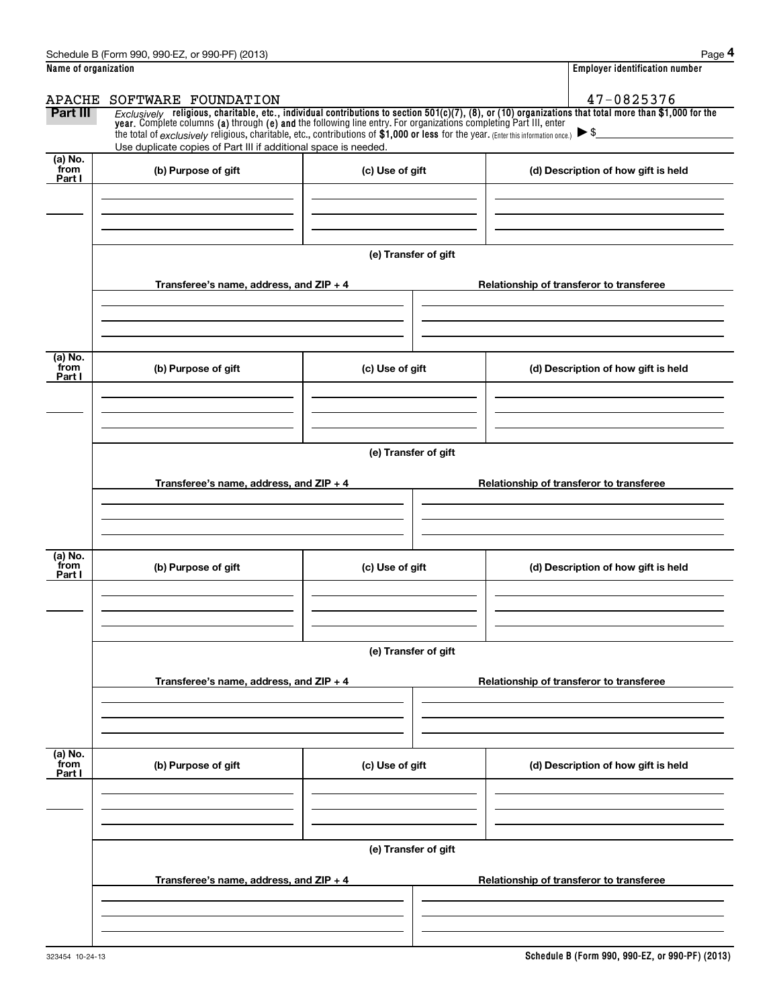|                           | Schedule B (Form 990, 990-EZ, or 990-PF) (2013)                                                                                                                                                                                                                                                                                                   |                      | Page 4                                                                                                                                                       |
|---------------------------|---------------------------------------------------------------------------------------------------------------------------------------------------------------------------------------------------------------------------------------------------------------------------------------------------------------------------------------------------|----------------------|--------------------------------------------------------------------------------------------------------------------------------------------------------------|
| Name of organization      |                                                                                                                                                                                                                                                                                                                                                   |                      | <b>Employer identification number</b>                                                                                                                        |
| APACHE                    | SOFTWARE FOUNDATION                                                                                                                                                                                                                                                                                                                               |                      | 47-0825376                                                                                                                                                   |
| Part III                  | year. Complete columns (a) through (e) and the following line entry. For organizations completing Part III, enter<br>the total of $exclusively$ religious, charitable, etc., contributions of \$1,000 or less for the year. (Enter this information once.) $\triangleright$ \$<br>Use duplicate copies of Part III if additional space is needed. |                      | $Exclusively$ religious, charitable, etc., individual contributions to section $501(c)(7)$ , (8), or (10) organizations that total more than \$1,000 for the |
| $(a)$ No.                 |                                                                                                                                                                                                                                                                                                                                                   |                      |                                                                                                                                                              |
| from<br>Part I            | (b) Purpose of gift                                                                                                                                                                                                                                                                                                                               | (c) Use of gift      | (d) Description of how gift is held                                                                                                                          |
|                           | Transferee's name, address, and $ZIP + 4$                                                                                                                                                                                                                                                                                                         | (e) Transfer of gift | Relationship of transferor to transferee                                                                                                                     |
|                           |                                                                                                                                                                                                                                                                                                                                                   |                      |                                                                                                                                                              |
| (a) No.<br>from<br>Part I | (b) Purpose of gift                                                                                                                                                                                                                                                                                                                               | (c) Use of gift      | (d) Description of how gift is held                                                                                                                          |
|                           |                                                                                                                                                                                                                                                                                                                                                   |                      |                                                                                                                                                              |
|                           |                                                                                                                                                                                                                                                                                                                                                   | (e) Transfer of gift |                                                                                                                                                              |
|                           | Transferee's name, address, and ZIP + 4                                                                                                                                                                                                                                                                                                           |                      | Relationship of transferor to transferee                                                                                                                     |
| (a) No.                   |                                                                                                                                                                                                                                                                                                                                                   |                      |                                                                                                                                                              |
| from<br>Part I            | (b) Purpose of gift                                                                                                                                                                                                                                                                                                                               | (c) Use of gift      | (d) Description of how gift is held                                                                                                                          |
|                           |                                                                                                                                                                                                                                                                                                                                                   | (e) Transfer of gift |                                                                                                                                                              |
|                           | Transferee's name, address, and ZIP + 4                                                                                                                                                                                                                                                                                                           |                      | Relationship of transferor to transferee                                                                                                                     |
| (a) No.<br>from<br>Part I | (b) Purpose of gift                                                                                                                                                                                                                                                                                                                               | (c) Use of gift      | (d) Description of how gift is held                                                                                                                          |
|                           |                                                                                                                                                                                                                                                                                                                                                   |                      |                                                                                                                                                              |
|                           |                                                                                                                                                                                                                                                                                                                                                   | (e) Transfer of gift |                                                                                                                                                              |
|                           | Transferee's name, address, and ZIP + 4                                                                                                                                                                                                                                                                                                           |                      | Relationship of transferor to transferee                                                                                                                     |
|                           |                                                                                                                                                                                                                                                                                                                                                   |                      |                                                                                                                                                              |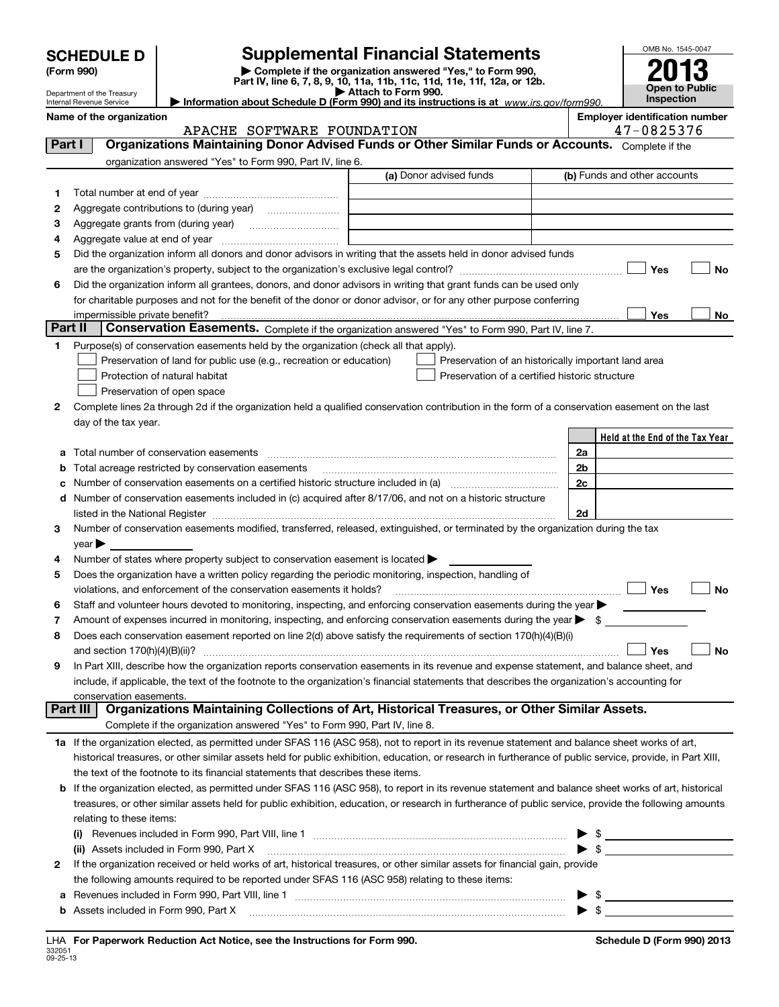| <b>SCHEDULE D</b> |  |
|-------------------|--|
|                   |  |

## **SCHEDULE D Supplemental Financial Statements**

(Form 990)<br>
Pepartment of the Treasury<br>
Department of the Treasury<br>
Department of the Treasury<br>
Information about Schedule D (Form 990) and its instructions is at www.irs.gov/form990.



Department of the Treasury Internal Revenue Service

**Name of the organization**<br> **APACHE SOFTWARE FOIINDATION**<br> **APACHE SOFTWARE FOIINDATION** APACHE SOFTWARE FOUNDATION

| Part I  | APACHE SUPIWARE FUONDAIIUN<br>Organizations Maintaining Donor Advised Funds or Other Similar Funds or Accounts. Complete if the                           |                         | $41 - 002$ JJ10                                     |
|---------|-----------------------------------------------------------------------------------------------------------------------------------------------------------|-------------------------|-----------------------------------------------------|
|         | organization answered "Yes" to Form 990, Part IV, line 6.                                                                                                 |                         |                                                     |
|         |                                                                                                                                                           | (a) Donor advised funds | (b) Funds and other accounts                        |
| 1.      |                                                                                                                                                           |                         |                                                     |
| 2       |                                                                                                                                                           |                         |                                                     |
| з       |                                                                                                                                                           |                         |                                                     |
| 4       | Aggregate value at end of year                                                                                                                            |                         |                                                     |
| 5       | Did the organization inform all donors and donor advisors in writing that the assets held in donor advised funds                                          |                         |                                                     |
|         | are the organization's property, subject to the organization's exclusive legal control? <i>manual control</i>                                             |                         | Yes<br><b>No</b>                                    |
| 6       | Did the organization inform all grantees, donors, and donor advisors in writing that grant funds can be used only                                         |                         |                                                     |
|         | for charitable purposes and not for the benefit of the donor or donor advisor, or for any other purpose conferring                                        |                         |                                                     |
|         | impermissible private benefit?                                                                                                                            |                         | Yes<br>No                                           |
| Part II | Conservation Easements. Complete if the organization answered "Yes" to Form 990, Part IV, line 7.                                                         |                         |                                                     |
| 1       | Purpose(s) of conservation easements held by the organization (check all that apply).                                                                     |                         |                                                     |
|         | Preservation of land for public use (e.g., recreation or education)                                                                                       |                         | Preservation of an historically important land area |
|         | Protection of natural habitat                                                                                                                             |                         | Preservation of a certified historic structure      |
|         | Preservation of open space                                                                                                                                |                         |                                                     |
| 2       | Complete lines 2a through 2d if the organization held a qualified conservation contribution in the form of a conservation easement on the last            |                         |                                                     |
|         | day of the tax year.                                                                                                                                      |                         |                                                     |
|         |                                                                                                                                                           |                         | Held at the End of the Tax Year                     |
| a       | Total number of conservation easements                                                                                                                    |                         | 2a                                                  |
| b       | Total acreage restricted by conservation easements                                                                                                        |                         | 2b                                                  |
|         | Number of conservation easements on a certified historic structure included in (a)                                                                        |                         | 2c                                                  |
| d       | Number of conservation easements included in (c) acquired after 8/17/06, and not on a historic structure                                                  |                         |                                                     |
|         | listed in the National Register                                                                                                                           |                         | 2d                                                  |
| 3       | Number of conservation easements modified, transferred, released, extinguished, or terminated by the organization during the tax                          |                         |                                                     |
|         | year                                                                                                                                                      |                         |                                                     |
| 4       | Number of states where property subject to conservation easement is located                                                                               |                         |                                                     |
| 5       | Does the organization have a written policy regarding the periodic monitoring, inspection, handling of                                                    |                         |                                                     |
|         | violations, and enforcement of the conservation easements it holds?                                                                                       |                         | Yes<br><b>No</b>                                    |
| 6       | Staff and volunteer hours devoted to monitoring, inspecting, and enforcing conservation easements during the year                                         |                         |                                                     |
| 7       | Amount of expenses incurred in monitoring, inspecting, and enforcing conservation easements during the year $\blacktriangleright$ \$                      |                         |                                                     |
| 8       | Does each conservation easement reported on line 2(d) above satisfy the requirements of section 170(h)(4)(B)(i)                                           |                         |                                                     |
|         | and section $170(h)(4)(B)(ii)?$                                                                                                                           |                         | Yes<br><b>No</b>                                    |
| 9       | In Part XIII, describe how the organization reports conservation easements in its revenue and expense statement, and balance sheet, and                   |                         |                                                     |
|         | include, if applicable, the text of the footnote to the organization's financial statements that describes the organization's accounting for              |                         |                                                     |
|         | conservation easements.                                                                                                                                   |                         |                                                     |
|         | Part III<br>Organizations Maintaining Collections of Art, Historical Treasures, or Other Similar Assets.                                                  |                         |                                                     |
|         | Complete if the organization answered "Yes" to Form 990, Part IV, line 8.                                                                                 |                         |                                                     |
|         | 1a If the organization elected, as permitted under SFAS 116 (ASC 958), not to report in its revenue statement and balance sheet works of art,             |                         |                                                     |
|         | historical treasures, or other similar assets held for public exhibition, education, or research in furtherance of public service, provide, in Part XIII, |                         |                                                     |
|         | the text of the footnote to its financial statements that describes these items.                                                                          |                         |                                                     |
| b       | If the organization elected, as permitted under SFAS 116 (ASC 958), to report in its revenue statement and balance sheet works of art, historical         |                         |                                                     |
|         | treasures, or other similar assets held for public exhibition, education, or research in furtherance of public service, provide the following amounts     |                         |                                                     |
|         | relating to these items:                                                                                                                                  |                         |                                                     |
|         |                                                                                                                                                           |                         | $\blacktriangleright$ \$                            |
|         | (ii) Assets included in Form 990, Part X                                                                                                                  |                         | $\blacktriangleright$ \$                            |
| 2       | If the organization received or held works of art, historical treasures, or other similar assets for financial gain, provide                              |                         |                                                     |
|         | the following amounts required to be reported under SFAS 116 (ASC 958) relating to these items:                                                           |                         |                                                     |
| а       |                                                                                                                                                           |                         | $\blacktriangleright$ \$                            |

 $\blacktriangleright$  \$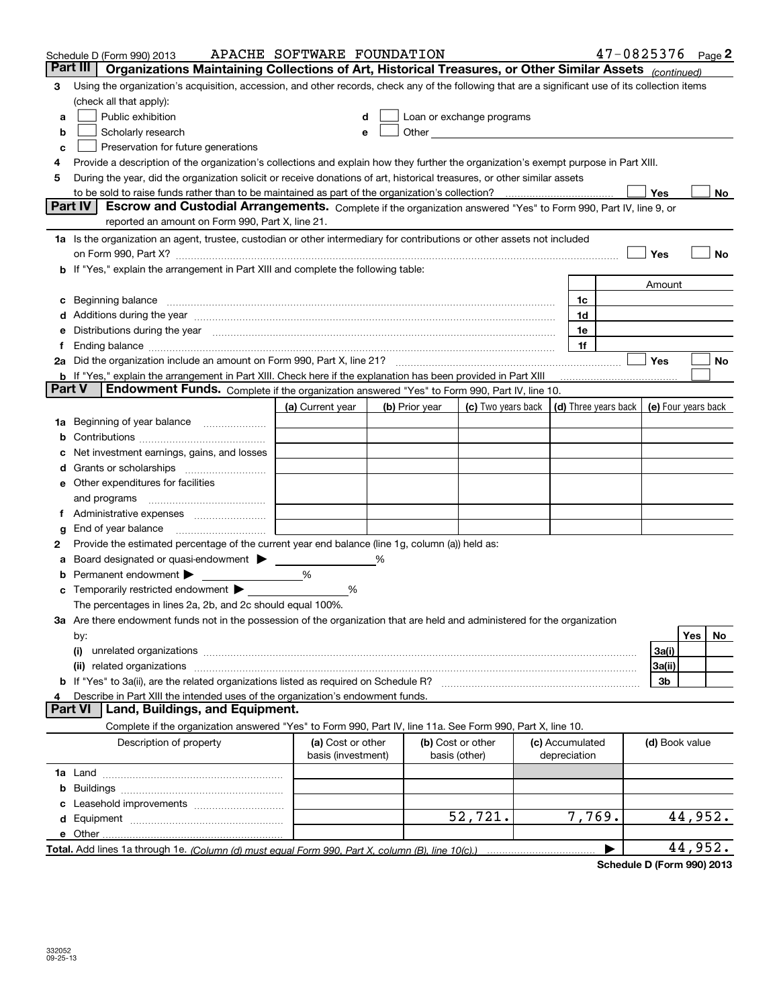|        | Schedule D (Form 990) 2013                                                                                                                                                                                                     | APACHE SOFTWARE FOUNDATION              |   |                |                                                                                                               |                                 | $47 - 0825376$ Page 2 |                |                  |     |
|--------|--------------------------------------------------------------------------------------------------------------------------------------------------------------------------------------------------------------------------------|-----------------------------------------|---|----------------|---------------------------------------------------------------------------------------------------------------|---------------------------------|-----------------------|----------------|------------------|-----|
|        | Part III<br>Organizations Maintaining Collections of Art, Historical Treasures, or Other Similar Assets (continued)                                                                                                            |                                         |   |                |                                                                                                               |                                 |                       |                |                  |     |
| 3      | Using the organization's acquisition, accession, and other records, check any of the following that are a significant use of its collection items<br>(check all that apply):                                                   |                                         |   |                |                                                                                                               |                                 |                       |                |                  |     |
| a      | Public exhibition                                                                                                                                                                                                              |                                         |   |                | Loan or exchange programs                                                                                     |                                 |                       |                |                  |     |
| b      | Scholarly research                                                                                                                                                                                                             |                                         |   |                | Other and the contract of the contract of the contract of the contract of the contract of the contract of the |                                 |                       |                |                  |     |
| с      | Preservation for future generations                                                                                                                                                                                            |                                         |   |                |                                                                                                               |                                 |                       |                |                  |     |
| 4      | Provide a description of the organization's collections and explain how they further the organization's exempt purpose in Part XIII.                                                                                           |                                         |   |                |                                                                                                               |                                 |                       |                |                  |     |
| 5      | During the year, did the organization solicit or receive donations of art, historical treasures, or other similar assets                                                                                                       |                                         |   |                |                                                                                                               |                                 |                       |                |                  |     |
|        |                                                                                                                                                                                                                                |                                         |   |                |                                                                                                               |                                 |                       | Yes            |                  | No  |
|        | Escrow and Custodial Arrangements. Complete if the organization answered "Yes" to Form 990, Part IV, line 9, or<br><b>Part IV</b>                                                                                              |                                         |   |                |                                                                                                               |                                 |                       |                |                  |     |
|        | reported an amount on Form 990, Part X, line 21.                                                                                                                                                                               |                                         |   |                |                                                                                                               |                                 |                       |                |                  |     |
|        | 1a Is the organization an agent, trustee, custodian or other intermediary for contributions or other assets not included                                                                                                       |                                         |   |                |                                                                                                               |                                 |                       |                |                  |     |
|        | on Form 990, Part X? [11] matter contracts and contracts and contracts are contracted as a form 990, Part X?                                                                                                                   |                                         |   |                |                                                                                                               |                                 |                       | Yes            |                  | No  |
|        | <b>b</b> If "Yes," explain the arrangement in Part XIII and complete the following table:                                                                                                                                      |                                         |   |                |                                                                                                               |                                 |                       |                |                  |     |
|        |                                                                                                                                                                                                                                |                                         |   |                |                                                                                                               |                                 |                       | Amount         |                  |     |
|        | c Beginning balance measurements and the contract of the contract of the contract of the contract of the contract of the contract of the contract of the contract of the contract of the contract of the contract of the contr |                                         |   |                |                                                                                                               | 1c                              |                       |                |                  |     |
|        |                                                                                                                                                                                                                                |                                         |   |                |                                                                                                               | 1d                              |                       |                |                  |     |
|        | e Distributions during the year manufactured and continuum control of the control of the control of the state of the control of the control of the control of the control of the control of the control of the control of the  |                                         |   |                |                                                                                                               | 1e                              |                       |                |                  |     |
|        |                                                                                                                                                                                                                                |                                         |   |                |                                                                                                               | 1f                              |                       |                |                  |     |
|        |                                                                                                                                                                                                                                |                                         |   |                |                                                                                                               |                                 |                       | Yes            |                  | No  |
|        | <b>b</b> If "Yes," explain the arrangement in Part XIII. Check here if the explanation has been provided in Part XIII                                                                                                          |                                         |   |                |                                                                                                               |                                 |                       |                |                  |     |
| Part V | Endowment Funds. Complete if the organization answered "Yes" to Form 990, Part IV, line 10.                                                                                                                                    |                                         |   |                |                                                                                                               |                                 |                       |                |                  |     |
|        |                                                                                                                                                                                                                                | (a) Current year                        |   | (b) Prior year | (c) Two years back $\vert$ (d) Three years back $\vert$ (e) Four years back                                   |                                 |                       |                |                  |     |
|        | <b>1a</b> Beginning of year balance                                                                                                                                                                                            |                                         |   |                |                                                                                                               |                                 |                       |                |                  |     |
|        |                                                                                                                                                                                                                                |                                         |   |                |                                                                                                               |                                 |                       |                |                  |     |
|        | Net investment earnings, gains, and losses                                                                                                                                                                                     |                                         |   |                |                                                                                                               |                                 |                       |                |                  |     |
|        |                                                                                                                                                                                                                                |                                         |   |                |                                                                                                               |                                 |                       |                |                  |     |
|        | e Other expenditures for facilities                                                                                                                                                                                            |                                         |   |                |                                                                                                               |                                 |                       |                |                  |     |
|        | and programs                                                                                                                                                                                                                   |                                         |   |                |                                                                                                               |                                 |                       |                |                  |     |
|        |                                                                                                                                                                                                                                |                                         |   |                |                                                                                                               |                                 |                       |                |                  |     |
| g      |                                                                                                                                                                                                                                |                                         |   |                |                                                                                                               |                                 |                       |                |                  |     |
| 2      | Provide the estimated percentage of the current year end balance (line 1g, column (a)) held as:                                                                                                                                |                                         |   |                |                                                                                                               |                                 |                       |                |                  |     |
| а      | Board designated or quasi-endowment                                                                                                                                                                                            |                                         | % |                |                                                                                                               |                                 |                       |                |                  |     |
| b      | Permanent endowment                                                                                                                                                                                                            | %                                       |   |                |                                                                                                               |                                 |                       |                |                  |     |
|        | <b>c</b> Temporarily restricted endowment $\blacktriangleright$                                                                                                                                                                | %                                       |   |                |                                                                                                               |                                 |                       |                |                  |     |
|        | The percentages in lines 2a, 2b, and 2c should equal 100%.                                                                                                                                                                     |                                         |   |                |                                                                                                               |                                 |                       |                |                  |     |
|        | 3a Are there endowment funds not in the possession of the organization that are held and administered for the organization                                                                                                     |                                         |   |                |                                                                                                               |                                 |                       |                | Yes <sub>1</sub> | No. |
|        | by:<br>(i)                                                                                                                                                                                                                     |                                         |   |                |                                                                                                               |                                 |                       | 3a(i)          |                  |     |
|        |                                                                                                                                                                                                                                |                                         |   |                |                                                                                                               |                                 |                       | 3a(ii)         |                  |     |
|        | b If "Yes" to 3a(ii), are the related organizations listed as required on Schedule R?                                                                                                                                          |                                         |   |                |                                                                                                               |                                 |                       | 3b             |                  |     |
|        | Describe in Part XIII the intended uses of the organization's endowment funds.                                                                                                                                                 |                                         |   |                |                                                                                                               |                                 |                       |                |                  |     |
|        | Land, Buildings, and Equipment.<br>Part VI                                                                                                                                                                                     |                                         |   |                |                                                                                                               |                                 |                       |                |                  |     |
|        | Complete if the organization answered "Yes" to Form 990, Part IV, line 11a. See Form 990, Part X, line 10.                                                                                                                     |                                         |   |                |                                                                                                               |                                 |                       |                |                  |     |
|        | Description of property                                                                                                                                                                                                        | (a) Cost or other<br>basis (investment) |   |                | (b) Cost or other<br>basis (other)                                                                            | (c) Accumulated<br>depreciation |                       | (d) Book value |                  |     |
|        |                                                                                                                                                                                                                                |                                         |   |                |                                                                                                               |                                 |                       |                |                  |     |
| b      |                                                                                                                                                                                                                                |                                         |   |                |                                                                                                               |                                 |                       |                |                  |     |
| с      |                                                                                                                                                                                                                                |                                         |   |                |                                                                                                               |                                 |                       |                |                  |     |
|        |                                                                                                                                                                                                                                |                                         |   |                | 52,721.                                                                                                       | 7,769.                          |                       |                | 44,952.          |     |
|        |                                                                                                                                                                                                                                |                                         |   |                |                                                                                                               |                                 |                       |                |                  |     |
|        |                                                                                                                                                                                                                                |                                         |   |                |                                                                                                               |                                 | ▶                     |                | 44,952.          |     |
|        |                                                                                                                                                                                                                                |                                         |   |                |                                                                                                               |                                 |                       |                |                  |     |

**Schedule D (Form 990) 2013**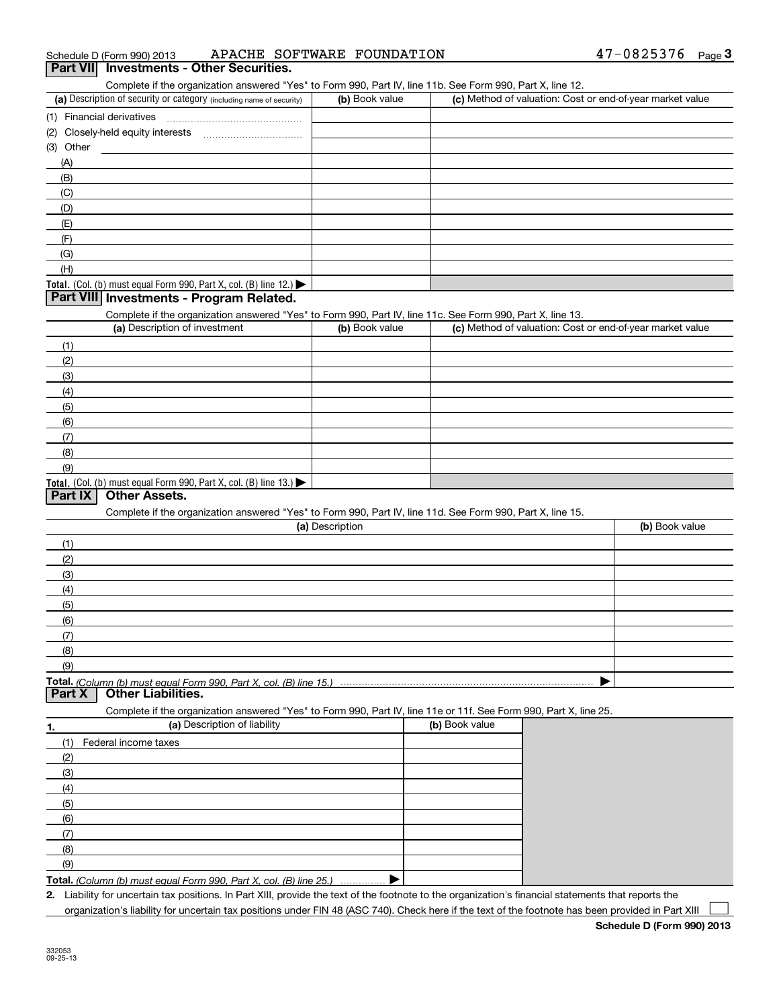| 47-0825376<br>APACHE SOFTWARE FOUNDATION<br>Schedule D (Form 990) 2013 | Page |  |
|------------------------------------------------------------------------|------|--|
|------------------------------------------------------------------------|------|--|

#### **3Part VII Investments - Other Securities.**

Complete if the organization answered "Yes" to Form 990, Part IV, line 11b. See Form 990, Part X, line 12.

| (a) Description of security or category (including name of security)                   | (b) Book value | (c) Method of valuation: Cost or end-of-year market value |
|----------------------------------------------------------------------------------------|----------------|-----------------------------------------------------------|
| (1) Financial derivatives                                                              |                |                                                           |
| (2) Closely-held equity interests                                                      |                |                                                           |
| (3) Other                                                                              |                |                                                           |
| (A)                                                                                    |                |                                                           |
| (B)                                                                                    |                |                                                           |
| (C)                                                                                    |                |                                                           |
| (D)                                                                                    |                |                                                           |
| (E)                                                                                    |                |                                                           |
| (F)                                                                                    |                |                                                           |
| (G)                                                                                    |                |                                                           |
| (H)                                                                                    |                |                                                           |
| Total. (Col. (b) must equal Form 990, Part X, col. (B) line 12.) $\blacktriangleright$ |                |                                                           |

#### **Part VIII Investments - Program Related.**

Complete if the organization answered "Yes" to Form 990, Part IV, line 11c. See Form 990, Part X, line 13.

| (a) Description of investment                                    | (b) Book value | (c) Method of valuation: Cost or end-of-year market value |
|------------------------------------------------------------------|----------------|-----------------------------------------------------------|
| (1)                                                              |                |                                                           |
| (2)                                                              |                |                                                           |
| (3)                                                              |                |                                                           |
| (4)                                                              |                |                                                           |
| (5)                                                              |                |                                                           |
| (6)                                                              |                |                                                           |
| (7)                                                              |                |                                                           |
| (8)                                                              |                |                                                           |
| (9)                                                              |                |                                                           |
| Total. (Col. (b) must equal Form 990, Part X, col. (B) line 13.) |                |                                                           |

#### **Part IX Other Assets.**

Complete if the organization answered "Yes" to Form 990, Part IV, line 11d. See Form 990, Part X, line 15.

| (a) Description   | (b) Book value |
|-------------------|----------------|
| (1)               |                |
| (2)               |                |
| (3)               |                |
| (4)               |                |
| $\frac{1}{2}$ (5) |                |
| (6)               |                |
| (7)               |                |
| (8)               |                |
| (9)               |                |
|                   |                |

**Total.**  *(Column (b) must equal Form 990, Part X, col. (B) line 15.)* **Paramele Chart Liabilities.** 

Complete if the organization answered "Yes" to Form 990, Part IV, line 11e or 11f. See Form 990, Part X, line 25.

| 1.  | (a) Description of liability                                       | (b) Book value |
|-----|--------------------------------------------------------------------|----------------|
|     | Federal income taxes                                               |                |
| (2) |                                                                    |                |
| (3) |                                                                    |                |
| (4) |                                                                    |                |
| (5) |                                                                    |                |
| (6) |                                                                    |                |
|     |                                                                    |                |
| (8) |                                                                    |                |
| (9) |                                                                    |                |
|     | Total. (Column (b) must equal Form 990. Part X, col. (B) line 25.) |                |

**Total.**  *(Column (b) must equal Form 990, Part X, col. (B) line 25.)* . . . . . . . . . . . . . . .

**2.**Liability for uncertain tax positions. In Part XIII, provide the text of the footnote to the organization's financial statements that reports the organization's liability for uncertain tax positions under FIN 48 (ASC 740). Check here if the text of the footnote has been provided in Part XIII  $\mathcal{L}^{\text{max}}$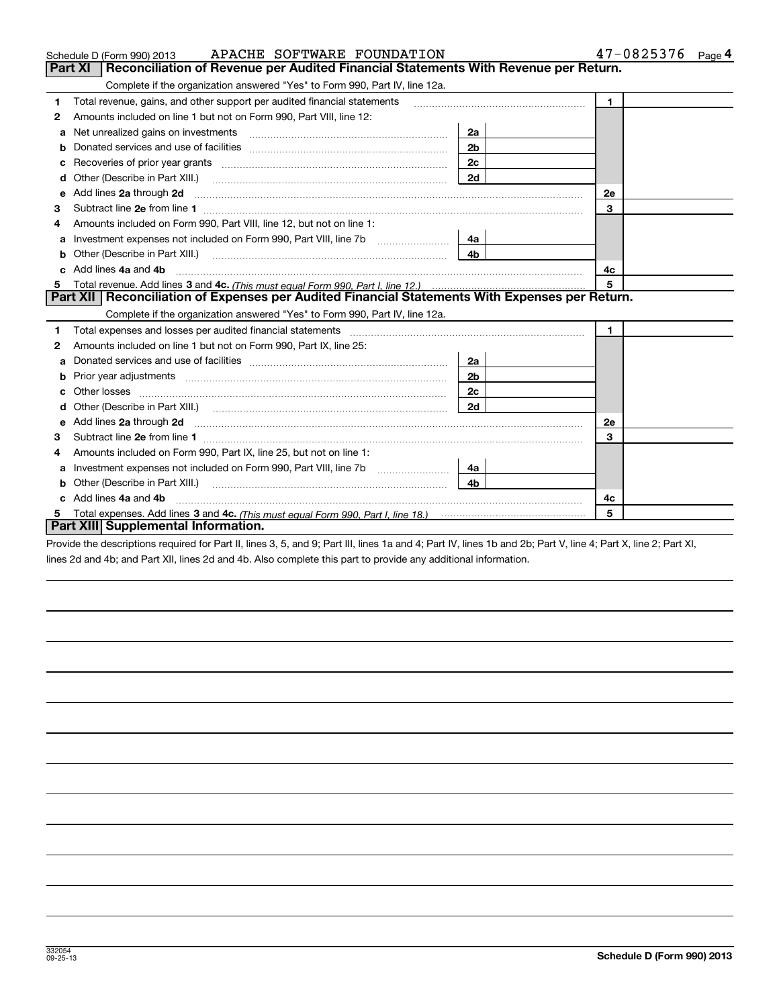|    | APACHE SOFTWARE FOUNDATION<br>Schedule D (Form 990) 2013                                                                                                                                                                             | $47 - 0825376$ Page 4 |              |
|----|--------------------------------------------------------------------------------------------------------------------------------------------------------------------------------------------------------------------------------------|-----------------------|--------------|
|    | Reconciliation of Revenue per Audited Financial Statements With Revenue per Return.<br>Part XI                                                                                                                                       |                       |              |
|    | Complete if the organization answered "Yes" to Form 990, Part IV, line 12a.                                                                                                                                                          |                       |              |
| 1  | Total revenue, gains, and other support per audited financial statements                                                                                                                                                             |                       | $\mathbf{1}$ |
| 2  | Amounts included on line 1 but not on Form 990, Part VIII, line 12:                                                                                                                                                                  |                       |              |
| а  | Net unrealized gains on investments [11] Martin Martin Martin Martin Martin Martin Martin Martin Martin Martin                                                                                                                       | 2a                    |              |
| b  |                                                                                                                                                                                                                                      | 2 <sub>b</sub>        |              |
| с  |                                                                                                                                                                                                                                      |                       |              |
| d  | Other (Describe in Part XIII.) <b>Construction Contract Construction</b> Chemical Construction Chemical Chemical Chemical Chemical Chemical Chemical Chemical Chemical Chemical Chemical Chemical Chemical Chemical Chemical Chemic  |                       |              |
| е  | Add lines 2a through 2d <b>continuum continuum contract and all the contract and all the contract and all the contract and all the contract of the contract of the contract of the contract of the contract of the contract of t</b> | 2e                    |              |
| 3  |                                                                                                                                                                                                                                      | 3                     |              |
| 4  | Amounts included on Form 990, Part VIII, line 12, but not on line 1:                                                                                                                                                                 |                       |              |
| a  |                                                                                                                                                                                                                                      | 4a                    |              |
| b  | Other (Describe in Part XIII.)                                                                                                                                                                                                       | 4 <sub>b</sub>        |              |
| c. | Add lines 4a and 4b                                                                                                                                                                                                                  | 4c                    |              |
| 5  |                                                                                                                                                                                                                                      | 5                     |              |
|    | Part XII   Reconciliation of Expenses per Audited Financial Statements With Expenses per Return.                                                                                                                                     |                       |              |
|    | Complete if the organization answered "Yes" to Form 990, Part IV, line 12a.                                                                                                                                                          |                       |              |
| 1  | Total expenses and losses per audited financial statements                                                                                                                                                                           |                       | 1            |
| 2  | Amounts included on line 1 but not on Form 990, Part IX, line 25:                                                                                                                                                                    |                       |              |
| а  |                                                                                                                                                                                                                                      | 2a                    |              |
| b  |                                                                                                                                                                                                                                      | 2b                    |              |
|    |                                                                                                                                                                                                                                      | 2c                    |              |
| d  |                                                                                                                                                                                                                                      | 2d                    |              |
| е  | Add lines 2a through 2d <b>must be a constructed as the constant of the constant of the constant of the construction</b>                                                                                                             |                       | <b>2e</b>    |
| 3  |                                                                                                                                                                                                                                      | 3                     |              |
| 4  | Amounts included on Form 990, Part IX, line 25, but not on line 1:                                                                                                                                                                   |                       |              |
| a  |                                                                                                                                                                                                                                      | 4а                    |              |
|    | Other (Describe in Part XIII.) <b>Construction Contract Construction</b> Chemical Construction Chemical Chemical Chemical Chemical Chemical Chemical Chemical Chemical Chemical Chemical Chemical Chemical Chemical Chemical Chemic  | 4b                    |              |
|    | c Add lines 4a and 4b                                                                                                                                                                                                                |                       | 4c           |
|    |                                                                                                                                                                                                                                      |                       | 5            |
|    | Part XIII Supplemental Information.                                                                                                                                                                                                  |                       |              |

Provide the descriptions required for Part II, lines 3, 5, and 9; Part III, lines 1a and 4; Part IV, lines 1b and 2b; Part V, line 4; Part X, line 2; Part XI, lines 2d and 4b; and Part XII, lines 2d and 4b. Also complete this part to provide any additional information.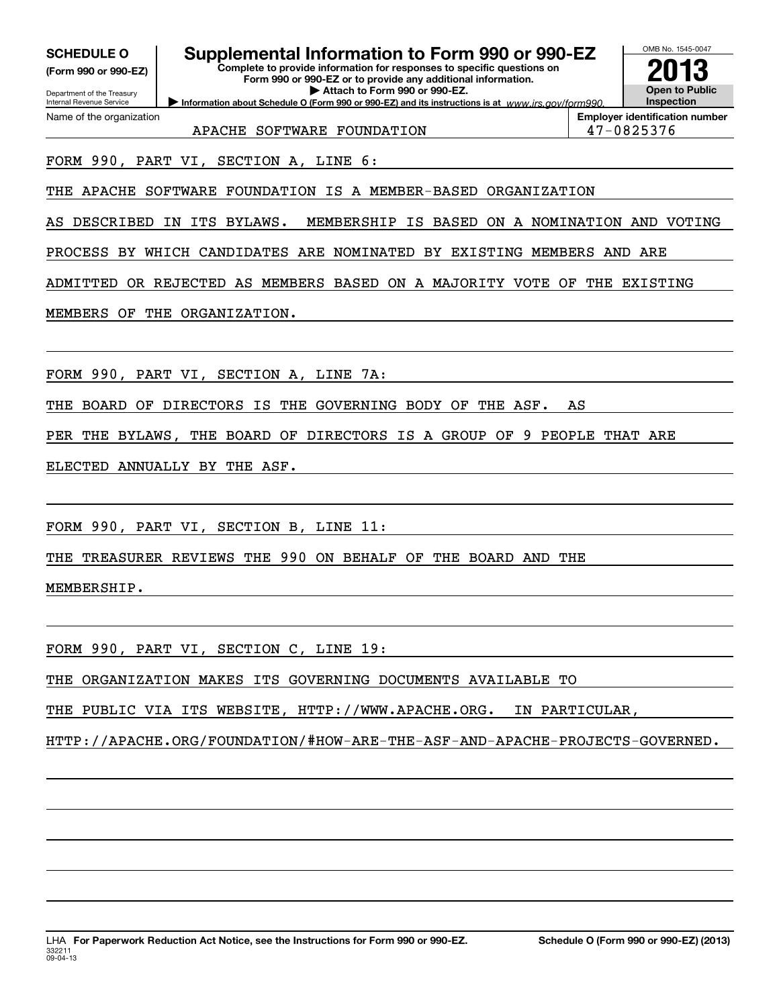| <b>SCHEDULE O</b>    |  |
|----------------------|--|
| (Form 990 or 990-EZ) |  |

Department of the Treasury Internal Revenue Service

Name of the organization

### **Supplemental Information to Form 990 or 990-EZ**

**Information about Schedule O (Form 990 or 990-EZ) and its instructions is at www.irs.gov/form990. Complete to provide information for responses to specific questions on Form 990 or 990-EZ or to provide any additional information. | Attach to Form 990 or 990-EZ.**



**Employer identification number** APACHE SOFTWARE FOUNDATION **17-0825376** 

FORM 990, PART VI, SECTION A, LINE 6:

THE APACHE SOFTWARE FOUNDATION IS A MEMBER-BASED ORGANIZATION

AS DESCRIBED IN ITS BYLAWS. MEMBERSHIP IS BASED ON A NOMINATION AND VOTING

PROCESS BY WHICH CANDIDATES ARE NOMINATED BY EXISTING MEMBERS AND ARE

ADMITTED OR REJECTED AS MEMBERS BASED ON A MAJORITY VOTE OF THE EXISTING

MEMBERS OF THE ORGANIZATION.

FORM 990, PART VI, SECTION A, LINE 7A:

THE BOARD OF DIRECTORS IS THE GOVERNING BODY OF THE ASF. AS

PER THE BYLAWS, THE BOARD OF DIRECTORS IS A GROUP OF 9 PEOPLE THAT ARE

ELECTED ANNUALLY BY THE ASF.

FORM 990, PART VI, SECTION B, LINE 11:

THE TREASURER REVIEWS THE 990 ON BEHALF OF THE BOARD AND THE

MEMBERSHIP.

FORM 990, PART VI, SECTION C, LINE 19:

THE ORGANIZATION MAKES ITS GOVERNING DOCUMENTS AVAILABLE TO

THE PUBLIC VIA ITS WEBSITE, HTTP://WWW.APACHE.ORG. IN PARTICULAR,

HTTP://APACHE.ORG/FOUNDATION/#HOW-ARE-THE-ASF-AND-APACHE-PROJECTS-GOVERNED.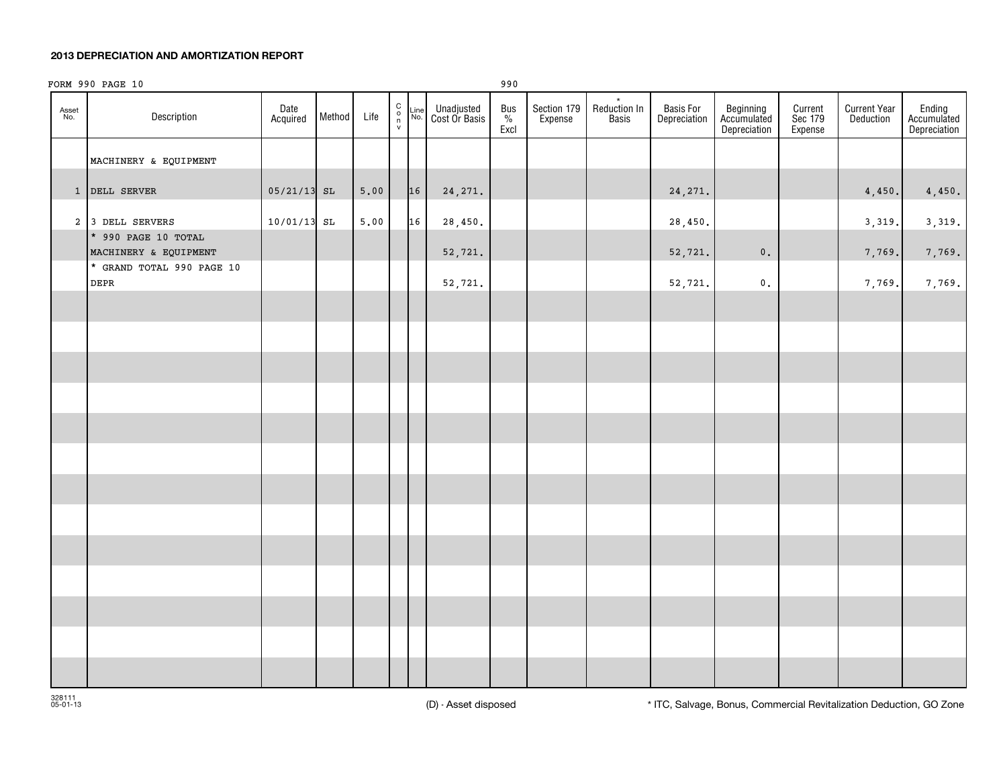#### **2013 DEPRECIATION AND AMORTIZATION REPORT**

| FORM 990 PAGE 10<br>990 |                                              |                  |        |                |                                                      |             |                             |                     |                        |                                         |                           |                                          |                               |                                  |                                       |
|-------------------------|----------------------------------------------|------------------|--------|----------------|------------------------------------------------------|-------------|-----------------------------|---------------------|------------------------|-----------------------------------------|---------------------------|------------------------------------------|-------------------------------|----------------------------------|---------------------------------------|
| Asset<br>No.            | Description                                  | Date<br>Acquired | Method | Life           | $\begin{array}{c} C \\ 0 \\ \eta \\ \nu \end{array}$ | Line<br>No. | Unadjusted<br>Cost Or Basis | Bus<br>$\%$<br>Excl | Section 179<br>Expense | $\star$<br><b>Reduction In</b><br>Basis | Basis For<br>Depreciation | Beginning<br>Accumulated<br>Depreciation | Current<br>Sec 179<br>Expense | <b>Current Year</b><br>Deduction | Ending<br>Accumulated<br>Depreciation |
|                         | MACHINERY & EQUIPMENT                        |                  |        |                |                                                      |             |                             |                     |                        |                                         |                           |                                          |                               |                                  |                                       |
|                         | 1 DELL SERVER                                | $05/21/13$ SL    |        | 5.00           |                                                      | 16          | 24, 271.                    |                     |                        |                                         | 24, 271.                  |                                          |                               | 4,450.                           | 4,450.                                |
|                         | 2 3 DELL SERVERS                             | 10/01/13 SL      |        | $5 \, . \, 00$ |                                                      | 16          | 28,450.                     |                     |                        |                                         | 28,450.                   |                                          |                               | 3,319.                           | 3,319.                                |
|                         | * 990 PAGE 10 TOTAL<br>MACHINERY & EQUIPMENT |                  |        |                |                                                      |             | 52,721.                     |                     |                        |                                         | 52,721.                   | $\mathbf 0$ .                            |                               | 7,769.                           | 7,769.                                |
|                         | * GRAND TOTAL 990 PAGE 10<br><b>DEPR</b>     |                  |        |                |                                                      |             | 52,721.                     |                     |                        |                                         | 52,721.                   | $\mathfrak o$ .                          |                               | 7,769.                           | 7,769.                                |
|                         |                                              |                  |        |                |                                                      |             |                             |                     |                        |                                         |                           |                                          |                               |                                  |                                       |
|                         |                                              |                  |        |                |                                                      |             |                             |                     |                        |                                         |                           |                                          |                               |                                  |                                       |
|                         |                                              |                  |        |                |                                                      |             |                             |                     |                        |                                         |                           |                                          |                               |                                  |                                       |
|                         |                                              |                  |        |                |                                                      |             |                             |                     |                        |                                         |                           |                                          |                               |                                  |                                       |
|                         |                                              |                  |        |                |                                                      |             |                             |                     |                        |                                         |                           |                                          |                               |                                  |                                       |
|                         |                                              |                  |        |                |                                                      |             |                             |                     |                        |                                         |                           |                                          |                               |                                  |                                       |
|                         |                                              |                  |        |                |                                                      |             |                             |                     |                        |                                         |                           |                                          |                               |                                  |                                       |
|                         |                                              |                  |        |                |                                                      |             |                             |                     |                        |                                         |                           |                                          |                               |                                  |                                       |
|                         |                                              |                  |        |                |                                                      |             |                             |                     |                        |                                         |                           |                                          |                               |                                  |                                       |
|                         |                                              |                  |        |                |                                                      |             |                             |                     |                        |                                         |                           |                                          |                               |                                  |                                       |
|                         |                                              |                  |        |                |                                                      |             |                             |                     |                        |                                         |                           |                                          |                               |                                  |                                       |
|                         |                                              |                  |        |                |                                                      |             |                             |                     |                        |                                         |                           |                                          |                               |                                  |                                       |
|                         |                                              |                  |        |                |                                                      |             |                             |                     |                        |                                         |                           |                                          |                               |                                  |                                       |
|                         |                                              |                  |        |                |                                                      |             |                             |                     |                        |                                         |                           |                                          |                               |                                  |                                       |